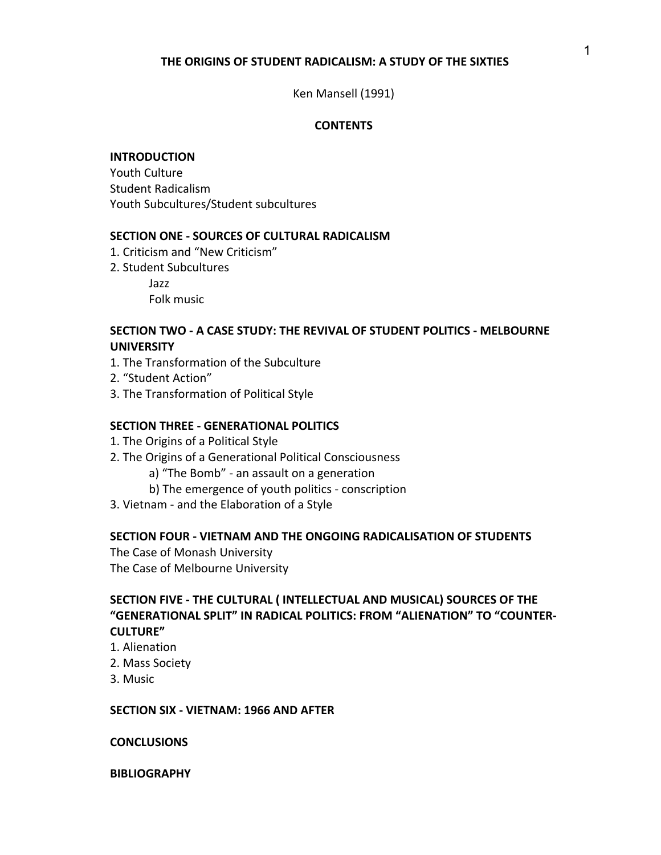## **THE ORIGINS OF STUDENT RADICALISM: A STUDY OF THE SIXTIES**

### Ken Mansell (1991)

### **CONTENTS**

#### **INTRODUCTION**

Youth Culture Student Radicalism Youth Subcultures/Student subcultures

#### **SECTION ONE - SOURCES OF CULTURAL RADICALISM**

- 1. Criticism and "New Criticism"
- 2. Student Subcultures Jazz

Folk music

## **SECTION TWO - A CASE STUDY: THE REVIVAL OF STUDENT POLITICS - MELBOURNE UNIVERSITY**

- 1. The Transformation of the Subculture
- 2. "Student Action"
- 3. The Transformation of Political Style

#### **SECTION THREE - GENERATIONAL POLITICS**

- 1. The Origins of a Political Style
- 2. The Origins of a Generational Political Consciousness
	- a) "The Bomb" an assault on a generation
	- b) The emergence of youth politics conscription
- 3. Vietnam and the Elaboration of a Style

### **SECTION FOUR - VIETNAM AND THE ONGOING RADICALISATION OF STUDENTS**

The Case of Monash University The Case of Melbourne University

# **SECTION FIVE - THE CULTURAL ( INTELLECTUAL AND MUSICAL) SOURCES OF THE "GENERATIONAL SPLIT" IN RADICAL POLITICS: FROM "ALIENATION" TO "COUNTER-CULTURE"**

- 1. Alienation
- 2. Mass Society
- 3. Music

#### **SECTION SIX - VIETNAM: 1966 AND AFTER**

#### **CONCLUSIONS**

### **BIBLIOGRAPHY**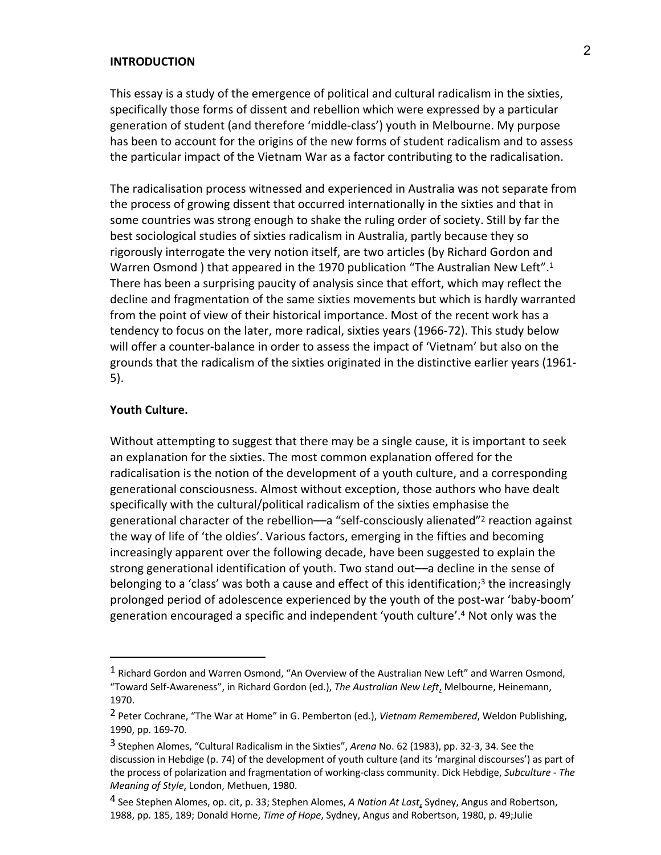### **INTRODUCTION**

This essay is a study of the emergence of political and cultural radicalism in the sixties, specifically those forms of dissent and rebellion which were expressed by a particular generation of student (and therefore 'middle-class') youth in Melbourne. My purpose has been to account for the origins of the new forms of student radicalism and to assess the particular impact of the Vietnam War as a factor contributing to the radicalisation.

The radicalisation process witnessed and experienced in Australia was not separate from the process of growing dissent that occurred internationally in the sixties and that in some countries was strong enough to shake the ruling order of society. Still by far the best sociological studies of sixties radicalism in Australia, partly because they so rigorously interrogate the very notion itself, are two articles (by Richard Gordon and Warren Osmond ) that appeared in the 1970 publication "The Australian New Left".<sup>1</sup> There has been a surprising paucity of analysis since that effort, which may reflect the decline and fragmentation of the same sixties movements but which is hardly warranted from the point of view of their historical importance. Most of the recent work has a tendency to focus on the later, more radical, sixties years (1966-72). This study below will offer a counter-balance in order to assess the impact of 'Vietnam' but also on the grounds that the radicalism of the sixties originated in the distinctive earlier years (1961- 5).

## **Youth Culture.**

 $\overline{a}$ 

Without attempting to suggest that there may be a single cause, it is important to seek an explanation for the sixties. The most common explanation offered for the radicalisation is the notion of the development of a youth culture, and a corresponding generational consciousness. Almost without exception, those authors who have dealt specifically with the cultural/political radicalism of the sixties emphasise the generational character of the rebellion—a "self-consciously alienated"<sup>2</sup> reaction against the way of life of 'the oldies'. Various factors, emerging in the fifties and becoming increasingly apparent over the following decade, have been suggested to explain the strong generational identification of youth. Two stand out––a decline in the sense of belonging to a 'class' was both a cause and effect of this identification;<sup>3</sup> the increasingly prolonged period of adolescence experienced by the youth of the post-war 'baby-boom' generation encouraged a specific and independent 'youth culture'. <sup>4</sup> Not only was the

 $<sup>1</sup>$  Richard Gordon and Warren Osmond, "An Overview of the Australian New Left" and Warren Osmond,</sup> "Toward Self-Awareness", in Richard Gordon (ed.), *The Australian New Left*, Melbourne, Heinemann, 1970.

<sup>2</sup> Peter Cochrane, "The War at Home" in G. Pemberton (ed.), *Vietnam Remembered*, Weldon Publishing, 1990, pp. 169-70.

<sup>3</sup> Stephen Alomes, "Cultural Radicalism in the Sixties", *Arena* No. 62 (1983), pp. 32-3, 34. See the discussion in Hebdige (p. 74) of the development of youth culture (and its 'marginal discourses') as part of the process of polarization and fragmentation of working-class community. Dick Hebdige, *Subculture - The Meaning of Style*, London, Methuen, 1980.

<sup>4</sup> See Stephen Alomes, op. cit, p. 33; Stephen Alomes, *A Nation At Last*, Sydney, Angus and Robertson, 1988, pp. 185, 189; Donald Horne, *Time of Hope*, Sydney, Angus and Robertson, 1980, p. 49;Julie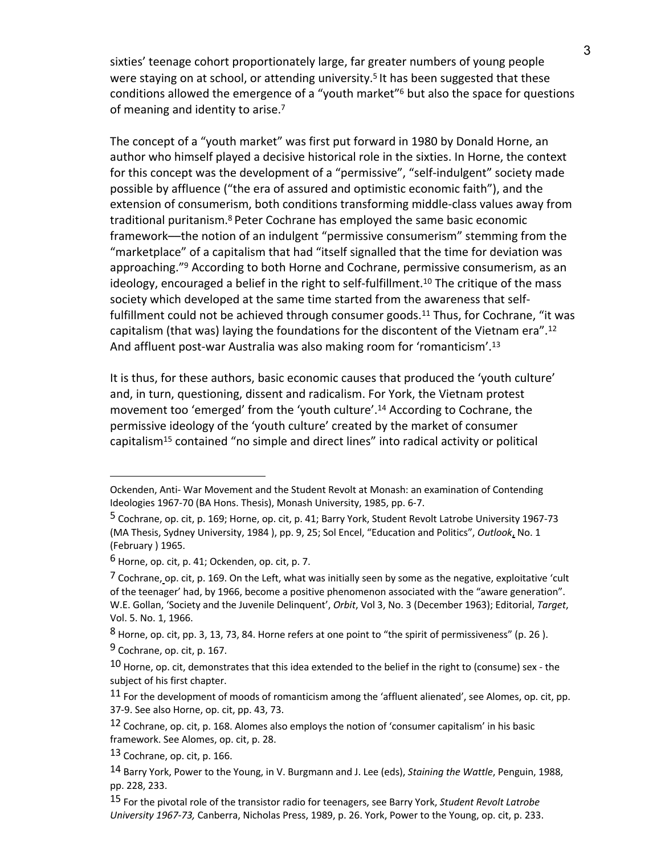sixties' teenage cohort proportionately large, far greater numbers of young people were staying on at school, or attending university.<sup>5</sup> It has been suggested that these conditions allowed the emergence of a "youth market"6 but also the space for questions of meaning and identity to arise.<sup>7</sup>

The concept of a "youth market" was first put forward in 1980 by Donald Horne, an author who himself played a decisive historical role in the sixties. In Horne, the context for this concept was the development of a "permissive", "self-indulgent" society made possible by affluence ("the era of assured and optimistic economic faith"), and the extension of consumerism, both conditions transforming middle-class values away from traditional puritanism.8 Peter Cochrane has employed the same basic economic framework––the notion of an indulgent "permissive consumerism" stemming from the "marketplace" of a capitalism that had "itself signalled that the time for deviation was approaching."<sup>9</sup> According to both Horne and Cochrane, permissive consumerism, as an ideology, encouraged a belief in the right to self-fulfillment.<sup>10</sup> The critique of the mass society which developed at the same time started from the awareness that selffulfillment could not be achieved through consumer goods.<sup>11</sup> Thus, for Cochrane, "it was capitalism (that was) laying the foundations for the discontent of the Vietnam era".<sup>12</sup> And affluent post-war Australia was also making room for 'romanticism'.<sup>13</sup>

It is thus, for these authors, basic economic causes that produced the 'youth culture' and, in turn, questioning, dissent and radicalism. For York, the Vietnam protest movement too 'emerged' from the 'youth culture'. <sup>14</sup> According to Cochrane, the permissive ideology of the 'youth culture' created by the market of consumer capitalism15 contained "no simple and direct lines" into radical activity or political

Ockenden, Anti- War Movement and the Student Revolt at Monash: an examination of Contending Ideologies 1967-70 (BA Hons. Thesis), Monash University, 1985, pp. 6-7.

<sup>5</sup> Cochrane, op. cit, p. 169; Horne, op. cit, p. 41; Barry York, Student Revolt Latrobe University 1967-73 (MA Thesis, Sydney University, 1984 ), pp. 9, 25; Sol Encel, "Education and Politics", *Outlook*, No. 1 (February ) 1965.

 $6$  Horne, op. cit, p. 41; Ockenden, op. cit, p. 7.

 $^7$  Cochrane, op. cit, p. 169. On the Left, what was initially seen by some as the negative, exploitative 'cult of the teenager' had, by 1966, become a positive phenomenon associated with the "aware generation". W.E. Gollan, 'Society and the Juvenile Delinquent', *Orbit*, Vol 3, No. 3 (December 1963); Editorial, *Target*, Vol. 5. No. 1, 1966.

 $8$  Horne, op. cit, pp. 3, 13, 73, 84. Horne refers at one point to "the spirit of permissiveness" (p. 26).

<sup>9</sup> Cochrane, op. cit, p. 167.

 $10$  Horne, op. cit, demonstrates that this idea extended to the belief in the right to (consume) sex - the subject of his first chapter.

 $11$  For the development of moods of romanticism among the 'affluent alienated', see Alomes, op. cit, pp. 37-9. See also Horne, op. cit, pp. 43, 73.

<sup>12</sup> Cochrane, op. cit, p. 168. Alomes also employs the notion of 'consumer capitalism' in his basic framework. See Alomes, op. cit, p. 28.

<sup>13</sup> Cochrane, op. cit, p. 166.

<sup>14</sup> Barry York, Power to the Young, in V. Burgmann and J. Lee (eds), *Staining the Wattle*, Penguin, 1988, pp. 228, 233.

<sup>15</sup> For the pivotal role of the transistor radio for teenagers, see Barry York, *Student Revolt Latrobe University 1967-73,* Canberra, Nicholas Press, 1989, p. 26. York, Power to the Young, op. cit, p. 233.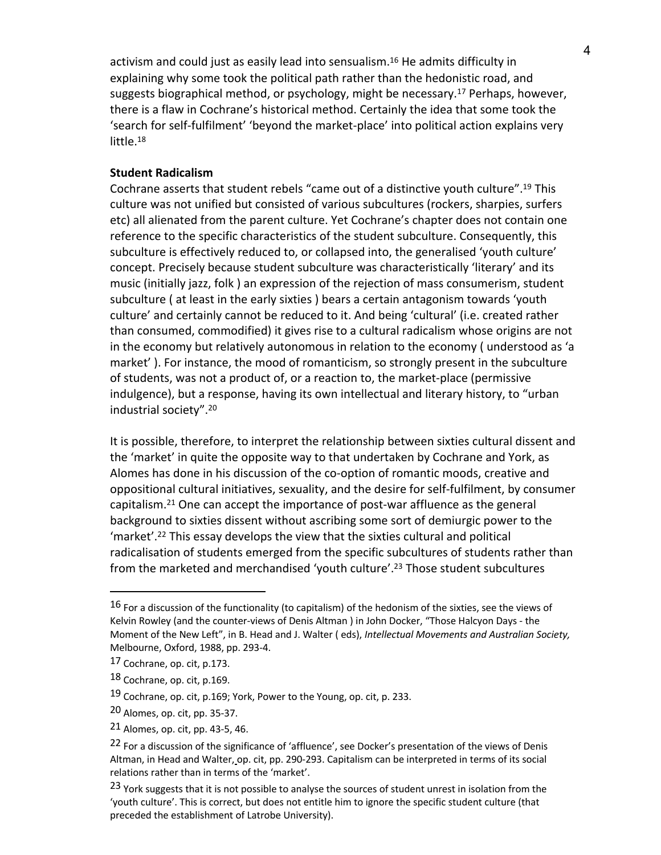activism and could just as easily lead into sensualism.16 He admits difficulty in explaining why some took the political path rather than the hedonistic road, and suggests biographical method, or psychology, might be necessary.<sup>17</sup> Perhaps, however, there is a flaw in Cochrane's historical method. Certainly the idea that some took the 'search for self-fulfilment' 'beyond the market-place' into political action explains very little.18

## **Student Radicalism**

Cochrane asserts that student rebels "came out of a distinctive youth culture". <sup>19</sup> This culture was not unified but consisted of various subcultures (rockers, sharpies, surfers etc) all alienated from the parent culture. Yet Cochrane's chapter does not contain one reference to the specific characteristics of the student subculture. Consequently, this subculture is effectively reduced to, or collapsed into, the generalised 'youth culture' concept. Precisely because student subculture was characteristically 'literary' and its music (initially jazz, folk ) an expression of the rejection of mass consumerism, student subculture ( at least in the early sixties ) bears a certain antagonism towards 'youth culture' and certainly cannot be reduced to it. And being 'cultural' (i.e. created rather than consumed, commodified) it gives rise to a cultural radicalism whose origins are not in the economy but relatively autonomous in relation to the economy ( understood as 'a market' ). For instance, the mood of romanticism, so strongly present in the subculture of students, was not a product of, or a reaction to, the market-place (permissive indulgence), but a response, having its own intellectual and literary history, to "urban industrial society".20

It is possible, therefore, to interpret the relationship between sixties cultural dissent and the 'market' in quite the opposite way to that undertaken by Cochrane and York, as Alomes has done in his discussion of the co-option of romantic moods, creative and oppositional cultural initiatives, sexuality, and the desire for self-fulfilment, by consumer capitalism.21 One can accept the importance of post-war affluence as the general background to sixties dissent without ascribing some sort of demiurgic power to the 'market'. <sup>22</sup> This essay develops the view that the sixties cultural and political radicalisation of students emerged from the specific subcultures of students rather than from the marketed and merchandised 'youth culture'. <sup>23</sup> Those student subcultures

<sup>16</sup> For a discussion of the functionality (to capitalism) of the hedonism of the sixties, see the views of Kelvin Rowley (and the counter-views of Denis Altman ) in John Docker, "Those Halcyon Days - the Moment of the New Left", in B. Head and J. Walter ( eds), *Intellectual Movements and Australian Society,* Melbourne, Oxford, 1988, pp. 293-4.

<sup>17</sup> Cochrane, op. cit, p.173.

<sup>18</sup> Cochrane, op. cit, p.169.

<sup>19</sup> Cochrane, op. cit, p.169; York, Power to the Young, op. cit, p. 233.

<sup>20</sup> Alomes, op. cit, pp. 35-37.

<sup>21</sup> Alomes, op. cit, pp. 43-5, 46.

<sup>&</sup>lt;sup>22</sup> For a discussion of the significance of 'affluence', see Docker's presentation of the views of Denis Altman, in Head and Walter, op. cit, pp. 290-293. Capitalism can be interpreted in terms of its social relations rather than in terms of the 'market'.

<sup>23</sup> York suggests that it is not possible to analyse the sources of student unrest in isolation from the 'youth culture'. This is correct, but does not entitle him to ignore the specific student culture (that preceded the establishment of Latrobe University).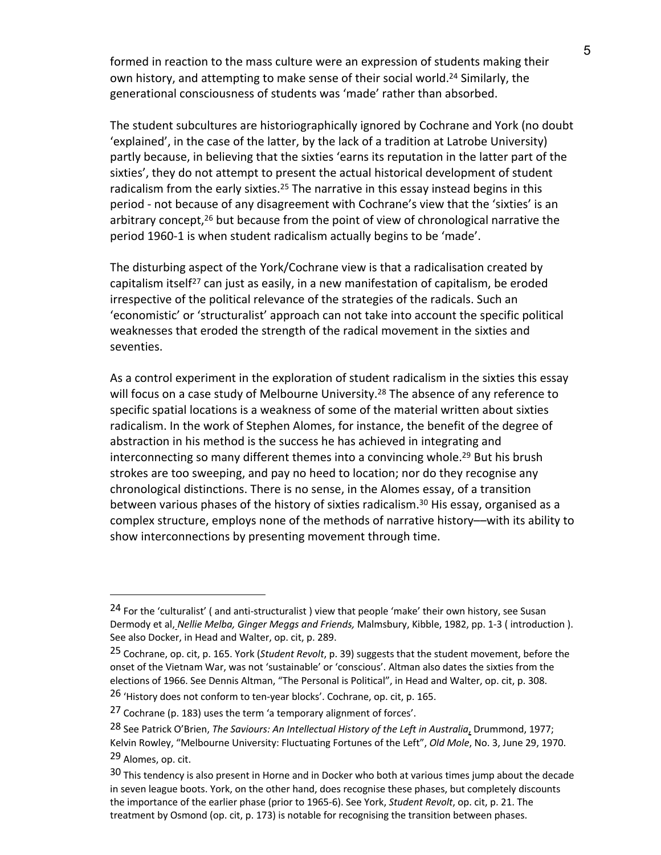formed in reaction to the mass culture were an expression of students making their own history, and attempting to make sense of their social world.24 Similarly, the generational consciousness of students was 'made' rather than absorbed.

The student subcultures are historiographically ignored by Cochrane and York (no doubt 'explained', in the case of the latter, by the lack of a tradition at Latrobe University) partly because, in believing that the sixties 'earns its reputation in the latter part of the sixties', they do not attempt to present the actual historical development of student radicalism from the early sixties.<sup>25</sup> The narrative in this essay instead begins in this period - not because of any disagreement with Cochrane's view that the 'sixties' is an arbitrary concept,26 but because from the point of view of chronological narrative the period 1960-1 is when student radicalism actually begins to be 'made'.

The disturbing aspect of the York/Cochrane view is that a radicalisation created by capitalism itself<sup>27</sup> can just as easily, in a new manifestation of capitalism, be eroded irrespective of the political relevance of the strategies of the radicals. Such an 'economistic' or 'structuralist' approach can not take into account the specific political weaknesses that eroded the strength of the radical movement in the sixties and seventies.

As a control experiment in the exploration of student radicalism in the sixties this essay will focus on a case study of Melbourne University.<sup>28</sup> The absence of any reference to specific spatial locations is a weakness of some of the material written about sixties radicalism. In the work of Stephen Alomes, for instance, the benefit of the degree of abstraction in his method is the success he has achieved in integrating and interconnecting so many different themes into a convincing whole.<sup>29</sup> But his brush strokes are too sweeping, and pay no heed to location; nor do they recognise any chronological distinctions. There is no sense, in the Alomes essay, of a transition between various phases of the history of sixties radicalism.<sup>30</sup> His essay, organised as a complex structure, employs none of the methods of narrative history––with its ability to show interconnections by presenting movement through time.

<sup>&</sup>lt;sup>24</sup> For the 'culturalist' ( and anti-structuralist ) view that people 'make' their own history, see Susan Dermody et al, *Nellie Melba, Ginger Meggs and Friends,* Malmsbury, Kibble, 1982, pp. 1-3 ( introduction ). See also Docker, in Head and Walter, op. cit, p. 289.

<sup>25</sup> Cochrane, op. cit, p. 165. York (*Student Revolt*, p. 39) suggests that the student movement, before the onset of the Vietnam War, was not 'sustainable' or 'conscious'. Altman also dates the sixties from the elections of 1966. See Dennis Altman, "The Personal is Political", in Head and Walter, op. cit, p. 308.

<sup>&</sup>lt;sup>26</sup> 'History does not conform to ten-year blocks'. Cochrane, op. cit, p. 165.

<sup>27</sup> Cochrane (p. 183) uses the term 'a temporary alignment of forces'.

<sup>28</sup> See Patrick O'Brien, *The Saviours: An Intellectual History of the Left in Australia*, Drummond, 1977; Kelvin Rowley, "Melbourne University: Fluctuating Fortunes of the Left", *Old Mole*, No. 3, June 29, 1970. 29 Alomes, op. cit.

<sup>30</sup> This tendency is also present in Horne and in Docker who both at various times jump about the decade in seven league boots. York, on the other hand, does recognise these phases, but completely discounts the importance of the earlier phase (prior to 1965-6). See York, *Student Revolt*, op. cit, p. 21. The treatment by Osmond (op. cit, p. 173) is notable for recognising the transition between phases.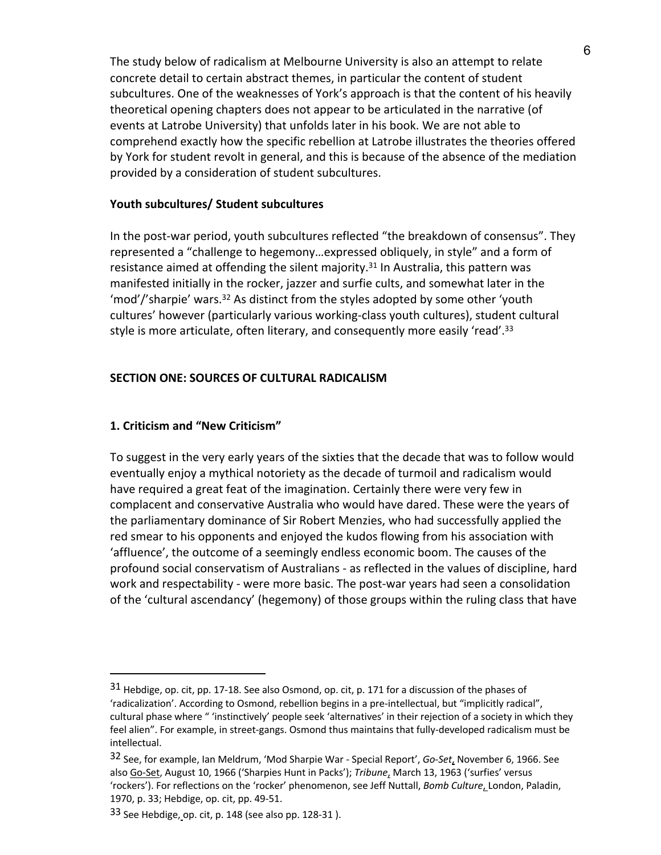The study below of radicalism at Melbourne University is also an attempt to relate concrete detail to certain abstract themes, in particular the content of student subcultures. One of the weaknesses of York's approach is that the content of his heavily theoretical opening chapters does not appear to be articulated in the narrative (of events at Latrobe University) that unfolds later in his book. We are not able to comprehend exactly how the specific rebellion at Latrobe illustrates the theories offered by York for student revolt in general, and this is because of the absence of the mediation provided by a consideration of student subcultures.

## **Youth subcultures/ Student subcultures**

In the post-war period, youth subcultures reflected "the breakdown of consensus". They represented a "challenge to hegemony…expressed obliquely, in style" and a form of resistance aimed at offending the silent majority.<sup>31</sup> In Australia, this pattern was manifested initially in the rocker, jazzer and surfie cults, and somewhat later in the 'mod'/'sharpie' wars.32 As distinct from the styles adopted by some other 'youth cultures' however (particularly various working-class youth cultures), student cultural style is more articulate, often literary, and consequently more easily 'read'.<sup>33</sup>

## **SECTION ONE: SOURCES OF CULTURAL RADICALISM**

## **1. Criticism and "New Criticism"**

 $\overline{a}$ 

To suggest in the very early years of the sixties that the decade that was to follow would eventually enjoy a mythical notoriety as the decade of turmoil and radicalism would have required a great feat of the imagination. Certainly there were very few in complacent and conservative Australia who would have dared. These were the years of the parliamentary dominance of Sir Robert Menzies, who had successfully applied the red smear to his opponents and enjoyed the kudos flowing from his association with 'affluence', the outcome of a seemingly endless economic boom. The causes of the profound social conservatism of Australians - as reflected in the values of discipline, hard work and respectability - were more basic. The post-war years had seen a consolidation of the 'cultural ascendancy' (hegemony) of those groups within the ruling class that have

<sup>31</sup> Hebdige, op. cit, pp. 17-18. See also Osmond, op. cit, p. 171 for a discussion of the phases of 'radicalization'. According to Osmond, rebellion begins in a pre-intellectual, but "implicitly radical", cultural phase where " 'instinctively' people seek 'alternatives' in their rejection of a society in which they feel alien". For example, in street-gangs. Osmond thus maintains that fully-developed radicalism must be intellectual.

<sup>32</sup> See, for example, Ian Meldrum, 'Mod Sharpie War - Special Report', *Go-Set*, November 6, 1966. See also Go-Set, August 10, 1966 ('Sharpies Hunt in Packs'); *Tribune*, March 13, 1963 ('surfies' versus 'rockers'). For reflections on the 'rocker' phenomenon, see Jeff Nuttall, *Bomb Culture*, London, Paladin, 1970, p. 33; Hebdige, op. cit, pp. 49-51.

 $33$  See Hebdige, op. cit, p. 148 (see also pp. 128-31).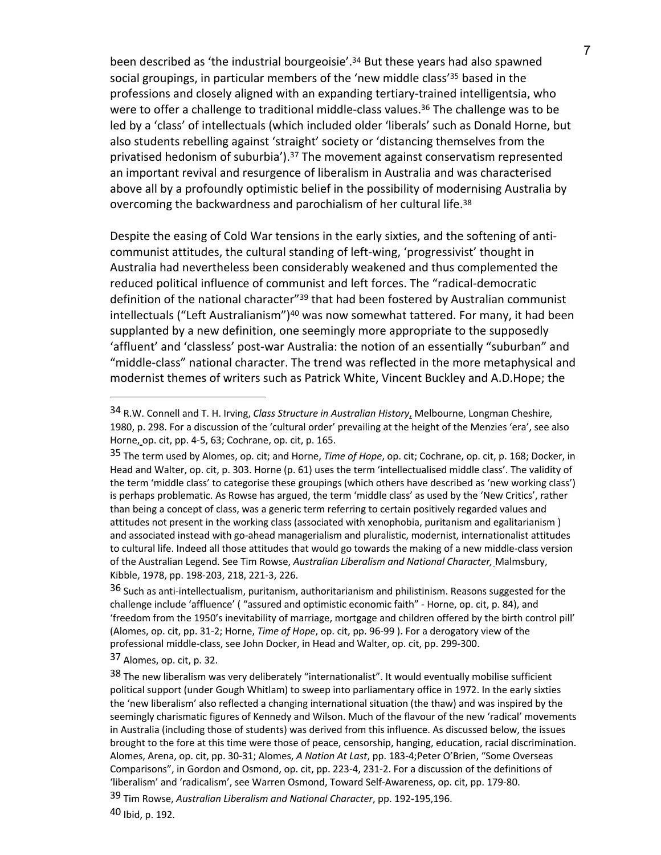been described as 'the industrial bourgeoisie'. <sup>34</sup> But these years had also spawned social groupings, in particular members of the 'new middle class' <sup>35</sup> based in the professions and closely aligned with an expanding tertiary-trained intelligentsia, who were to offer a challenge to traditional middle-class values.<sup>36</sup> The challenge was to be led by a 'class' of intellectuals (which included older 'liberals' such as Donald Horne, but also students rebelling against 'straight' society or 'distancing themselves from the privatised hedonism of suburbia $^{\prime}$ ).<sup>37</sup> The movement against conservatism represented an important revival and resurgence of liberalism in Australia and was characterised above all by a profoundly optimistic belief in the possibility of modernising Australia by overcoming the backwardness and parochialism of her cultural life.<sup>38</sup>

Despite the easing of Cold War tensions in the early sixties, and the softening of anticommunist attitudes, the cultural standing of left-wing, 'progressivist' thought in Australia had nevertheless been considerably weakened and thus complemented the reduced political influence of communist and left forces. The "radical-democratic definition of the national character<sup>"39</sup> that had been fostered by Australian communist intellectuals ("Left Australianism")<sup>40</sup> was now somewhat tattered. For many, it had been supplanted by a new definition, one seemingly more appropriate to the supposedly 'affluent' and 'classless' post-war Australia: the notion of an essentially "suburban" and "middle-class" national character. The trend was reflected in the more metaphysical and modernist themes of writers such as Patrick White, Vincent Buckley and A.D.Hope; the

37 Alomes, op. cit, p. 32.

<sup>34</sup> R.W. Connell and T. H. Irving, *Class Structure in Australian History*, Melbourne, Longman Cheshire, 1980, p. 298. For a discussion of the 'cultural order' prevailing at the height of the Menzies 'era', see also Horne, op. cit, pp. 4-5, 63; Cochrane, op. cit, p. 165.

<sup>35</sup> The term used by Alomes, op. cit; and Horne, *Time of Hope*, op. cit; Cochrane, op. cit, p. 168; Docker, in Head and Walter, op. cit, p. 303. Horne (p. 61) uses the term 'intellectualised middle class'. The validity of the term 'middle class' to categorise these groupings (which others have described as 'new working class') is perhaps problematic. As Rowse has argued, the term 'middle class' as used by the 'New Critics', rather than being a concept of class, was a generic term referring to certain positively regarded values and attitudes not present in the working class (associated with xenophobia, puritanism and egalitarianism ) and associated instead with go-ahead managerialism and pluralistic, modernist, internationalist attitudes to cultural life. Indeed all those attitudes that would go towards the making of a new middle-class version of the Australian Legend. See Tim Rowse, *Australian Liberalism and National Character,* Malmsbury, Kibble, 1978, pp. 198-203, 218, 221-3, 226.

<sup>&</sup>lt;sup>36</sup> Such as anti-intellectualism, puritanism, authoritarianism and philistinism. Reasons suggested for the challenge include 'affluence' ( "assured and optimistic economic faith" - Horne, op. cit, p. 84), and 'freedom from the 1950's inevitability of marriage, mortgage and children offered by the birth control pill' (Alomes, op. cit, pp. 31-2; Horne, *Time of Hope*, op. cit, pp. 96-99 ). For a derogatory view of the professional middle-class, see John Docker, in Head and Walter, op. cit, pp. 299-300.

<sup>38</sup> The new liberalism was very deliberately "internationalist". It would eventually mobilise sufficient political support (under Gough Whitlam) to sweep into parliamentary office in 1972. In the early sixties the 'new liberalism' also reflected a changing international situation (the thaw) and was inspired by the seemingly charismatic figures of Kennedy and Wilson. Much of the flavour of the new 'radical' movements in Australia (including those of students) was derived from this influence. As discussed below, the issues brought to the fore at this time were those of peace, censorship, hanging, education, racial discrimination. Alomes, Arena, op. cit, pp. 30-31; Alomes, *A Nation At Last*, pp. 183-4;Peter O'Brien, "Some Overseas Comparisons", in Gordon and Osmond, op. cit, pp. 223-4, 231-2. For a discussion of the definitions of 'liberalism' and 'radicalism', see Warren Osmond, Toward Self-Awareness, op. cit, pp. 179-80. 39 Tim Rowse, *Australian Liberalism and National Character*, pp. 192-195,196.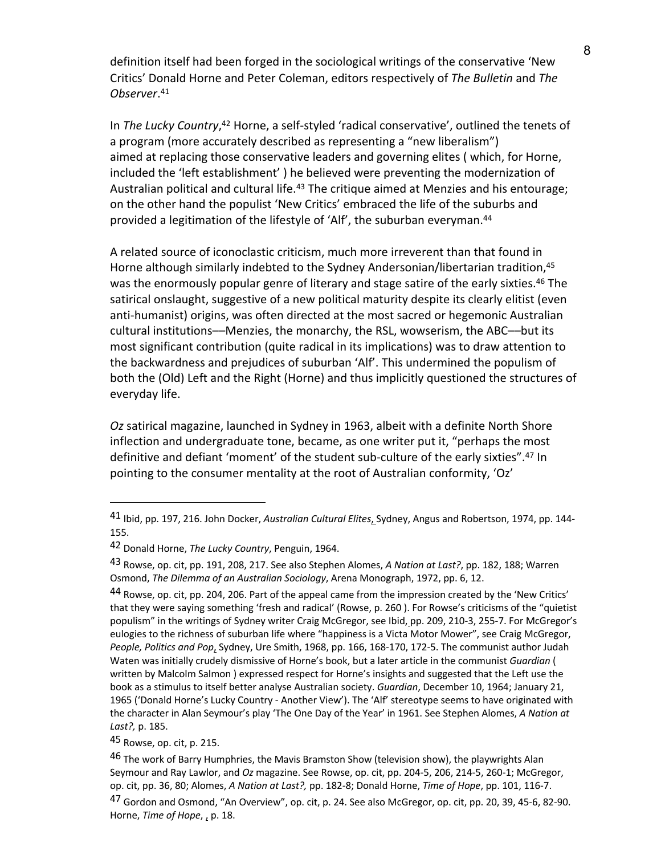definition itself had been forged in the sociological writings of the conservative 'New Critics' Donald Horne and Peter Coleman, editors respectively of *The Bulletin* and *The Observer*. 41

In *The Lucky Country*, <sup>42</sup> Horne, a self-styled 'radical conservative', outlined the tenets of a program (more accurately described as representing a "new liberalism") aimed at replacing those conservative leaders and governing elites ( which, for Horne, included the 'left establishment' ) he believed were preventing the modernization of Australian political and cultural life.<sup>43</sup> The critique aimed at Menzies and his entourage; on the other hand the populist 'New Critics' embraced the life of the suburbs and provided a legitimation of the lifestyle of 'Alf', the suburban everyman.44

A related source of iconoclastic criticism, much more irreverent than that found in Horne although similarly indebted to the Sydney Andersonian/libertarian tradition, 45 was the enormously popular genre of literary and stage satire of the early sixties.<sup>46</sup> The satirical onslaught, suggestive of a new political maturity despite its clearly elitist (even anti-humanist) origins, was often directed at the most sacred or hegemonic Australian cultural institutions––Menzies, the monarchy, the RSL, wowserism, the ABC––but its most significant contribution (quite radical in its implications) was to draw attention to the backwardness and prejudices of suburban 'Alf'. This undermined the populism of both the (Old) Left and the Right (Horne) and thus implicitly questioned the structures of everyday life.

*Oz* satirical magazine, launched in Sydney in 1963, albeit with a definite North Shore inflection and undergraduate tone, became, as one writer put it, "perhaps the most definitive and defiant 'moment' of the student sub-culture of the early sixties". <sup>47</sup> In pointing to the consumer mentality at the root of Australian conformity, 'Oz'

<sup>41</sup> Ibid, pp. 197, 216. John Docker, *Australian Cultural Elites*, Sydney, Angus and Robertson, 1974, pp. 144- 155.

<sup>42</sup> Donald Horne, *The Lucky Country*, Penguin, 1964.

<sup>43</sup> Rowse, op. cit, pp. 191, 208, 217. See also Stephen Alomes, *A Nation at Last?*, pp. 182, 188; Warren Osmond, *The Dilemma of an Australian Sociology*, Arena Monograph, 1972, pp. 6, 12.

<sup>44</sup> Rowse, op. cit, pp. 204, 206. Part of the appeal came from the impression created by the 'New Critics' that they were saying something 'fresh and radical' (Rowse, p. 260 ). For Rowse's criticisms of the "quietist populism" in the writings of Sydney writer Craig McGregor, see Ibid, pp. 209, 210-3, 255-7. For McGregor's eulogies to the richness of suburban life where "happiness is a Victa Motor Mower", see Craig McGregor, *People, Politics and Pop*, Sydney, Ure Smith, 1968, pp. 166, 168-170, 172-5. The communist author Judah Waten was initially crudely dismissive of Horne's book, but a later article in the communist *Guardian* ( written by Malcolm Salmon ) expressed respect for Horne's insights and suggested that the Left use the book as a stimulus to itself better analyse Australian society. *Guardian*, December 10, 1964; January 21, 1965 ('Donald Horne's Lucky Country - Another View'). The 'Alf' stereotype seems to have originated with the character in Alan Seymour's play 'The One Day of the Year' in 1961. See Stephen Alomes, *A Nation at Last?,* p. 185.

<sup>45</sup> Rowse, op. cit, p. 215.

<sup>&</sup>lt;sup>46</sup> The work of Barry Humphries, the Mavis Bramston Show (television show), the playwrights Alan Seymour and Ray Lawlor, and *Oz* magazine. See Rowse, op. cit, pp. 204-5, 206, 214-5, 260-1; McGregor, op. cit, pp. 36, 80; Alomes, *A Nation at Last?,* pp. 182-8; Donald Horne, *Time of Hope*, pp. 101, 116-7. <sup>47</sup> Gordon and Osmond, "An Overview", op. cit, p. 24. See also McGregor, op. cit, pp. 20, 39, 45-6, 82-90. Horne, *Time of Hope*, , p. 18.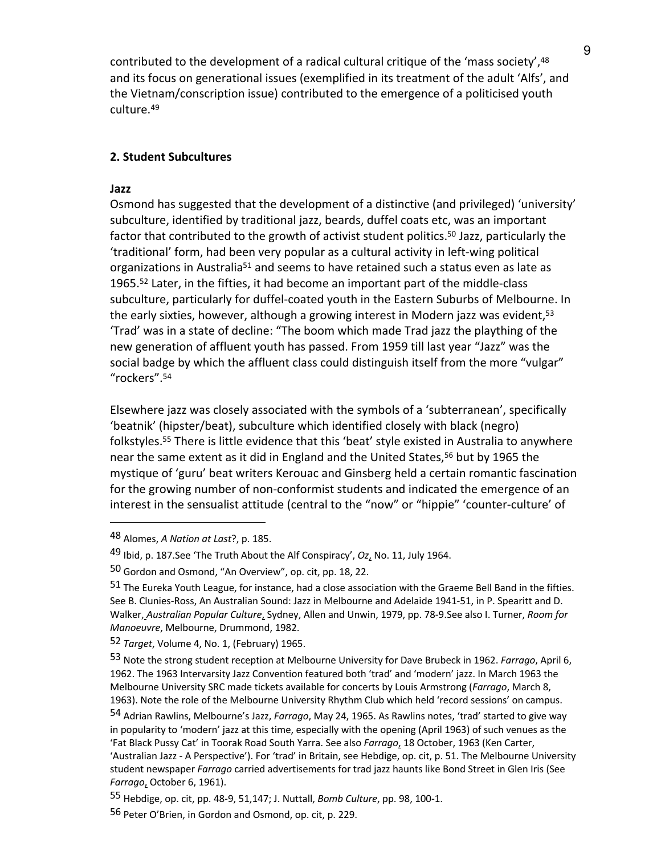contributed to the development of a radical cultural critique of the 'mass society', 48 and its focus on generational issues (exemplified in its treatment of the adult 'Alfs', and the Vietnam/conscription issue) contributed to the emergence of a politicised youth culture.49

## **2. Student Subcultures**

### **Jazz**

 $\overline{a}$ 

Osmond has suggested that the development of a distinctive (and privileged) 'university' subculture, identified by traditional jazz, beards, duffel coats etc, was an important factor that contributed to the growth of activist student politics.<sup>50</sup> Jazz, particularly the 'traditional' form, had been very popular as a cultural activity in left-wing political organizations in Australia<sup>51</sup> and seems to have retained such a status even as late as 1965.52 Later, in the fifties, it had become an important part of the middle-class subculture, particularly for duffel-coated youth in the Eastern Suburbs of Melbourne. In the early sixties, however, although a growing interest in Modern jazz was evident,<sup>53</sup> 'Trad' was in a state of decline: "The boom which made Trad jazz the plaything of the new generation of affluent youth has passed. From 1959 till last year "Jazz" was the social badge by which the affluent class could distinguish itself from the more "vulgar" "rockers". 54

Elsewhere jazz was closely associated with the symbols of a 'subterranean', specifically 'beatnik' (hipster/beat), subculture which identified closely with black (negro) folkstyles.55 There is little evidence that this 'beat' style existed in Australia to anywhere near the same extent as it did in England and the United States,<sup>56</sup> but by 1965 the mystique of 'guru' beat writers Kerouac and Ginsberg held a certain romantic fascination for the growing number of non-conformist students and indicated the emergence of an interest in the sensualist attitude (central to the "now" or "hippie" 'counter-culture' of

<sup>48</sup> Alomes, *A Nation at Last*?, p. 185.

<sup>49</sup> Ibid, p. 187.See 'The Truth About the Alf Conspiracy', *Oz*, No. 11, July 1964.

<sup>50</sup> Gordon and Osmond, "An Overview", op. cit, pp. 18, 22.

<sup>51</sup> The Eureka Youth League, for instance, had a close association with the Graeme Bell Band in the fifties. See B. Clunies-Ross, An Australian Sound: Jazz in Melbourne and Adelaide 1941-51, in P. Spearitt and D. Walker, *Australian Popular Culture*, Sydney, Allen and Unwin, 1979, pp. 78-9.See also I. Turner, *Room for Manoeuvre*, Melbourne, Drummond, 1982.

<sup>52</sup> *Target*, Volume 4, No. 1, (February) 1965.

<sup>53</sup> Note the strong student reception at Melbourne University for Dave Brubeck in 1962. *Farrago*, April 6, 1962. The 1963 Intervarsity Jazz Convention featured both 'trad' and 'modern' jazz. In March 1963 the Melbourne University SRC made tickets available for concerts by Louis Armstrong (*Farrago*, March 8, 1963). Note the role of the Melbourne University Rhythm Club which held 'record sessions' on campus.

<sup>54</sup> Adrian Rawlins, Melbourne's Jazz, *Farrago*, May 24, 1965. As Rawlins notes, 'trad' started to give way in popularity to 'modern' jazz at this time, especially with the opening (April 1963) of such venues as the 'Fat Black Pussy Cat' in Toorak Road South Yarra. See also *Farrago*, 18 October, 1963 (Ken Carter, 'Australian Jazz - A Perspective'). For 'trad' in Britain, see Hebdige, op. cit, p. 51. The Melbourne University student newspaper *Farrago* carried advertisements for trad jazz haunts like Bond Street in Glen Iris (See *Farrago*, October 6, 1961).

<sup>55</sup> Hebdige, op. cit, pp. 48-9, 51,147; J. Nuttall, *Bomb Culture*, pp. 98, 100-1.

<sup>56</sup> Peter O'Brien, in Gordon and Osmond, op. cit, p. 229.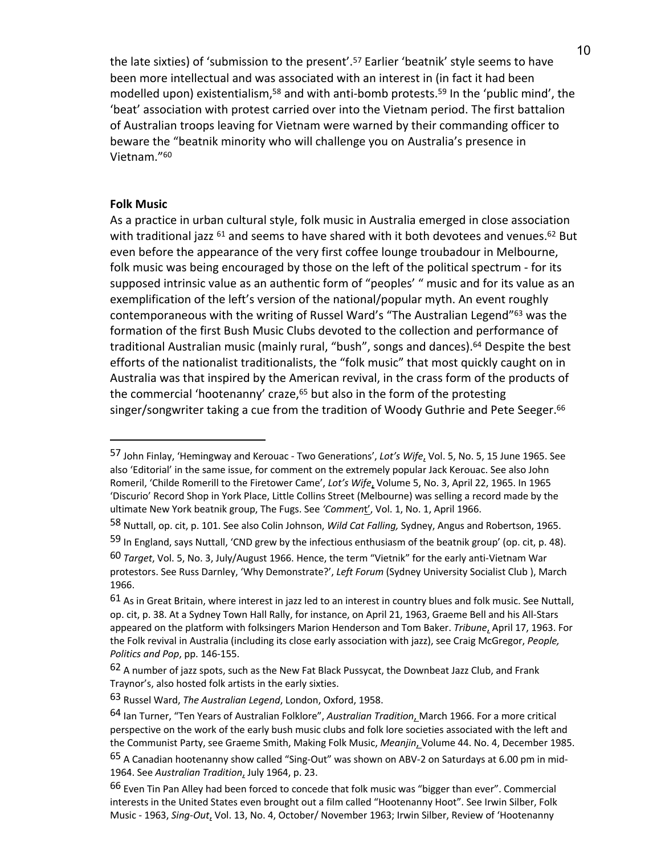the late sixties) of 'submission to the present'.57 Earlier 'beatnik' style seems to have been more intellectual and was associated with an interest in (in fact it had been modelled upon) existentialism,58 and with anti-bomb protests.59 In the 'public mind', the 'beat' association with protest carried over into the Vietnam period. The first battalion of Australian troops leaving for Vietnam were warned by their commanding officer to beware the "beatnik minority who will challenge you on Australia's presence in Vietnam."60

### **Folk Music**

 $\overline{a}$ 

As a practice in urban cultural style, folk music in Australia emerged in close association with traditional jazz <sup>61</sup> and seems to have shared with it both devotees and venues.<sup>62</sup> But even before the appearance of the very first coffee lounge troubadour in Melbourne, folk music was being encouraged by those on the left of the political spectrum - for its supposed intrinsic value as an authentic form of "peoples' " music and for its value as an exemplification of the left's version of the national/popular myth. An event roughly contemporaneous with the writing of Russel Ward's "The Australian Legend"<sup>63</sup> was the formation of the first Bush Music Clubs devoted to the collection and performance of traditional Australian music (mainly rural, "bush", songs and dances).<sup>64</sup> Despite the best efforts of the nationalist traditionalists, the "folk music" that most quickly caught on in Australia was that inspired by the American revival, in the crass form of the products of the commercial 'hootenanny' craze,<sup>65</sup> but also in the form of the protesting singer/songwriter taking a cue from the tradition of Woody Guthrie and Pete Seeger.<sup>66</sup>

<sup>57</sup> John Finlay, 'Hemingway and Kerouac - Two Generations', *Lot's Wife*, Vol. 5, No. 5, 15 June 1965. See also 'Editorial' in the same issue, for comment on the extremely popular Jack Kerouac. See also John Romeril, 'Childe Romerill to the Firetower Came', *Lot's Wife*, Volume 5, No. 3, April 22, 1965. In 1965 'Discurio' Record Shop in York Place, Little Collins Street (Melbourne) was selling a record made by the ultimate New York beatnik group, The Fugs. See *'Commen*t', Vol. 1, No. 1, April 1966.

<sup>58</sup> Nuttall, op. cit, p. 101. See also Colin Johnson, *Wild Cat Falling,* Sydney, Angus and Robertson, 1965.

<sup>59</sup> In England, says Nuttall, 'CND grew by the infectious enthusiasm of the beatnik group' (op. cit, p. 48).

<sup>60</sup> *Target*, Vol. 5, No. 3, July/August 1966. Hence, the term "Vietnik" for the early anti-Vietnam War protestors. See Russ Darnley, 'Why Demonstrate?', *Left Forum* (Sydney University Socialist Club ), March 1966.

 $61$  As in Great Britain, where interest in jazz led to an interest in country blues and folk music. See Nuttall, op. cit, p. 38. At a Sydney Town Hall Rally, for instance, on April 21, 1963, Graeme Bell and his All-Stars appeared on the platform with folksingers Marion Henderson and Tom Baker. *Tribune*, April 17, 1963. For the Folk revival in Australia (including its close early association with jazz), see Craig McGregor, *People, Politics and Pop*, pp. 146-155.

 $62$  A number of jazz spots, such as the New Fat Black Pussycat, the Downbeat Jazz Club, and Frank Traynor's, also hosted folk artists in the early sixties.

<sup>63</sup> Russel Ward, *The Australian Legend*, London, Oxford, 1958.

<sup>64</sup> Ian Turner, "Ten Years of Australian Folklore", *Australian Tradition*, March 1966. For a more critical perspective on the work of the early bush music clubs and folk lore societies associated with the left and the Communist Party, see Graeme Smith, Making Folk Music, *Meanjin*, Volume 44. No. 4, December 1985.

<sup>&</sup>lt;sup>65</sup> A Canadian hootenanny show called "Sing-Out" was shown on ABV-2 on Saturdays at 6.00 pm in mid-1964. See *Australian Tradition*, July 1964, p. 23.

<sup>66</sup> Even Tin Pan Alley had been forced to concede that folk music was "bigger than ever". Commercial interests in the United States even brought out a film called "Hootenanny Hoot". See Irwin Silber, Folk Music - 1963, *Sing-Out*, Vol. 13, No. 4, October/ November 1963; Irwin Silber, Review of 'Hootenanny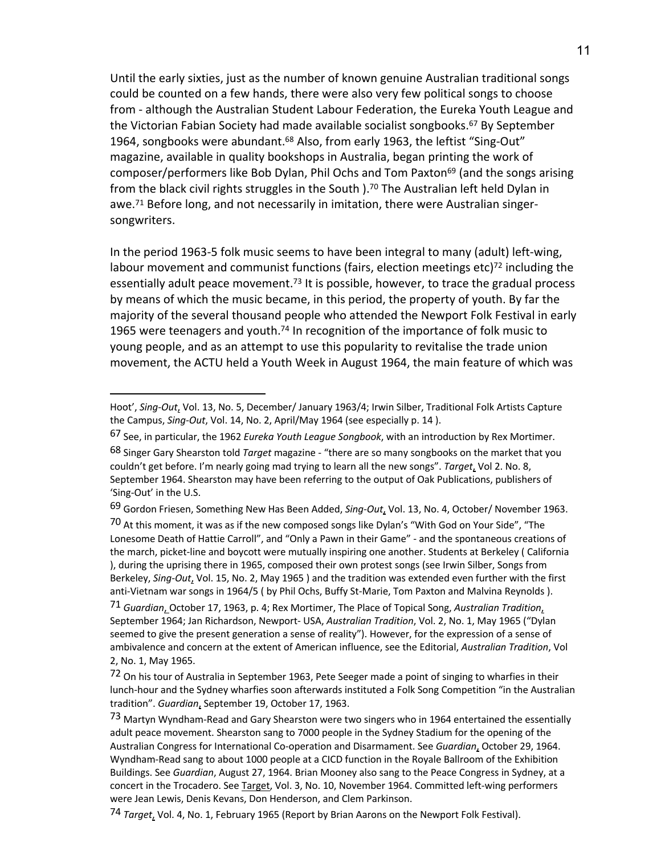Until the early sixties, just as the number of known genuine Australian traditional songs could be counted on a few hands, there were also very few political songs to choose from - although the Australian Student Labour Federation, the Eureka Youth League and the Victorian Fabian Society had made available socialist songbooks.<sup>67</sup> By September 1964, songbooks were abundant.<sup>68</sup> Also, from early 1963, the leftist "Sing-Out" magazine, available in quality bookshops in Australia, began printing the work of composer/performers like Bob Dylan, Phil Ochs and Tom Paxton<sup>69</sup> (and the songs arising from the black civil rights struggles in the South ).<sup>70</sup> The Australian left held Dylan in awe.71 Before long, and not necessarily in imitation, there were Australian singersongwriters.

In the period 1963-5 folk music seems to have been integral to many (adult) left-wing, labour movement and communist functions (fairs, election meetings etc)<sup>72</sup> including the essentially adult peace movement.<sup>73</sup> It is possible, however, to trace the gradual process by means of which the music became, in this period, the property of youth. By far the majority of the several thousand people who attended the Newport Folk Festival in early 1965 were teenagers and youth.<sup>74</sup> In recognition of the importance of folk music to young people, and as an attempt to use this popularity to revitalise the trade union movement, the ACTU held a Youth Week in August 1964, the main feature of which was

 $\overline{a}$ 

69 Gordon Friesen, Something New Has Been Added, *Sing-Out*, Vol. 13, No. 4, October/ November 1963.

70 At this moment, it was as if the new composed songs like Dylan's "With God on Your Side", "The Lonesome Death of Hattie Carroll", and "Only a Pawn in their Game" - and the spontaneous creations of the march, picket-line and boycott were mutually inspiring one another. Students at Berkeley ( California ), during the uprising there in 1965, composed their own protest songs (see Irwin Silber, Songs from Berkeley, *Sing-Out*, Vol. 15, No. 2, May 1965 ) and the tradition was extended even further with the first anti-Vietnam war songs in 1964/5 ( by Phil Ochs, Buffy St-Marie, Tom Paxton and Malvina Reynolds ).

71 *Guardian*, October 17, 1963, p. 4; Rex Mortimer, The Place of Topical Song, *Australian Tradition*, September 1964; Jan Richardson, Newport- USA, *Australian Tradition*, Vol. 2, No. 1, May 1965 ("Dylan seemed to give the present generation a sense of reality"). However, for the expression of a sense of ambivalence and concern at the extent of American influence, see the Editorial, *Australian Tradition*, Vol 2, No. 1, May 1965.

72 On his tour of Australia in September 1963, Pete Seeger made a point of singing to wharfies in their lunch-hour and the Sydney wharfies soon afterwards instituted a Folk Song Competition "in the Australian tradition". *Guardian*, September 19, October 17, 1963.

73 Martyn Wyndham-Read and Gary Shearston were two singers who in 1964 entertained the essentially adult peace movement. Shearston sang to 7000 people in the Sydney Stadium for the opening of the Australian Congress for International Co-operation and Disarmament. See *Guardian*, October 29, 1964. Wyndham-Read sang to about 1000 people at a CICD function in the Royale Ballroom of the Exhibition Buildings. See *Guardian*, August 27, 1964. Brian Mooney also sang to the Peace Congress in Sydney, at a concert in the Trocadero. See Target, Vol. 3, No. 10, November 1964. Committed left-wing performers were Jean Lewis, Denis Kevans, Don Henderson, and Clem Parkinson.

74 *Target*, Vol. 4, No. 1, February 1965 (Report by Brian Aarons on the Newport Folk Festival).

Hoot', *Sing-Out*, Vol. 13, No. 5, December/ January 1963/4; Irwin Silber, Traditional Folk Artists Capture the Campus, *Sing-Out*, Vol. 14, No. 2, April/May 1964 (see especially p. 14 ).

<sup>67</sup> See, in particular, the 1962 *Eureka Youth League Songbook*, with an introduction by Rex Mortimer.

<sup>68</sup> Singer Gary Shearston told *Target* magazine - "there are so many songbooks on the market that you couldn't get before. I'm nearly going mad trying to learn all the new songs". *Target*, Vol 2. No. 8, September 1964. Shearston may have been referring to the output of Oak Publications, publishers of 'Sing-Out' in the U.S.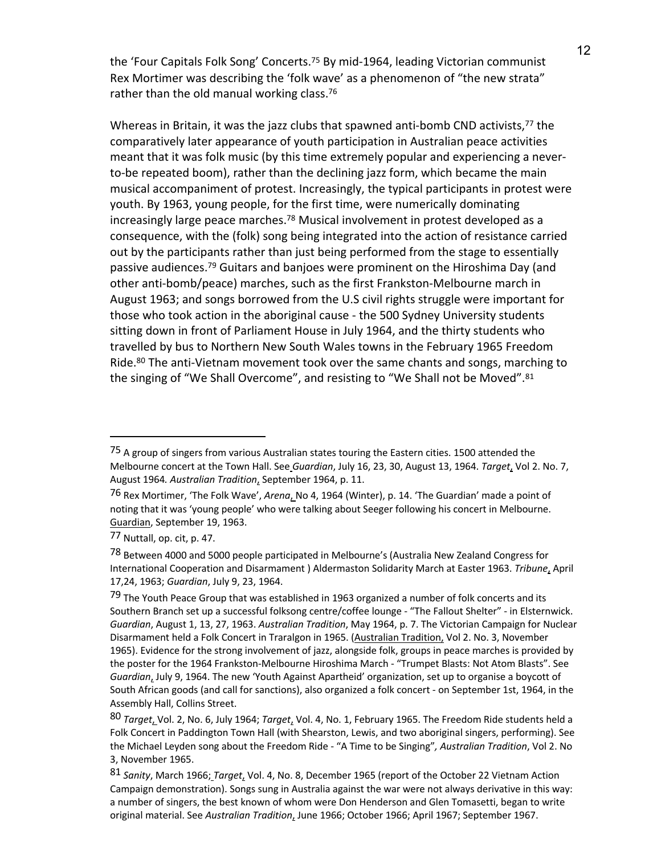the 'Four Capitals Folk Song' Concerts.75 By mid-1964, leading Victorian communist Rex Mortimer was describing the 'folk wave' as a phenomenon of "the new strata" rather than the old manual working class.<sup>76</sup>

Whereas in Britain, it was the jazz clubs that spawned anti-bomb CND activists,<sup>77</sup> the comparatively later appearance of youth participation in Australian peace activities meant that it was folk music (by this time extremely popular and experiencing a neverto-be repeated boom), rather than the declining jazz form, which became the main musical accompaniment of protest. Increasingly, the typical participants in protest were youth. By 1963, young people, for the first time, were numerically dominating increasingly large peace marches.<sup>78</sup> Musical involvement in protest developed as a consequence, with the (folk) song being integrated into the action of resistance carried out by the participants rather than just being performed from the stage to essentially passive audiences.<sup>79</sup> Guitars and banjoes were prominent on the Hiroshima Day (and other anti-bomb/peace) marches, such as the first Frankston-Melbourne march in August 1963; and songs borrowed from the U.S civil rights struggle were important for those who took action in the aboriginal cause - the 500 Sydney University students sitting down in front of Parliament House in July 1964, and the thirty students who travelled by bus to Northern New South Wales towns in the February 1965 Freedom Ride.<sup>80</sup> The anti-Vietnam movement took over the same chants and songs, marching to the singing of "We Shall Overcome", and resisting to "We Shall not be Moved".<sup>81</sup>

<sup>&</sup>lt;sup>75</sup> A group of singers from various Australian states touring the Eastern cities. 1500 attended the Melbourne concert at the Town Hall. See *Guardian*, July 16, 23, 30, August 13, 1964. *Target*, Vol 2. No. 7, August 1964*. Australian Tradition*, September 1964, p. 11.

<sup>76</sup> Rex Mortimer, 'The Folk Wave', *Arena*, No 4, 1964 (Winter), p. 14. 'The Guardian' made a point of noting that it was 'young people' who were talking about Seeger following his concert in Melbourne. Guardian, September 19, 1963.

<sup>77</sup> Nuttall, op. cit, p. 47.

<sup>78</sup> Between 4000 and 5000 people participated in Melbourne's (Australia New Zealand Congress for International Cooperation and Disarmament ) Aldermaston Solidarity March at Easter 1963. *Tribune*, April 17,24, 1963; *Guardian*, July 9, 23, 1964.

<sup>79</sup> The Youth Peace Group that was established in 1963 organized a number of folk concerts and its Southern Branch set up a successful folksong centre/coffee lounge - "The Fallout Shelter" - in Elsternwick. *Guardian*, August 1, 13, 27, 1963. *Australian Tradition*, May 1964, p. 7. The Victorian Campaign for Nuclear Disarmament held a Folk Concert in Traralgon in 1965. (Australian Tradition, Vol 2. No. 3, November 1965). Evidence for the strong involvement of jazz, alongside folk, groups in peace marches is provided by the poster for the 1964 Frankston-Melbourne Hiroshima March - "Trumpet Blasts: Not Atom Blasts". See *Guardian*, July 9, 1964. The new 'Youth Against Apartheid' organization, set up to organise a boycott of South African goods (and call for sanctions), also organized a folk concert - on September 1st, 1964, in the Assembly Hall, Collins Street.

<sup>80</sup> *Target*, Vol. 2, No. 6, July 1964; *Target*, Vol. 4, No. 1, February 1965. The Freedom Ride students held a Folk Concert in Paddington Town Hall (with Shearston, Lewis, and two aboriginal singers, performing). See the Michael Leyden song about the Freedom Ride - "A Time to be Singing"*, Australian Tradition*, Vol 2. No 3, November 1965.

<sup>81</sup> *Sanity*, March 1966; *Target*, Vol. 4, No. 8, December 1965 (report of the October 22 Vietnam Action Campaign demonstration). Songs sung in Australia against the war were not always derivative in this way: a number of singers, the best known of whom were Don Henderson and Glen Tomasetti, began to write original material. See *Australian Tradition*, June 1966; October 1966; April 1967; September 1967.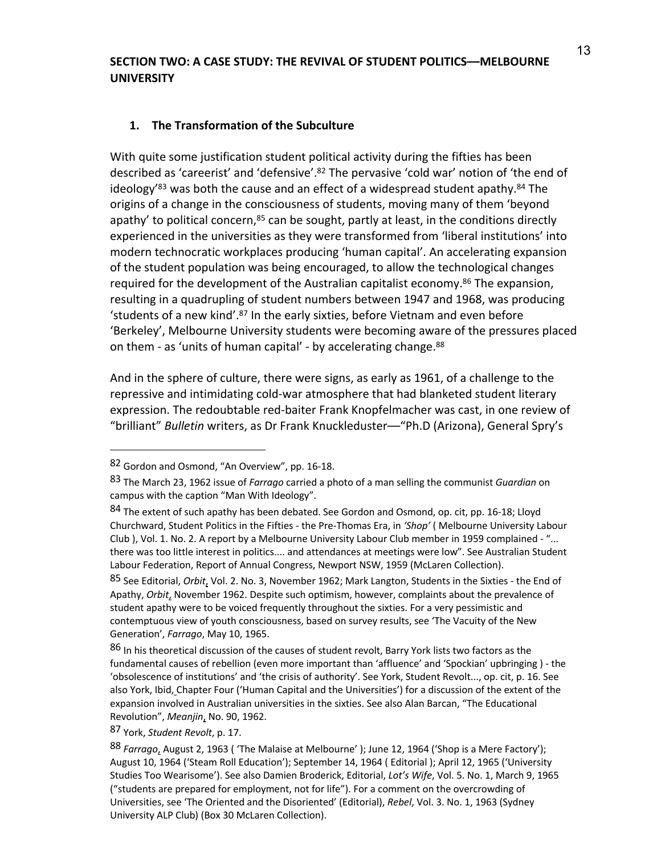## **SECTION TWO: A CASE STUDY: THE REVIVAL OF STUDENT POLITICS––MELBOURNE UNIVERSITY**

# **1. The Transformation of the Subculture**

With quite some justification student political activity during the fifties has been described as 'careerist' and 'defensive'. <sup>82</sup> The pervasive 'cold war' notion of 'the end of ideology'<sup>83</sup> was both the cause and an effect of a widespread student apathy.<sup>84</sup> The origins of a change in the consciousness of students, moving many of them 'beyond apathy' to political concern, $85$  can be sought, partly at least, in the conditions directly experienced in the universities as they were transformed from 'liberal institutions' into modern technocratic workplaces producing 'human capital'. An accelerating expansion of the student population was being encouraged, to allow the technological changes required for the development of the Australian capitalist economy.<sup>86</sup> The expansion, resulting in a quadrupling of student numbers between 1947 and 1968, was producing 'students of a new kind'. <sup>87</sup> In the early sixties, before Vietnam and even before 'Berkeley', Melbourne University students were becoming aware of the pressures placed on them - as 'units of human capital' - by accelerating change.<sup>88</sup>

And in the sphere of culture, there were signs, as early as 1961, of a challenge to the repressive and intimidating cold-war atmosphere that had blanketed student literary expression. The redoubtable red-baiter Frank Knopfelmacher was cast, in one review of "brilliant" *Bulletin* writers, as Dr Frank Knuckleduster––"Ph.D (Arizona), General Spry's

<sup>82</sup> Gordon and Osmond, "An Overview", pp. 16-18.

<sup>83</sup> The March 23, 1962 issue of *Farrago* carried a photo of a man selling the communist *Guardian* on campus with the caption "Man With Ideology".

<sup>84</sup> The extent of such apathy has been debated. See Gordon and Osmond, op. cit, pp. 16-18; Lloyd Churchward, Student Politics in the Fifties - the Pre-Thomas Era, in *'Shop'* ( Melbourne University Labour Club ), Vol. 1. No. 2. A report by a Melbourne University Labour Club member in 1959 complained - "... there was too little interest in politics.... and attendances at meetings were low". See Australian Student Labour Federation, Report of Annual Congress, Newport NSW, 1959 (McLaren Collection).

<sup>85</sup> See Editorial, *Orbit*, Vol. 2. No. 3, November 1962; Mark Langton, Students in the Sixties - the End of Apathy, *Orbit*, November 1962. Despite such optimism, however, complaints about the prevalence of student apathy were to be voiced frequently throughout the sixties. For a very pessimistic and contemptuous view of youth consciousness, based on survey results, see 'The Vacuity of the New Generation', *Farrago*, May 10, 1965.

<sup>86</sup> In his theoretical discussion of the causes of student revolt, Barry York lists two factors as the fundamental causes of rebellion (even more important than 'affluence' and 'Spockian' upbringing ) - the 'obsolescence of institutions' and 'the crisis of authority'. See York, Student Revolt..., op. cit, p. 16. See also York, Ibid, Chapter Four ('Human Capital and the Universities') for a discussion of the extent of the expansion involved in Australian universities in the sixties. See also Alan Barcan, "The Educational Revolution", *Meanjin*, No. 90, 1962.

<sup>87</sup> York, *Student Revolt*, p. 17.

<sup>88</sup> *Farrago*, August 2, 1963 ( 'The Malaise at Melbourne' ); June 12, 1964 ('Shop is a Mere Factory'); August 10, 1964 ('Steam Roll Education'); September 14, 1964 ( Editorial ); April 12, 1965 ('University Studies Too Wearisome'). See also Damien Broderick, Editorial, *Lot's Wife*, Vol. 5. No. 1, March 9, 1965 ("students are prepared for employment, not for life"). For a comment on the overcrowding of Universities, see 'The Oriented and the Disoriented' (Editorial), *Rebel*, Vol. 3. No. 1, 1963 (Sydney University ALP Club) (Box 30 McLaren Collection).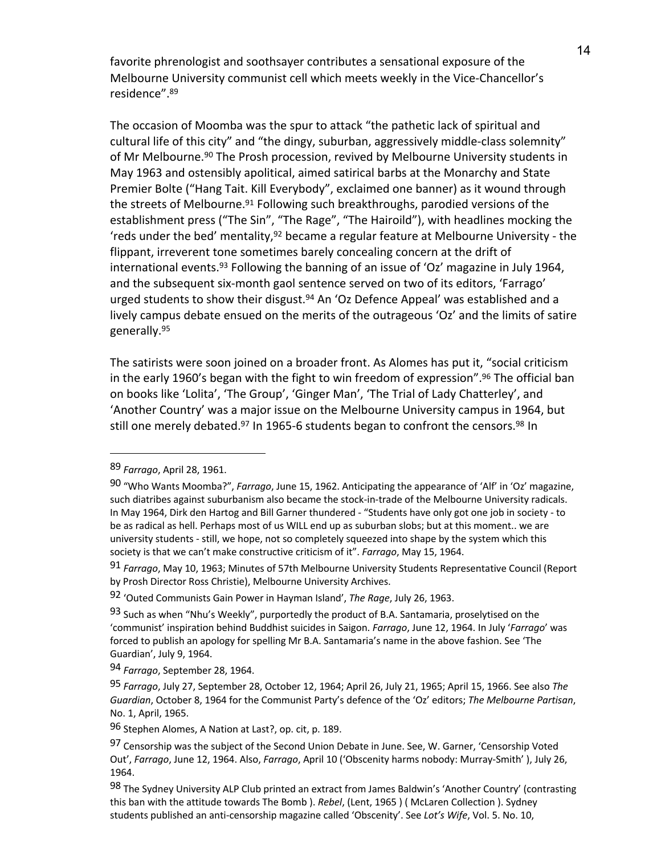favorite phrenologist and soothsayer contributes a sensational exposure of the Melbourne University communist cell which meets weekly in the Vice-Chancellor's residence". 89

The occasion of Moomba was the spur to attack "the pathetic lack of spiritual and cultural life of this city" and "the dingy, suburban, aggressively middle-class solemnity" of Mr Melbourne.<sup>90</sup> The Prosh procession, revived by Melbourne University students in May 1963 and ostensibly apolitical, aimed satirical barbs at the Monarchy and State Premier Bolte ("Hang Tait. Kill Everybody", exclaimed one banner) as it wound through the streets of Melbourne.<sup>91</sup> Following such breakthroughs, parodied versions of the establishment press ("The Sin", "The Rage", "The Hairoild"), with headlines mocking the 'reds under the bed' mentality,92 became a regular feature at Melbourne University - the flippant, irreverent tone sometimes barely concealing concern at the drift of international events.<sup>93</sup> Following the banning of an issue of 'Oz' magazine in July 1964, and the subsequent six-month gaol sentence served on two of its editors, 'Farrago' urged students to show their disgust.94 An 'Oz Defence Appeal' was established and a lively campus debate ensued on the merits of the outrageous 'Oz' and the limits of satire generally.95

The satirists were soon joined on a broader front. As Alomes has put it, "social criticism in the early 1960's began with the fight to win freedom of expression". <sup>96</sup> The official ban on books like 'Lolita', 'The Group', 'Ginger Man', 'The Trial of Lady Chatterley', and 'Another Country' was a major issue on the Melbourne University campus in 1964, but still one merely debated.<sup>97</sup> In 1965-6 students began to confront the censors.<sup>98</sup> In

<sup>89</sup> *Farrago*, April 28, 1961.

<sup>90</sup> "Who Wants Moomba?", *Farrago*, June 15, 1962. Anticipating the appearance of 'Alf' in 'Oz' magazine, such diatribes against suburbanism also became the stock-in-trade of the Melbourne University radicals. In May 1964, Dirk den Hartog and Bill Garner thundered - "Students have only got one job in society - to be as radical as hell. Perhaps most of us WILL end up as suburban slobs; but at this moment.. we are university students - still, we hope, not so completely squeezed into shape by the system which this society is that we can't make constructive criticism of it". *Farrago*, May 15, 1964.

<sup>91</sup> *Farrago*, May 10, 1963; Minutes of 57th Melbourne University Students Representative Council (Report by Prosh Director Ross Christie), Melbourne University Archives.

<sup>92</sup> 'Outed Communists Gain Power in Hayman Island', *The Rage*, July 26, 1963.

 $93$  Such as when "Nhu's Weekly", purportedly the product of B.A. Santamaria, proselytised on the 'communist' inspiration behind Buddhist suicides in Saigon. *Farrago*, June 12, 1964. In July '*Farrago*' was forced to publish an apology for spelling Mr B.A. Santamaria's name in the above fashion. See 'The Guardian', July 9, 1964.

<sup>94</sup> *Farrago*, September 28, 1964.

<sup>95</sup> *Farrago*, July 27, September 28, October 12, 1964; April 26, July 21, 1965; April 15, 1966. See also *The Guardian*, October 8, 1964 for the Communist Party's defence of the 'Oz' editors; *The Melbourne Partisan*, No. 1, April, 1965.

<sup>96</sup> Stephen Alomes, A Nation at Last?, op. cit, p. 189.

<sup>97</sup> Censorship was the subject of the Second Union Debate in June. See, W. Garner, 'Censorship Voted Out', *Farrago*, June 12, 1964. Also, *Farrago*, April 10 ('Obscenity harms nobody: Murray-Smith' ), July 26, 1964.

<sup>98</sup> The Sydney University ALP Club printed an extract from James Baldwin's 'Another Country' (contrasting this ban with the attitude towards The Bomb ). *Rebel*, (Lent, 1965 ) ( McLaren Collection ). Sydney students published an anti-censorship magazine called 'Obscenity'. See *Lot's Wife*, Vol. 5. No. 10,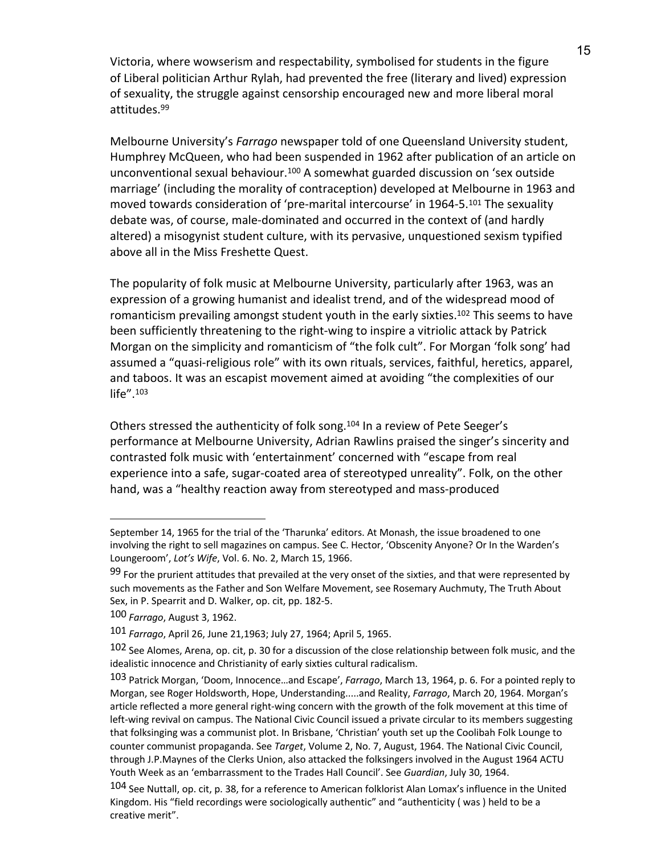Victoria, where wowserism and respectability, symbolised for students in the figure of Liberal politician Arthur Rylah, had prevented the free (literary and lived) expression of sexuality, the struggle against censorship encouraged new and more liberal moral attitudes.99

Melbourne University's *Farrago* newspaper told of one Queensland University student, Humphrey McQueen, who had been suspended in 1962 after publication of an article on unconventional sexual behaviour.100 A somewhat guarded discussion on 'sex outside marriage' (including the morality of contraception) developed at Melbourne in 1963 and moved towards consideration of 'pre-marital intercourse' in 1964-5.101 The sexuality debate was, of course, male-dominated and occurred in the context of (and hardly altered) a misogynist student culture, with its pervasive, unquestioned sexism typified above all in the Miss Freshette Quest.

The popularity of folk music at Melbourne University, particularly after 1963, was an expression of a growing humanist and idealist trend, and of the widespread mood of romanticism prevailing amongst student youth in the early sixties.<sup>102</sup> This seems to have been sufficiently threatening to the right-wing to inspire a vitriolic attack by Patrick Morgan on the simplicity and romanticism of "the folk cult". For Morgan 'folk song' had assumed a "quasi-religious role" with its own rituals, services, faithful, heretics, apparel, and taboos. It was an escapist movement aimed at avoiding "the complexities of our life". 103

Others stressed the authenticity of folk song.<sup>104</sup> In a review of Pete Seeger's performance at Melbourne University, Adrian Rawlins praised the singer's sincerity and contrasted folk music with 'entertainment' concerned with "escape from real experience into a safe, sugar-coated area of stereotyped unreality". Folk, on the other hand, was a "healthy reaction away from stereotyped and mass-produced

September 14, 1965 for the trial of the 'Tharunka' editors. At Monash, the issue broadened to one involving the right to sell magazines on campus. See C. Hector, 'Obscenity Anyone? Or In the Warden's Loungeroom', *Lot's Wife*, Vol. 6. No. 2, March 15, 1966.

 $99$  For the prurient attitudes that prevailed at the very onset of the sixties, and that were represented by such movements as the Father and Son Welfare Movement, see Rosemary Auchmuty, The Truth About Sex, in P. Spearrit and D. Walker, op. cit, pp. 182-5.

<sup>100</sup> *Farrago*, August 3, 1962.

<sup>101</sup> *Farrago*, April 26, June 21,1963; July 27, 1964; April 5, 1965.

<sup>102</sup> See Alomes, Arena, op. cit, p. 30 for a discussion of the close relationship between folk music, and the idealistic innocence and Christianity of early sixties cultural radicalism.

<sup>103</sup> Patrick Morgan, 'Doom, Innocence…and Escape', *Farrago*, March 13, 1964, p. 6. For a pointed reply to Morgan, see Roger Holdsworth, Hope, Understanding.....and Reality, *Farrago*, March 20, 1964. Morgan's article reflected a more general right-wing concern with the growth of the folk movement at this time of left-wing revival on campus. The National Civic Council issued a private circular to its members suggesting that folksinging was a communist plot. In Brisbane, 'Christian' youth set up the Coolibah Folk Lounge to counter communist propaganda. See *Target*, Volume 2, No. 7, August, 1964. The National Civic Council, through J.P.Maynes of the Clerks Union, also attacked the folksingers involved in the August 1964 ACTU Youth Week as an 'embarrassment to the Trades Hall Council'. See *Guardian*, July 30, 1964.

<sup>104</sup> See Nuttall, op. cit, p. 38, for a reference to American folklorist Alan Lomax's influence in the United Kingdom. His "field recordings were sociologically authentic" and "authenticity ( was ) held to be a creative merit".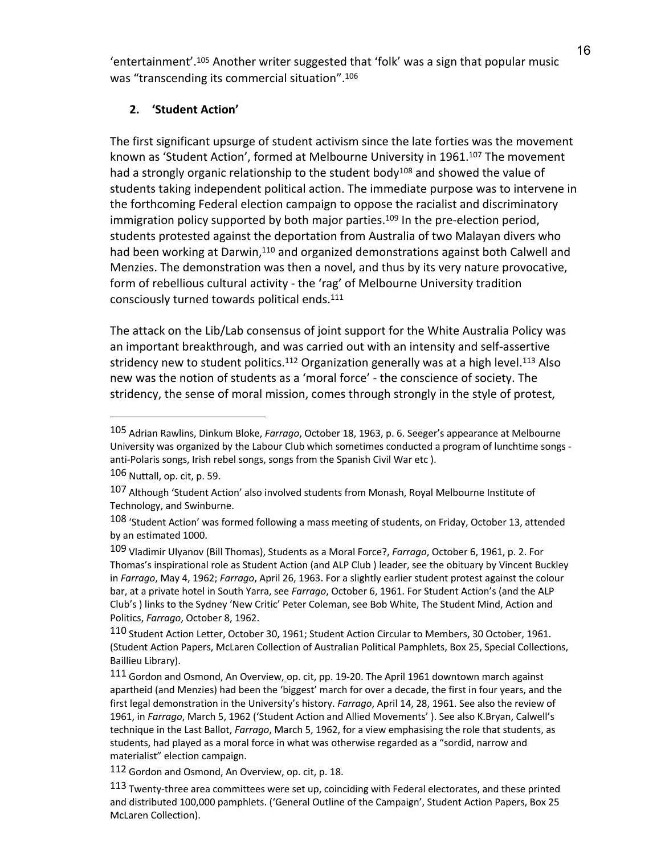<sup>16</sup> 'entertainment'. <sup>105</sup> Another writer suggested that 'folk' was a sign that popular music was "transcending its commercial situation".<sup>106</sup>

# **2. 'Student Action'**

The first significant upsurge of student activism since the late forties was the movement known as 'Student Action', formed at Melbourne University in 1961.<sup>107</sup> The movement had a strongly organic relationship to the student body<sup>108</sup> and showed the value of students taking independent political action. The immediate purpose was to intervene in the forthcoming Federal election campaign to oppose the racialist and discriminatory immigration policy supported by both major parties.<sup>109</sup> In the pre-election period, students protested against the deportation from Australia of two Malayan divers who had been working at Darwin,<sup>110</sup> and organized demonstrations against both Calwell and Menzies. The demonstration was then a novel, and thus by its very nature provocative, form of rebellious cultural activity - the 'rag' of Melbourne University tradition consciously turned towards political ends.111

The attack on the Lib/Lab consensus of joint support for the White Australia Policy was an important breakthrough, and was carried out with an intensity and self-assertive stridency new to student politics.<sup>112</sup> Organization generally was at a high level.<sup>113</sup> Also new was the notion of students as a 'moral force' - the conscience of society. The stridency, the sense of moral mission, comes through strongly in the style of protest,

<sup>105</sup> Adrian Rawlins, Dinkum Bloke, *Farrago*, October 18, 1963, p. 6. Seeger's appearance at Melbourne University was organized by the Labour Club which sometimes conducted a program of lunchtime songs anti-Polaris songs, Irish rebel songs, songs from the Spanish Civil War etc ).

<sup>106</sup> Nuttall, op. cit, p. 59.

<sup>107</sup> Although 'Student Action' also involved students from Monash, Royal Melbourne Institute of Technology, and Swinburne.

 $108$  'Student Action' was formed following a mass meeting of students, on Friday, October 13, attended by an estimated 1000.

<sup>109</sup> Vladimir Ulyanov (Bill Thomas), Students as a Moral Force?, *Farrago*, October 6, 1961, p. 2. For Thomas's inspirational role as Student Action (and ALP Club ) leader, see the obituary by Vincent Buckley in *Farrago*, May 4, 1962; *Farrago*, April 26, 1963. For a slightly earlier student protest against the colour bar, at a private hotel in South Yarra, see *Farrago*, October 6, 1961. For Student Action's (and the ALP Club's ) links to the Sydney 'New Critic' Peter Coleman, see Bob White, The Student Mind, Action and Politics, *Farrago*, October 8, 1962.

<sup>110</sup> Student Action Letter, October 30, 1961; Student Action Circular to Members, 30 October, 1961. (Student Action Papers, McLaren Collection of Australian Political Pamphlets, Box 25, Special Collections, Baillieu Library).

<sup>111</sup> Gordon and Osmond, An Overview, op. cit, pp. 19-20. The April 1961 downtown march against apartheid (and Menzies) had been the 'biggest' march for over a decade, the first in four years, and the first legal demonstration in the University's history. *Farrago*, April 14, 28, 1961. See also the review of 1961, in *Farrago*, March 5, 1962 ('Student Action and Allied Movements' ). See also K.Bryan, Calwell's technique in the Last Ballot, *Farrago*, March 5, 1962, for a view emphasising the role that students, as students, had played as a moral force in what was otherwise regarded as a "sordid, narrow and materialist" election campaign.

<sup>112</sup> Gordon and Osmond, An Overview, op. cit, p. 18.

<sup>113</sup> Twenty-three area committees were set up, coinciding with Federal electorates, and these printed and distributed 100,000 pamphlets. ('General Outline of the Campaign', Student Action Papers, Box 25 McLaren Collection).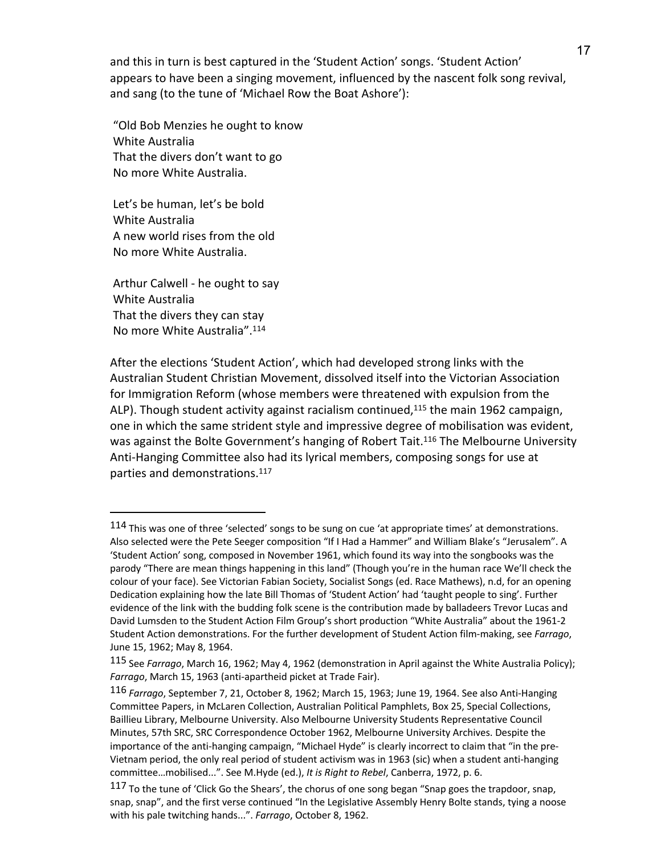and this in turn is best captured in the 'Student Action' songs. 'Student Action' appears to have been a singing movement, influenced by the nascent folk song revival, and sang (to the tune of 'Michael Row the Boat Ashore'):

"Old Bob Menzies he ought to know White Australia That the divers don't want to go No more White Australia.

Let's be human, let's be bold White Australia A new world rises from the old No more White Australia.

Arthur Calwell - he ought to say White Australia That the divers they can stay No more White Australia". 114

 $\overline{a}$ 

After the elections 'Student Action', which had developed strong links with the Australian Student Christian Movement, dissolved itself into the Victorian Association for Immigration Reform (whose members were threatened with expulsion from the ALP). Though student activity against racialism continued, $115$  the main 1962 campaign, one in which the same strident style and impressive degree of mobilisation was evident, was against the Bolte Government's hanging of Robert Tait.<sup>116</sup> The Melbourne University Anti-Hanging Committee also had its lyrical members, composing songs for use at parties and demonstrations. 117

 $114$  This was one of three 'selected' songs to be sung on cue 'at appropriate times' at demonstrations. Also selected were the Pete Seeger composition "If I Had a Hammer" and William Blake's "Jerusalem". A 'Student Action' song, composed in November 1961, which found its way into the songbooks was the parody "There are mean things happening in this land" (Though you're in the human race We'll check the colour of your face). See Victorian Fabian Society, Socialist Songs (ed. Race Mathews), n.d, for an opening Dedication explaining how the late Bill Thomas of 'Student Action' had 'taught people to sing'. Further evidence of the link with the budding folk scene is the contribution made by balladeers Trevor Lucas and David Lumsden to the Student Action Film Group's short production "White Australia" about the 1961-2 Student Action demonstrations. For the further development of Student Action film-making, see *Farrago*, June 15, 1962; May 8, 1964.

<sup>115</sup> See *Farrago*, March 16, 1962; May 4, 1962 (demonstration in April against the White Australia Policy); *Farrago*, March 15, 1963 (anti-apartheid picket at Trade Fair).

<sup>116</sup> *Farrago*, September 7, 21, October 8, 1962; March 15, 1963; June 19, 1964. See also Anti-Hanging Committee Papers, in McLaren Collection, Australian Political Pamphlets, Box 25, Special Collections, Baillieu Library, Melbourne University. Also Melbourne University Students Representative Council Minutes, 57th SRC, SRC Correspondence October 1962, Melbourne University Archives. Despite the importance of the anti-hanging campaign, "Michael Hyde" is clearly incorrect to claim that "in the pre-Vietnam period, the only real period of student activism was in 1963 (sic) when a student anti-hanging committee…mobilised...". See M.Hyde (ed.), *It is Right to Rebel*, Canberra, 1972, p. 6.

<sup>117</sup> To the tune of 'Click Go the Shears', the chorus of one song began "Snap goes the trapdoor, snap, snap, snap", and the first verse continued "In the Legislative Assembly Henry Bolte stands, tying a noose with his pale twitching hands...". *Farrago*, October 8, 1962.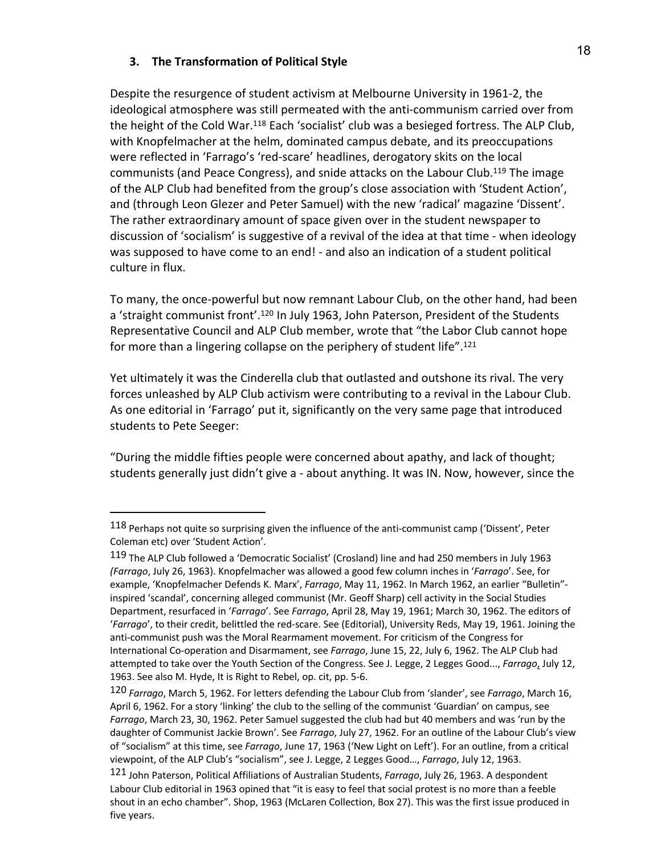# **3. The Transformation of Political Style**

 $\overline{a}$ 

Despite the resurgence of student activism at Melbourne University in 1961-2, the ideological atmosphere was still permeated with the anti-communism carried over from the height of the Cold War.118 Each 'socialist' club was a besieged fortress. The ALP Club, with Knopfelmacher at the helm, dominated campus debate, and its preoccupations were reflected in 'Farrago's 'red-scare' headlines, derogatory skits on the local communists (and Peace Congress), and snide attacks on the Labour Club.119 The image of the ALP Club had benefited from the group's close association with 'Student Action', and (through Leon Glezer and Peter Samuel) with the new 'radical' magazine 'Dissent'. The rather extraordinary amount of space given over in the student newspaper to discussion of 'socialism' is suggestive of a revival of the idea at that time - when ideology was supposed to have come to an end! - and also an indication of a student political culture in flux.

To many, the once-powerful but now remnant Labour Club, on the other hand, had been a 'straight communist front'.<sup>120</sup> In July 1963, John Paterson, President of the Students Representative Council and ALP Club member, wrote that "the Labor Club cannot hope for more than a lingering collapse on the periphery of student life". 121

Yet ultimately it was the Cinderella club that outlasted and outshone its rival. The very forces unleashed by ALP Club activism were contributing to a revival in the Labour Club. As one editorial in 'Farrago' put it, significantly on the very same page that introduced students to Pete Seeger:

"During the middle fifties people were concerned about apathy, and lack of thought; students generally just didn't give a - about anything. It was IN. Now, however, since the

<sup>118</sup> Perhaps not quite so surprising given the influence of the anti-communist camp ('Dissent', Peter Coleman etc) over 'Student Action'.

<sup>119</sup> The ALP Club followed a 'Democratic Socialist' (Crosland) line and had 250 members in July 1963 *(Farrago*, July 26, 1963). Knopfelmacher was allowed a good few column inches in '*Farrago*'. See, for example, 'Knopfelmacher Defends K. Marx', *Farrago*, May 11, 1962. In March 1962, an earlier "Bulletin" inspired 'scandal', concerning alleged communist (Mr. Geoff Sharp) cell activity in the Social Studies Department, resurfaced in '*Farrago*'. See *Farrago*, April 28, May 19, 1961; March 30, 1962. The editors of '*Farrago*', to their credit, belittled the red-scare. See (Editorial), University Reds, May 19, 1961. Joining the anti-communist push was the Moral Rearmament movement. For criticism of the Congress for International Co-operation and Disarmament, see *Farrago*, June 15, 22, July 6, 1962. The ALP Club had attempted to take over the Youth Section of the Congress. See J. Legge, 2 Legges Good..., *Farrago*, July 12, 1963. See also M. Hyde, It is Right to Rebel, op. cit, pp. 5-6.

<sup>120</sup> *Farrago*, March 5, 1962. For letters defending the Labour Club from 'slander', see *Farrago*, March 16, April 6, 1962. For a story 'linking' the club to the selling of the communist 'Guardian' on campus, see *Farrago*, March 23, 30, 1962. Peter Samuel suggested the club had but 40 members and was 'run by the daughter of Communist Jackie Brown'. See *Farrago*, July 27, 1962. For an outline of the Labour Club's view of "socialism" at this time, see *Farrago*, June 17, 1963 ('New Light on Left'). For an outline, from a critical viewpoint, of the ALP Club's "socialism", see J. Legge, 2 Legges Good…, *Farrago*, July 12, 1963.

<sup>121</sup> John Paterson, Political Affiliations of Australian Students, *Farrago*, July 26, 1963. A despondent Labour Club editorial in 1963 opined that "it is easy to feel that social protest is no more than a feeble shout in an echo chamber". Shop, 1963 (McLaren Collection, Box 27). This was the first issue produced in five years.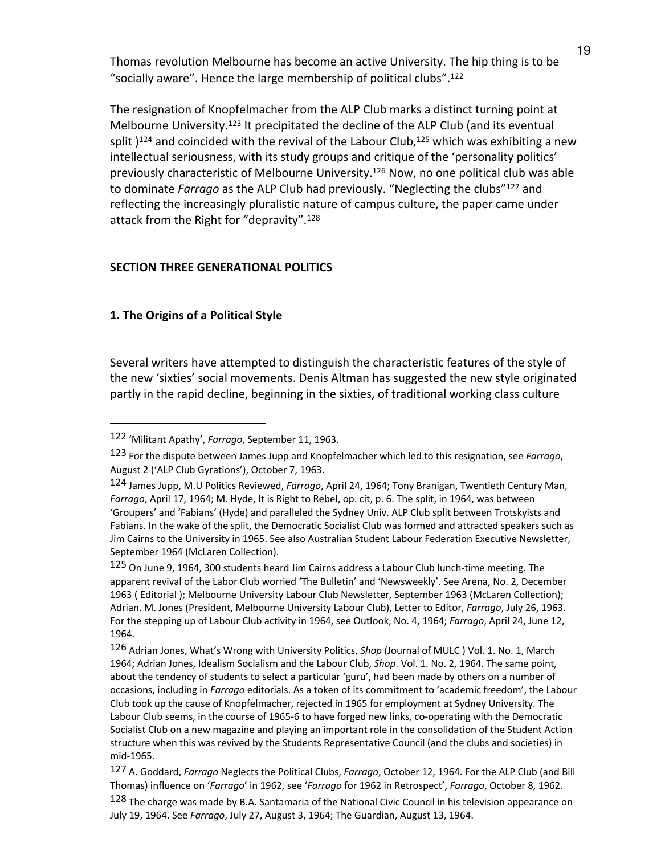Thomas revolution Melbourne has become an active University. The hip thing is to be "socially aware". Hence the large membership of political clubs".122

The resignation of Knopfelmacher from the ALP Club marks a distinct turning point at Melbourne University.123 It precipitated the decline of the ALP Club (and its eventual split  $124$  and coincided with the revival of the Labour Club,  $125$  which was exhibiting a new intellectual seriousness, with its study groups and critique of the 'personality politics' previously characteristic of Melbourne University.126 Now, no one political club was able to dominate *Farrago* as the ALP Club had previously. "Neglecting the clubs"127 and reflecting the increasingly pluralistic nature of campus culture, the paper came under attack from the Right for "depravity".128

# **SECTION THREE GENERATIONAL POLITICS**

# **1. The Origins of a Political Style**

 $\overline{a}$ 

Several writers have attempted to distinguish the characteristic features of the style of the new 'sixties' social movements. Denis Altman has suggested the new style originated partly in the rapid decline, beginning in the sixties, of traditional working class culture

<sup>122</sup> 'Militant Apathy', *Farrago*, September 11, 1963.

<sup>123</sup> For the dispute between James Jupp and Knopfelmacher which led to this resignation, see *Farrago*, August 2 ('ALP Club Gyrations'), October 7, 1963.

<sup>124</sup> James Jupp, M.U Politics Reviewed, *Farrago*, April 24, 1964; Tony Branigan, Twentieth Century Man, *Farrago*, April 17, 1964; M. Hyde, It is Right to Rebel, op. cit, p. 6. The split, in 1964, was between 'Groupers' and 'Fabians' (Hyde) and paralleled the Sydney Univ. ALP Club split between Trotskyists and Fabians. In the wake of the split, the Democratic Socialist Club was formed and attracted speakers such as Jim Cairns to the University in 1965. See also Australian Student Labour Federation Executive Newsletter, September 1964 (McLaren Collection).

<sup>125</sup> On June 9, 1964, 300 students heard Jim Cairns address a Labour Club lunch-time meeting. The apparent revival of the Labor Club worried 'The Bulletin' and 'Newsweekly'. See Arena, No. 2, December 1963 ( Editorial ); Melbourne University Labour Club Newsletter, September 1963 (McLaren Collection); Adrian. M. Jones (President, Melbourne University Labour Club), Letter to Editor, *Farrago*, July 26, 1963. For the stepping up of Labour Club activity in 1964, see Outlook, No. 4, 1964; *Farrago*, April 24, June 12, 1964.

<sup>126</sup> Adrian Jones, What's Wrong with University Politics, *Shop* (Journal of MULC ) Vol. 1. No. 1, March 1964; Adrian Jones, Idealism Socialism and the Labour Club, *Shop*. Vol. 1. No. 2, 1964. The same point, about the tendency of students to select a particular 'guru', had been made by others on a number of occasions, including in *Farrago* editorials. As a token of its commitment to 'academic freedom', the Labour Club took up the cause of Knopfelmacher, rejected in 1965 for employment at Sydney University. The Labour Club seems, in the course of 1965-6 to have forged new links, co-operating with the Democratic Socialist Club on a new magazine and playing an important role in the consolidation of the Student Action structure when this was revived by the Students Representative Council (and the clubs and societies) in mid-1965.

<sup>127</sup> A. Goddard, *Farrago* Neglects the Political Clubs, *Farrago*, October 12, 1964. For the ALP Club (and Bill Thomas) influence on '*Farrago*' in 1962, see '*Farrago* for 1962 in Retrospect', *Farrago*, October 8, 1962.

<sup>128</sup> The charge was made by B.A. Santamaria of the National Civic Council in his television appearance on July 19, 1964. See *Farrago*, July 27, August 3, 1964; The Guardian, August 13, 1964.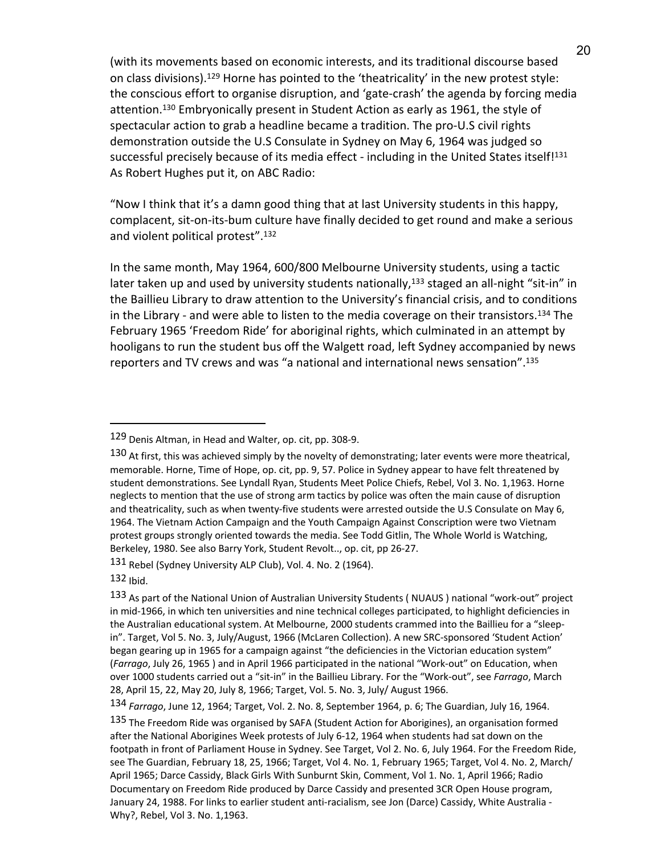(with its movements based on economic interests, and its traditional discourse based on class divisions).129 Horne has pointed to the 'theatricality' in the new protest style: the conscious effort to organise disruption, and 'gate-crash' the agenda by forcing media attention.130 Embryonically present in Student Action as early as 1961, the style of spectacular action to grab a headline became a tradition. The pro-U.S civil rights demonstration outside the U.S Consulate in Sydney on May 6, 1964 was judged so successful precisely because of its media effect - including in the United States itself!<sup>131</sup> As Robert Hughes put it, on ABC Radio:

"Now I think that it's a damn good thing that at last University students in this happy, complacent, sit-on-its-bum culture have finally decided to get round and make a serious and violent political protest". 132

In the same month, May 1964, 600/800 Melbourne University students, using a tactic later taken up and used by university students nationally,<sup>133</sup> staged an all-night "sit-in" in the Baillieu Library to draw attention to the University's financial crisis, and to conditions in the Library - and were able to listen to the media coverage on their transistors.134 The February 1965 'Freedom Ride' for aboriginal rights, which culminated in an attempt by hooligans to run the student bus off the Walgett road, left Sydney accompanied by news reporters and TV crews and was "a national and international news sensation". 135

<sup>129</sup> Denis Altman, in Head and Walter, op. cit, pp. 308-9.

<sup>130</sup> At first, this was achieved simply by the novelty of demonstrating; later events were more theatrical, memorable. Horne, Time of Hope, op. cit, pp. 9, 57. Police in Sydney appear to have felt threatened by student demonstrations. See Lyndall Ryan, Students Meet Police Chiefs, Rebel, Vol 3. No. 1,1963. Horne neglects to mention that the use of strong arm tactics by police was often the main cause of disruption and theatricality, such as when twenty-five students were arrested outside the U.S Consulate on May 6, 1964. The Vietnam Action Campaign and the Youth Campaign Against Conscription were two Vietnam protest groups strongly oriented towards the media. See Todd Gitlin, The Whole World is Watching, Berkeley, 1980. See also Barry York, Student Revolt.., op. cit, pp 26-27.

<sup>131</sup> Rebel (Sydney University ALP Club), Vol. 4. No. 2 (1964).

<sup>132</sup> Ibid.

<sup>133</sup> As part of the National Union of Australian University Students ( NUAUS ) national "work-out" project in mid-1966, in which ten universities and nine technical colleges participated, to highlight deficiencies in the Australian educational system. At Melbourne, 2000 students crammed into the Baillieu for a "sleepin". Target, Vol 5. No. 3, July/August, 1966 (McLaren Collection). A new SRC-sponsored 'Student Action' began gearing up in 1965 for a campaign against "the deficiencies in the Victorian education system" (*Farrago*, July 26, 1965 ) and in April 1966 participated in the national "Work-out" on Education, when over 1000 students carried out a "sit-in" in the Baillieu Library. For the "Work-out", see *Farrago*, March 28, April 15, 22, May 20, July 8, 1966; Target, Vol. 5. No. 3, July/ August 1966.

<sup>134</sup> *Farrago*, June 12, 1964; Target, Vol. 2. No. 8, September 1964, p. 6; The Guardian, July 16, 1964.

<sup>135</sup> The Freedom Ride was organised by SAFA (Student Action for Aborigines), an organisation formed after the National Aborigines Week protests of July 6-12, 1964 when students had sat down on the footpath in front of Parliament House in Sydney. See Target, Vol 2. No. 6, July 1964. For the Freedom Ride, see The Guardian, February 18, 25, 1966; Target, Vol 4. No. 1, February 1965; Target, Vol 4. No. 2, March/ April 1965; Darce Cassidy, Black Girls With Sunburnt Skin, Comment, Vol 1. No. 1, April 1966; Radio Documentary on Freedom Ride produced by Darce Cassidy and presented 3CR Open House program, January 24, 1988. For links to earlier student anti-racialism, see Jon (Darce) Cassidy, White Australia - Why?, Rebel, Vol 3. No. 1,1963.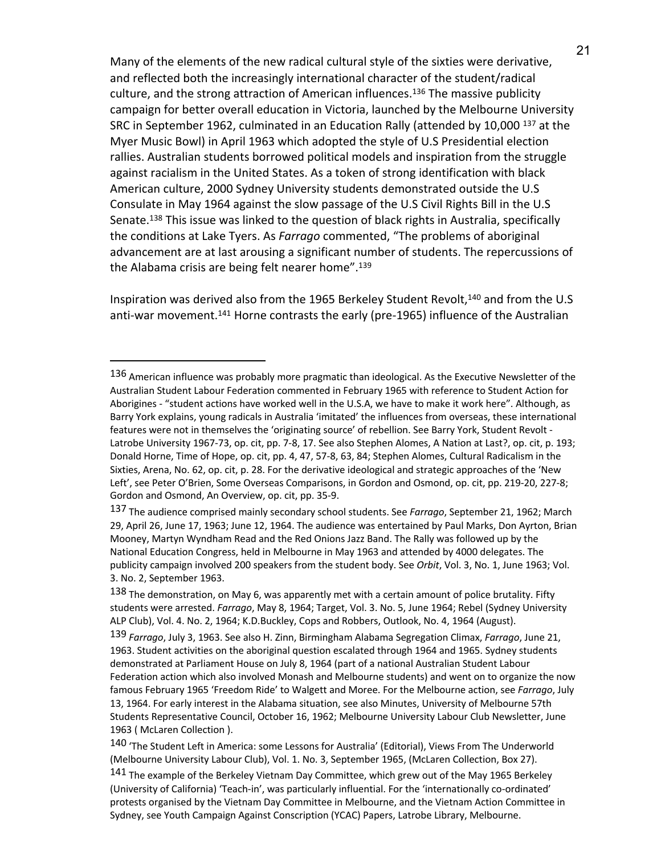Many of the elements of the new radical cultural style of the sixties were derivative, and reflected both the increasingly international character of the student/radical culture, and the strong attraction of American influences.<sup>136</sup> The massive publicity campaign for better overall education in Victoria, launched by the Melbourne University SRC in September 1962, culminated in an Education Rally (attended by 10,000 <sup>137</sup> at the Myer Music Bowl) in April 1963 which adopted the style of U.S Presidential election rallies. Australian students borrowed political models and inspiration from the struggle against racialism in the United States. As a token of strong identification with black American culture, 2000 Sydney University students demonstrated outside the U.S Consulate in May 1964 against the slow passage of the U.S Civil Rights Bill in the U.S Senate.138 This issue was linked to the question of black rights in Australia, specifically the conditions at Lake Tyers. As *Farrago* commented, "The problems of aboriginal advancement are at last arousing a significant number of students. The repercussions of the Alabama crisis are being felt nearer home". 139

Inspiration was derived also from the 1965 Berkeley Student Revolt,<sup>140</sup> and from the U.S anti-war movement.<sup>141</sup> Horne contrasts the early (pre-1965) influence of the Australian

<sup>136</sup> American influence was probably more pragmatic than ideological. As the Executive Newsletter of the Australian Student Labour Federation commented in February 1965 with reference to Student Action for Aborigines - "student actions have worked well in the U.S.A, we have to make it work here". Although, as Barry York explains, young radicals in Australia 'imitated' the influences from overseas, these international features were not in themselves the 'originating source' of rebellion. See Barry York, Student Revolt - Latrobe University 1967-73, op. cit, pp. 7-8, 17. See also Stephen Alomes, A Nation at Last?, op. cit, p. 193; Donald Horne, Time of Hope, op. cit, pp. 4, 47, 57-8, 63, 84; Stephen Alomes, Cultural Radicalism in the Sixties, Arena, No. 62, op. cit, p. 28. For the derivative ideological and strategic approaches of the 'New Left', see Peter O'Brien, Some Overseas Comparisons, in Gordon and Osmond, op. cit, pp. 219-20, 227-8; Gordon and Osmond, An Overview, op. cit, pp. 35-9.

<sup>137</sup> The audience comprised mainly secondary school students. See *Farrago*, September 21, 1962; March 29, April 26, June 17, 1963; June 12, 1964. The audience was entertained by Paul Marks, Don Ayrton, Brian Mooney, Martyn Wyndham Read and the Red Onions Jazz Band. The Rally was followed up by the National Education Congress, held in Melbourne in May 1963 and attended by 4000 delegates. The publicity campaign involved 200 speakers from the student body. See *Orbit*, Vol. 3, No. 1, June 1963; Vol. 3. No. 2, September 1963.

<sup>138</sup> The demonstration, on May 6, was apparently met with a certain amount of police brutality. Fifty students were arrested. *Farrago*, May 8, 1964; Target, Vol. 3. No. 5, June 1964; Rebel (Sydney University ALP Club), Vol. 4. No. 2, 1964; K.D.Buckley, Cops and Robbers, Outlook, No. 4, 1964 (August).

<sup>139</sup> *Farrago*, July 3, 1963. See also H. Zinn, Birmingham Alabama Segregation Climax, *Farrago*, June 21, 1963. Student activities on the aboriginal question escalated through 1964 and 1965. Sydney students demonstrated at Parliament House on July 8, 1964 (part of a national Australian Student Labour Federation action which also involved Monash and Melbourne students) and went on to organize the now famous February 1965 'Freedom Ride' to Walgett and Moree. For the Melbourne action, see *Farrago*, July 13, 1964. For early interest in the Alabama situation, see also Minutes, University of Melbourne 57th Students Representative Council, October 16, 1962; Melbourne University Labour Club Newsletter, June 1963 ( McLaren Collection ).

<sup>140</sup> 'The Student Left in America: some Lessons for Australia' (Editorial), Views From The Underworld (Melbourne University Labour Club), Vol. 1. No. 3, September 1965, (McLaren Collection, Box 27).

<sup>141</sup> The example of the Berkeley Vietnam Day Committee, which grew out of the May 1965 Berkeley (University of California) 'Teach-in', was particularly influential. For the 'internationally co-ordinated' protests organised by the Vietnam Day Committee in Melbourne, and the Vietnam Action Committee in Sydney, see Youth Campaign Against Conscription (YCAC) Papers, Latrobe Library, Melbourne.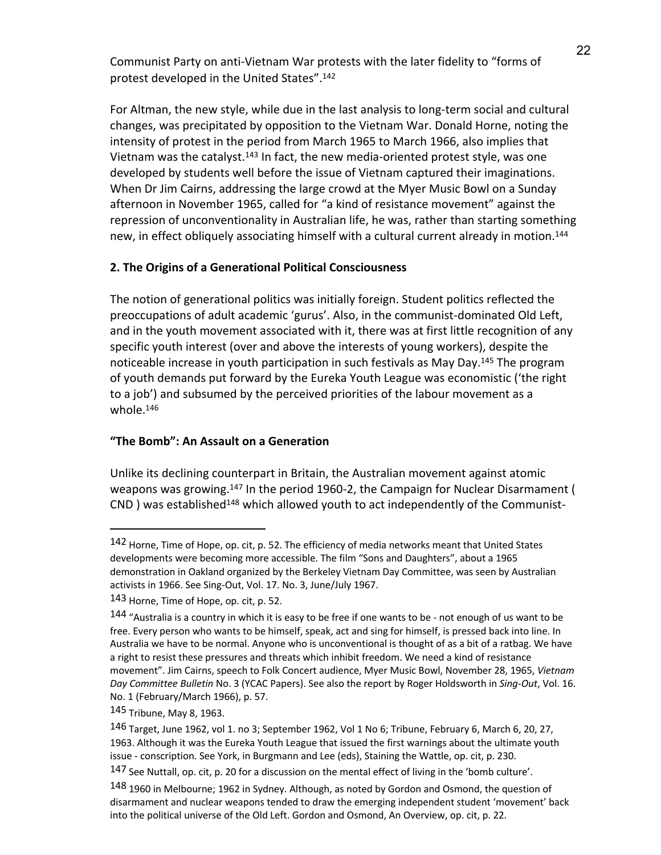Communist Party on anti-Vietnam War protests with the later fidelity to "forms of protest developed in the United States". 142

For Altman, the new style, while due in the last analysis to long-term social and cultural changes, was precipitated by opposition to the Vietnam War. Donald Horne, noting the intensity of protest in the period from March 1965 to March 1966, also implies that Vietnam was the catalyst.143 In fact, the new media-oriented protest style, was one developed by students well before the issue of Vietnam captured their imaginations. When Dr Jim Cairns, addressing the large crowd at the Myer Music Bowl on a Sunday afternoon in November 1965, called for "a kind of resistance movement" against the repression of unconventionality in Australian life, he was, rather than starting something new, in effect obliquely associating himself with a cultural current already in motion.<sup>144</sup>

# **2. The Origins of a Generational Political Consciousness**

The notion of generational politics was initially foreign. Student politics reflected the preoccupations of adult academic 'gurus'. Also, in the communist-dominated Old Left, and in the youth movement associated with it, there was at first little recognition of any specific youth interest (over and above the interests of young workers), despite the noticeable increase in youth participation in such festivals as May Day.145 The program of youth demands put forward by the Eureka Youth League was economistic ('the right to a job') and subsumed by the perceived priorities of the labour movement as a whole.146

# **"The Bomb": An Assault on a Generation**

Unlike its declining counterpart in Britain, the Australian movement against atomic weapons was growing.147 In the period 1960-2, the Campaign for Nuclear Disarmament (  $CND$ ) was established<sup>148</sup> which allowed youth to act independently of the Communist-

<sup>142</sup> Horne, Time of Hope, op. cit, p. 52. The efficiency of media networks meant that United States developments were becoming more accessible. The film "Sons and Daughters", about a 1965 demonstration in Oakland organized by the Berkeley Vietnam Day Committee, was seen by Australian activists in 1966. See Sing-Out, Vol. 17. No. 3, June/July 1967.

<sup>143</sup> Horne, Time of Hope, op. cit, p. 52.

<sup>144</sup> "Australia is a country in which it is easy to be free if one wants to be - not enough of us want to be free. Every person who wants to be himself, speak, act and sing for himself, is pressed back into line. In Australia we have to be normal. Anyone who is unconventional is thought of as a bit of a ratbag. We have a right to resist these pressures and threats which inhibit freedom. We need a kind of resistance movement". Jim Cairns, speech to Folk Concert audience, Myer Music Bowl, November 28, 1965, *Vietnam Day Committee Bulletin* No. 3 (YCAC Papers). See also the report by Roger Holdsworth in *Sing-Out*, Vol. 16. No. 1 (February/March 1966), p. 57.

<sup>145</sup> Tribune, May 8, 1963.

<sup>146</sup> Target, June 1962, vol 1. no 3; September 1962, Vol 1 No 6; Tribune, February 6, March 6, 20, 27, 1963. Although it was the Eureka Youth League that issued the first warnings about the ultimate youth issue - conscription. See York, in Burgmann and Lee (eds), Staining the Wattle, op. cit, p. 230.

<sup>147</sup> See Nuttall, op. cit, p. 20 for a discussion on the mental effect of living in the 'bomb culture'.

<sup>148</sup> 1960 in Melbourne; 1962 in Sydney. Although, as noted by Gordon and Osmond, the question of disarmament and nuclear weapons tended to draw the emerging independent student 'movement' back into the political universe of the Old Left. Gordon and Osmond, An Overview, op. cit, p. 22.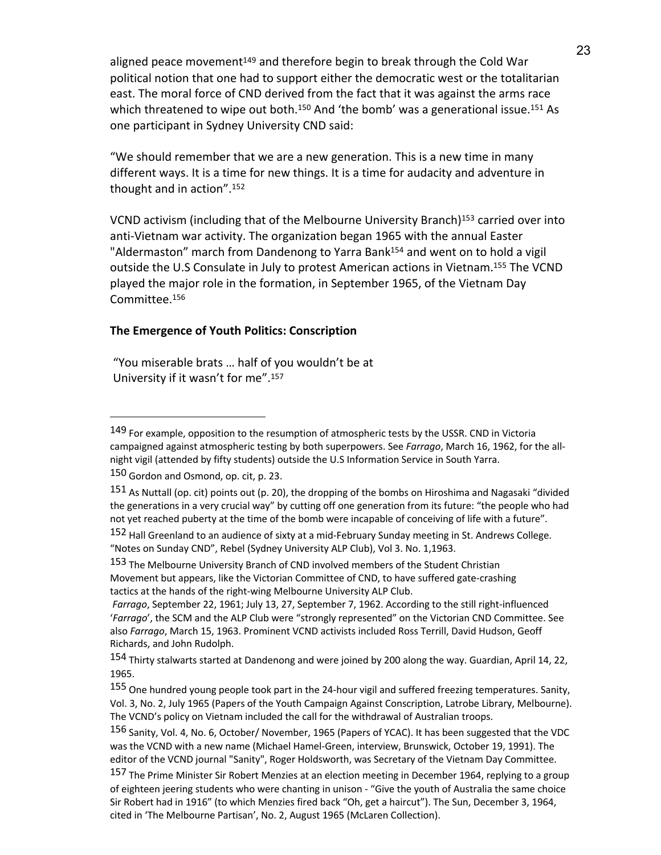aligned peace movement<sup>149</sup> and therefore begin to break through the Cold War political notion that one had to support either the democratic west or the totalitarian east. The moral force of CND derived from the fact that it was against the arms race which threatened to wipe out both.<sup>150</sup> And 'the bomb' was a generational issue.<sup>151</sup> As one participant in Sydney University CND said:

"We should remember that we are a new generation. This is a new time in many different ways. It is a time for new things. It is a time for audacity and adventure in thought and in action". 152

VCND activism (including that of the Melbourne University Branch)153 carried over into anti-Vietnam war activity. The organization began 1965 with the annual Easter "Aldermaston" march from Dandenong to Yarra Bank<sup>154</sup> and went on to hold a vigil outside the U.S Consulate in July to protest American actions in Vietnam.155 The VCND played the major role in the formation, in September 1965, of the Vietnam Day Committee.156

## **The Emergence of Youth Politics: Conscription**

"You miserable brats … half of you wouldn't be at University if it wasn't for me".<sup>157</sup>

 $\overline{a}$ 

153 The Melbourne University Branch of CND involved members of the Student Christian Movement but appears, like the Victorian Committee of CND, to have suffered gate-crashing tactics at the hands of the right-wing Melbourne University ALP Club.

<sup>149</sup> For example, opposition to the resumption of atmospheric tests by the USSR. CND in Victoria campaigned against atmospheric testing by both superpowers. See *Farrago*, March 16, 1962, for the allnight vigil (attended by fifty students) outside the U.S Information Service in South Yarra.

<sup>150</sup> Gordon and Osmond, op. cit, p. 23.

<sup>&</sup>lt;sup>151</sup> As Nuttall (op. cit) points out (p. 20), the dropping of the bombs on Hiroshima and Nagasaki "divided the generations in a very crucial way" by cutting off one generation from its future: "the people who had not yet reached puberty at the time of the bomb were incapable of conceiving of life with a future".

<sup>152</sup> Hall Greenland to an audience of sixty at a mid-February Sunday meeting in St. Andrews College. "Notes on Sunday CND", Rebel (Sydney University ALP Club), Vol 3. No. 1,1963.

*Farrago*, September 22, 1961; July 13, 27, September 7, 1962. According to the still right-influenced '*Farrago*', the SCM and the ALP Club were "strongly represented" on the Victorian CND Committee. See also *Farrago*, March 15, 1963. Prominent VCND activists included Ross Terrill, David Hudson, Geoff Richards, and John Rudolph.

<sup>154</sup> Thirty stalwarts started at Dandenong and were joined by 200 along the way. Guardian, April 14, 22, 1965.

<sup>155</sup> One hundred young people took part in the 24-hour vigil and suffered freezing temperatures. Sanity, Vol. 3, No. 2, July 1965 (Papers of the Youth Campaign Against Conscription, Latrobe Library, Melbourne). The VCND's policy on Vietnam included the call for the withdrawal of Australian troops.

<sup>156</sup> Sanity, Vol. 4, No. 6, October/ November, 1965 (Papers of YCAC). It has been suggested that the VDC was the VCND with a new name (Michael Hamel-Green, interview, Brunswick, October 19, 1991). The editor of the VCND journal "Sanity", Roger Holdsworth, was Secretary of the Vietnam Day Committee.

<sup>157</sup> The Prime Minister Sir Robert Menzies at an election meeting in December 1964, replying to a group of eighteen jeering students who were chanting in unison - "Give the youth of Australia the same choice Sir Robert had in 1916" (to which Menzies fired back "Oh, get a haircut"). The Sun, December 3, 1964, cited in 'The Melbourne Partisan', No. 2, August 1965 (McLaren Collection).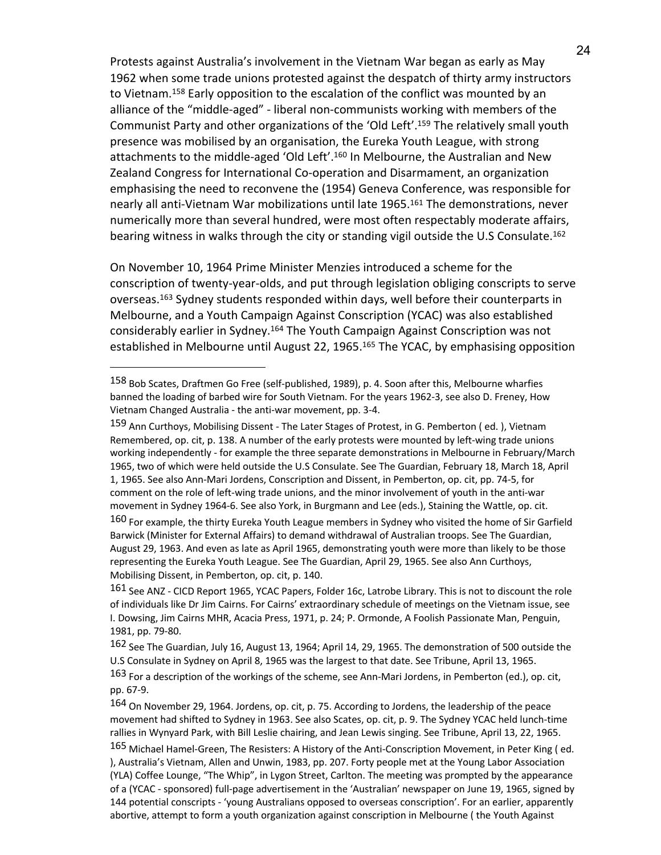Protests against Australia's involvement in the Vietnam War began as early as May 1962 when some trade unions protested against the despatch of thirty army instructors to Vietnam.<sup>158</sup> Early opposition to the escalation of the conflict was mounted by an alliance of the "middle-aged" - liberal non-communists working with members of the Communist Party and other organizations of the 'Old Left'. <sup>159</sup> The relatively small youth presence was mobilised by an organisation, the Eureka Youth League, with strong attachments to the middle-aged 'Old Left'. <sup>160</sup> In Melbourne, the Australian and New Zealand Congress for International Co-operation and Disarmament, an organization emphasising the need to reconvene the (1954) Geneva Conference, was responsible for nearly all anti-Vietnam War mobilizations until late 1965.<sup>161</sup> The demonstrations, never numerically more than several hundred, were most often respectably moderate affairs, bearing witness in walks through the city or standing vigil outside the U.S Consulate.<sup>162</sup>

On November 10, 1964 Prime Minister Menzies introduced a scheme for the conscription of twenty-year-olds, and put through legislation obliging conscripts to serve overseas.163 Sydney students responded within days, well before their counterparts in Melbourne, and a Youth Campaign Against Conscription (YCAC) was also established considerably earlier in Sydney.164 The Youth Campaign Against Conscription was not established in Melbourne until August 22, 1965.<sup>165</sup> The YCAC, by emphasising opposition

<sup>158</sup> Bob Scates, Draftmen Go Free (self-published, 1989), p. 4. Soon after this, Melbourne wharfies banned the loading of barbed wire for South Vietnam. For the years 1962-3, see also D. Freney, How Vietnam Changed Australia - the anti-war movement, pp. 3-4.

<sup>159</sup> Ann Curthoys, Mobilising Dissent - The Later Stages of Protest, in G. Pemberton (ed.), Vietnam Remembered, op. cit, p. 138. A number of the early protests were mounted by left-wing trade unions working independently - for example the three separate demonstrations in Melbourne in February/March 1965, two of which were held outside the U.S Consulate. See The Guardian, February 18, March 18, April 1, 1965. See also Ann-Mari Jordens, Conscription and Dissent, in Pemberton, op. cit, pp. 74-5, for comment on the role of left-wing trade unions, and the minor involvement of youth in the anti-war movement in Sydney 1964-6. See also York, in Burgmann and Lee (eds.), Staining the Wattle, op. cit.

<sup>160</sup> For example, the thirty Eureka Youth League members in Sydney who visited the home of Sir Garfield Barwick (Minister for External Affairs) to demand withdrawal of Australian troops. See The Guardian, August 29, 1963. And even as late as April 1965, demonstrating youth were more than likely to be those representing the Eureka Youth League. See The Guardian, April 29, 1965. See also Ann Curthoys, Mobilising Dissent, in Pemberton, op. cit, p. 140.

<sup>161</sup> See ANZ - CICD Report 1965, YCAC Papers, Folder 16c, Latrobe Library. This is not to discount the role of individuals like Dr Jim Cairns. For Cairns' extraordinary schedule of meetings on the Vietnam issue, see I. Dowsing, Jim Cairns MHR, Acacia Press, 1971, p. 24; P. Ormonde, A Foolish Passionate Man, Penguin, 1981, pp. 79-80.

<sup>162</sup> See The Guardian, July 16, August 13, 1964; April 14, 29, 1965. The demonstration of 500 outside the U.S Consulate in Sydney on April 8, 1965 was the largest to that date. See Tribune, April 13, 1965.

<sup>163</sup> For a description of the workings of the scheme, see Ann-Mari Jordens, in Pemberton (ed.), op. cit, pp. 67-9.

<sup>164</sup> On November 29, 1964. Jordens, op. cit, p. 75. According to Jordens, the leadership of the peace movement had shifted to Sydney in 1963. See also Scates, op. cit, p. 9. The Sydney YCAC held lunch-time rallies in Wynyard Park, with Bill Leslie chairing, and Jean Lewis singing. See Tribune, April 13, 22, 1965.

<sup>165</sup> Michael Hamel-Green, The Resisters: A History of the Anti-Conscription Movement, in Peter King ( ed. ), Australia's Vietnam, Allen and Unwin, 1983, pp. 207. Forty people met at the Young Labor Association (YLA) Coffee Lounge, "The Whip", in Lygon Street, Carlton. The meeting was prompted by the appearance of a (YCAC - sponsored) full-page advertisement in the 'Australian' newspaper on June 19, 1965, signed by 144 potential conscripts - 'young Australians opposed to overseas conscription'. For an earlier, apparently abortive, attempt to form a youth organization against conscription in Melbourne ( the Youth Against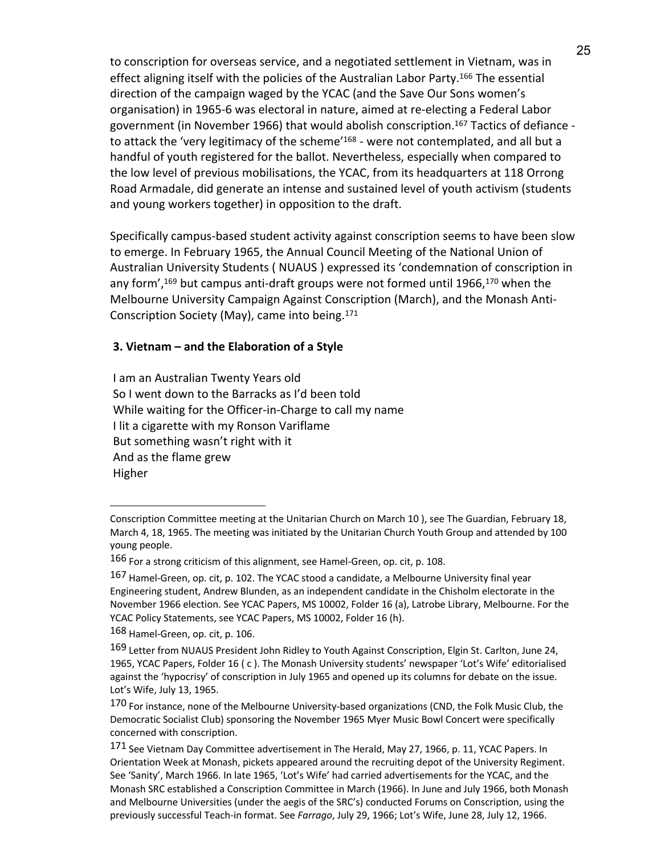to conscription for overseas service, and a negotiated settlement in Vietnam, was in effect aligning itself with the policies of the Australian Labor Party.166 The essential direction of the campaign waged by the YCAC (and the Save Our Sons women's organisation) in 1965-6 was electoral in nature, aimed at re-electing a Federal Labor government (in November 1966) that would abolish conscription.167 Tactics of defiance to attack the 'very legitimacy of the scheme'<sup>168</sup> - were not contemplated, and all but a handful of youth registered for the ballot. Nevertheless, especially when compared to the low level of previous mobilisations, the YCAC, from its headquarters at 118 Orrong Road Armadale, did generate an intense and sustained level of youth activism (students and young workers together) in opposition to the draft.

Specifically campus-based student activity against conscription seems to have been slow to emerge. In February 1965, the Annual Council Meeting of the National Union of Australian University Students ( NUAUS ) expressed its 'condemnation of conscription in any form', <sup>169</sup> but campus anti-draft groups were not formed until 1966,170 when the Melbourne University Campaign Against Conscription (March), and the Monash Anti-Conscription Society (May), came into being.171

## **3. Vietnam – and the Elaboration of a Style**

I am an Australian Twenty Years old So I went down to the Barracks as I'd been told While waiting for the Officer-in-Charge to call my name I lit a cigarette with my Ronson Variflame But something wasn't right with it And as the flame grew Higher

Conscription Committee meeting at the Unitarian Church on March 10 ), see The Guardian, February 18, March 4, 18, 1965. The meeting was initiated by the Unitarian Church Youth Group and attended by 100 young people.

<sup>166</sup> For a strong criticism of this alignment, see Hamel-Green, op. cit, p. 108.

<sup>167</sup> Hamel-Green, op. cit, p. 102. The YCAC stood a candidate, a Melbourne University final year Engineering student, Andrew Blunden, as an independent candidate in the Chisholm electorate in the November 1966 election. See YCAC Papers, MS 10002, Folder 16 (a), Latrobe Library, Melbourne. For the YCAC Policy Statements, see YCAC Papers, MS 10002, Folder 16 (h).

<sup>168</sup> Hamel-Green, op. cit, p. 106.

<sup>169</sup> Letter from NUAUS President John Ridley to Youth Against Conscription, Elgin St. Carlton, June 24, 1965, YCAC Papers, Folder 16 ( c ). The Monash University students' newspaper 'Lot's Wife' editorialised against the 'hypocrisy' of conscription in July 1965 and opened up its columns for debate on the issue. Lot's Wife, July 13, 1965.

<sup>170</sup> For instance, none of the Melbourne University-based organizations (CND, the Folk Music Club, the Democratic Socialist Club) sponsoring the November 1965 Myer Music Bowl Concert were specifically concerned with conscription.

<sup>171</sup> See Vietnam Day Committee advertisement in The Herald, May 27, 1966, p. 11, YCAC Papers. In Orientation Week at Monash, pickets appeared around the recruiting depot of the University Regiment. See 'Sanity', March 1966. In late 1965, 'Lot's Wife' had carried advertisements for the YCAC, and the Monash SRC established a Conscription Committee in March (1966). In June and July 1966, both Monash and Melbourne Universities (under the aegis of the SRC's) conducted Forums on Conscription, using the previously successful Teach-in format. See *Farrago*, July 29, 1966; Lot's Wife, June 28, July 12, 1966.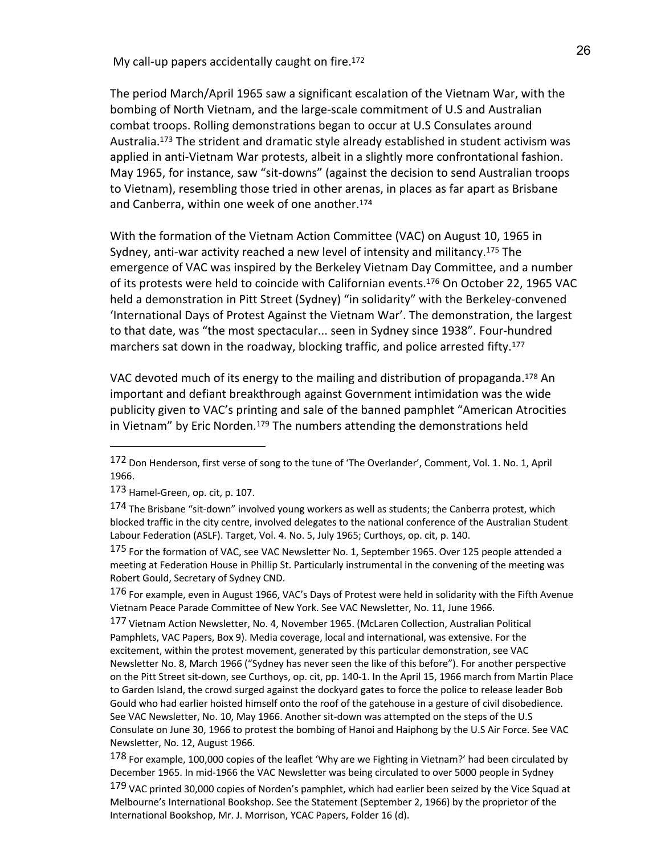My call-up papers accidentally caught on fire.<sup>172</sup>

The period March/April 1965 saw a significant escalation of the Vietnam War, with the bombing of North Vietnam, and the large-scale commitment of U.S and Australian combat troops. Rolling demonstrations began to occur at U.S Consulates around Australia.<sup>173</sup> The strident and dramatic style already established in student activism was applied in anti-Vietnam War protests, albeit in a slightly more confrontational fashion. May 1965, for instance, saw "sit-downs" (against the decision to send Australian troops to Vietnam), resembling those tried in other arenas, in places as far apart as Brisbane and Canberra, within one week of one another.174

With the formation of the Vietnam Action Committee (VAC) on August 10, 1965 in Sydney, anti-war activity reached a new level of intensity and militancy.175 The emergence of VAC was inspired by the Berkeley Vietnam Day Committee, and a number of its protests were held to coincide with Californian events.176 On October 22, 1965 VAC held a demonstration in Pitt Street (Sydney) "in solidarity" with the Berkeley-convened 'International Days of Protest Against the Vietnam War'. The demonstration, the largest to that date, was "the most spectacular... seen in Sydney since 1938". Four-hundred marchers sat down in the roadway, blocking traffic, and police arrested fifty.<sup>177</sup>

VAC devoted much of its energy to the mailing and distribution of propaganda.<sup>178</sup> An important and defiant breakthrough against Government intimidation was the wide publicity given to VAC's printing and sale of the banned pamphlet "American Atrocities in Vietnam" by Eric Norden. $179$  The numbers attending the demonstrations held

 $\overline{a}$ 

176 For example, even in August 1966, VAC's Days of Protest were held in solidarity with the Fifth Avenue Vietnam Peace Parade Committee of New York. See VAC Newsletter, No. 11, June 1966.

177 Vietnam Action Newsletter, No. 4, November 1965. (McLaren Collection, Australian Political Pamphlets, VAC Papers, Box 9). Media coverage, local and international, was extensive. For the excitement, within the protest movement, generated by this particular demonstration, see VAC Newsletter No. 8, March 1966 ("Sydney has never seen the like of this before"). For another perspective on the Pitt Street sit-down, see Curthoys, op. cit, pp. 140-1. In the April 15, 1966 march from Martin Place to Garden Island, the crowd surged against the dockyard gates to force the police to release leader Bob Gould who had earlier hoisted himself onto the roof of the gatehouse in a gesture of civil disobedience. See VAC Newsletter, No. 10, May 1966. Another sit-down was attempted on the steps of the U.S Consulate on June 30, 1966 to protest the bombing of Hanoi and Haiphong by the U.S Air Force. See VAC Newsletter, No. 12, August 1966.

179 VAC printed 30,000 copies of Norden's pamphlet, which had earlier been seized by the Vice Squad at Melbourne's International Bookshop. See the Statement (September 2, 1966) by the proprietor of the International Bookshop, Mr. J. Morrison, YCAC Papers, Folder 16 (d).

<sup>172</sup> Don Henderson, first verse of song to the tune of 'The Overlander', Comment, Vol. 1. No. 1, April 1966.

<sup>173</sup> Hamel-Green, op. cit, p. 107.

<sup>174</sup> The Brisbane "sit-down" involved young workers as well as students; the Canberra protest, which blocked traffic in the city centre, involved delegates to the national conference of the Australian Student Labour Federation (ASLF). Target, Vol. 4. No. 5, July 1965; Curthoys, op. cit, p. 140.

<sup>175</sup> For the formation of VAC, see VAC Newsletter No. 1, September 1965. Over 125 people attended a meeting at Federation House in Phillip St. Particularly instrumental in the convening of the meeting was Robert Gould, Secretary of Sydney CND.

<sup>178</sup> For example, 100,000 copies of the leaflet 'Why are we Fighting in Vietnam?' had been circulated by December 1965. In mid-1966 the VAC Newsletter was being circulated to over 5000 people in Sydney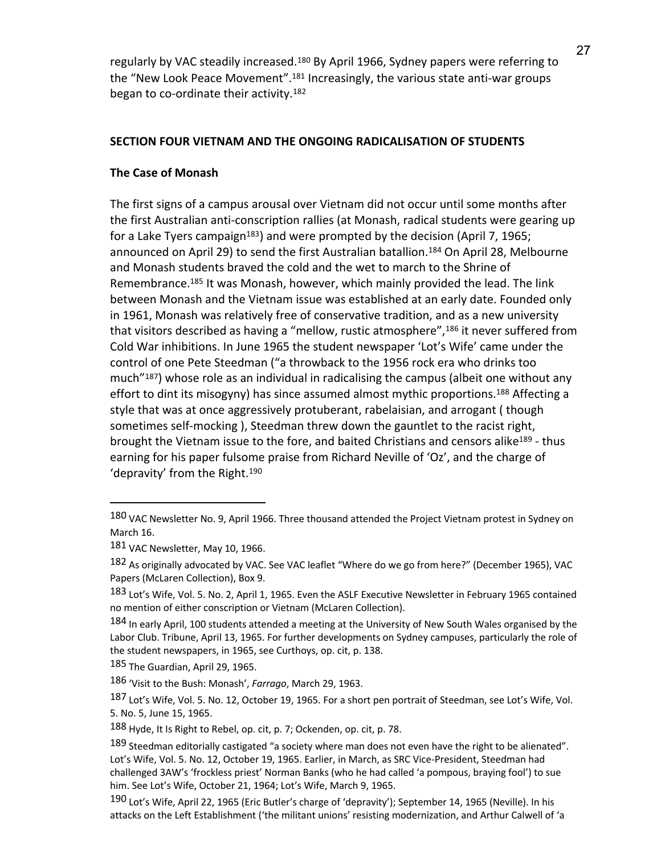regularly by VAC steadily increased.<sup>180</sup> By April 1966, Sydney papers were referring to the "New Look Peace Movement".<sup>181</sup> Increasingly, the various state anti-war groups began to co-ordinate their activity.182

## **SECTION FOUR VIETNAM AND THE ONGOING RADICALISATION OF STUDENTS**

## **The Case of Monash**

The first signs of a campus arousal over Vietnam did not occur until some months after the first Australian anti-conscription rallies (at Monash, radical students were gearing up for a Lake Tyers campaign<sup>183</sup>) and were prompted by the decision (April 7, 1965; announced on April 29) to send the first Australian batallion.184 On April 28, Melbourne and Monash students braved the cold and the wet to march to the Shrine of Remembrance.185 It was Monash, however, which mainly provided the lead. The link between Monash and the Vietnam issue was established at an early date. Founded only in 1961, Monash was relatively free of conservative tradition, and as a new university that visitors described as having a "mellow, rustic atmosphere",<sup>186</sup> it never suffered from Cold War inhibitions. In June 1965 the student newspaper 'Lot's Wife' came under the control of one Pete Steedman ("a throwback to the 1956 rock era who drinks too much"187) whose role as an individual in radicalising the campus (albeit one without any effort to dint its misogyny) has since assumed almost mythic proportions.<sup>188</sup> Affecting a style that was at once aggressively protuberant, rabelaisian, and arrogant ( though sometimes self-mocking ), Steedman threw down the gauntlet to the racist right, brought the Vietnam issue to the fore, and baited Christians and censors alike<sup>189</sup> - thus earning for his paper fulsome praise from Richard Neville of 'Oz', and the charge of 'depravity' from the Right.190

<sup>180</sup> VAC Newsletter No. 9, April 1966. Three thousand attended the Project Vietnam protest in Sydney on March 16.

<sup>181</sup> VAC Newsletter, May 10, 1966.

<sup>182</sup> As originally advocated by VAC. See VAC leaflet "Where do we go from here?" (December 1965), VAC Papers (McLaren Collection), Box 9.

<sup>183</sup> Lot's Wife, Vol. 5. No. 2, April 1, 1965. Even the ASLF Executive Newsletter in February 1965 contained no mention of either conscription or Vietnam (McLaren Collection).

<sup>184</sup> In early April, 100 students attended a meeting at the University of New South Wales organised by the Labor Club. Tribune, April 13, 1965. For further developments on Sydney campuses, particularly the role of the student newspapers, in 1965, see Curthoys, op. cit, p. 138.

<sup>185</sup> The Guardian, April 29, 1965.

<sup>186</sup> 'Visit to the Bush: Monash', *Farrago*, March 29, 1963.

<sup>187</sup> Lot's Wife, Vol. 5. No. 12, October 19, 1965. For a short pen portrait of Steedman, see Lot's Wife, Vol. 5. No. 5, June 15, 1965.

<sup>188</sup> Hyde, It Is Right to Rebel, op. cit, p. 7; Ockenden, op. cit, p. 78.

<sup>189</sup> Steedman editorially castigated "a society where man does not even have the right to be alienated". Lot's Wife, Vol. 5. No. 12, October 19, 1965. Earlier, in March, as SRC Vice-President, Steedman had challenged 3AW's 'frockless priest' Norman Banks (who he had called 'a pompous, braying fool') to sue him. See Lot's Wife, October 21, 1964; Lot's Wife, March 9, 1965.

<sup>190</sup> Lot's Wife, April 22, 1965 (Eric Butler's charge of 'depravity'); September 14, 1965 (Neville). In his attacks on the Left Establishment ('the militant unions' resisting modernization, and Arthur Calwell of 'a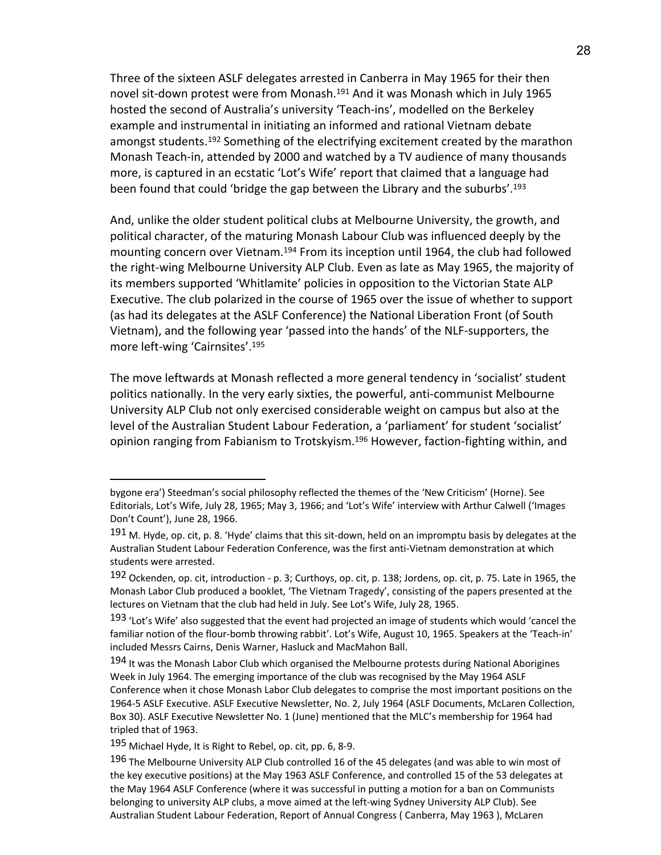Three of the sixteen ASLF delegates arrested in Canberra in May 1965 for their then novel sit-down protest were from Monash.191 And it was Monash which in July 1965 hosted the second of Australia's university 'Teach-ins', modelled on the Berkeley example and instrumental in initiating an informed and rational Vietnam debate amongst students.<sup>192</sup> Something of the electrifying excitement created by the marathon Monash Teach-in, attended by 2000 and watched by a TV audience of many thousands more, is captured in an ecstatic 'Lot's Wife' report that claimed that a language had been found that could 'bridge the gap between the Library and the suburbs'. 193

And, unlike the older student political clubs at Melbourne University, the growth, and political character, of the maturing Monash Labour Club was influenced deeply by the mounting concern over Vietnam.194 From its inception until 1964, the club had followed the right-wing Melbourne University ALP Club. Even as late as May 1965, the majority of its members supported 'Whitlamite' policies in opposition to the Victorian State ALP Executive. The club polarized in the course of 1965 over the issue of whether to support (as had its delegates at the ASLF Conference) the National Liberation Front (of South Vietnam), and the following year 'passed into the hands' of the NLF-supporters, the more left-wing 'Cairnsites'. 195

The move leftwards at Monash reflected a more general tendency in 'socialist' student politics nationally. In the very early sixties, the powerful, anti-communist Melbourne University ALP Club not only exercised considerable weight on campus but also at the level of the Australian Student Labour Federation, a 'parliament' for student 'socialist' opinion ranging from Fabianism to Trotskyism.<sup>196</sup> However, faction-fighting within, and

bygone era') Steedman's social philosophy reflected the themes of the 'New Criticism' (Horne). See Editorials, Lot's Wife, July 28, 1965; May 3, 1966; and 'Lot's Wife' interview with Arthur Calwell ('Images Don't Count'), June 28, 1966.

<sup>191</sup> M. Hyde, op. cit, p. 8. 'Hyde' claims that this sit-down, held on an impromptu basis by delegates at the Australian Student Labour Federation Conference, was the first anti-Vietnam demonstration at which students were arrested.

<sup>192</sup> Ockenden, op. cit, introduction - p. 3; Curthoys, op. cit, p. 138; Jordens, op. cit, p. 75. Late in 1965, the Monash Labor Club produced a booklet, 'The Vietnam Tragedy', consisting of the papers presented at the lectures on Vietnam that the club had held in July. See Lot's Wife, July 28, 1965.

<sup>193 &#</sup>x27;Lot's Wife' also suggested that the event had projected an image of students which would 'cancel the familiar notion of the flour-bomb throwing rabbit'. Lot's Wife, August 10, 1965. Speakers at the 'Teach-in' included Messrs Cairns, Denis Warner, Hasluck and MacMahon Ball.

<sup>194</sup> It was the Monash Labor Club which organised the Melbourne protests during National Aborigines Week in July 1964. The emerging importance of the club was recognised by the May 1964 ASLF Conference when it chose Monash Labor Club delegates to comprise the most important positions on the 1964-5 ASLF Executive. ASLF Executive Newsletter, No. 2, July 1964 (ASLF Documents, McLaren Collection, Box 30). ASLF Executive Newsletter No. 1 (June) mentioned that the MLC's membership for 1964 had tripled that of 1963.

<sup>195</sup> Michael Hyde, It is Right to Rebel, op. cit, pp. 6, 8-9.

<sup>196</sup> The Melbourne University ALP Club controlled 16 of the 45 delegates (and was able to win most of the key executive positions) at the May 1963 ASLF Conference, and controlled 15 of the 53 delegates at the May 1964 ASLF Conference (where it was successful in putting a motion for a ban on Communists belonging to university ALP clubs, a move aimed at the left-wing Sydney University ALP Club). See Australian Student Labour Federation, Report of Annual Congress ( Canberra, May 1963 ), McLaren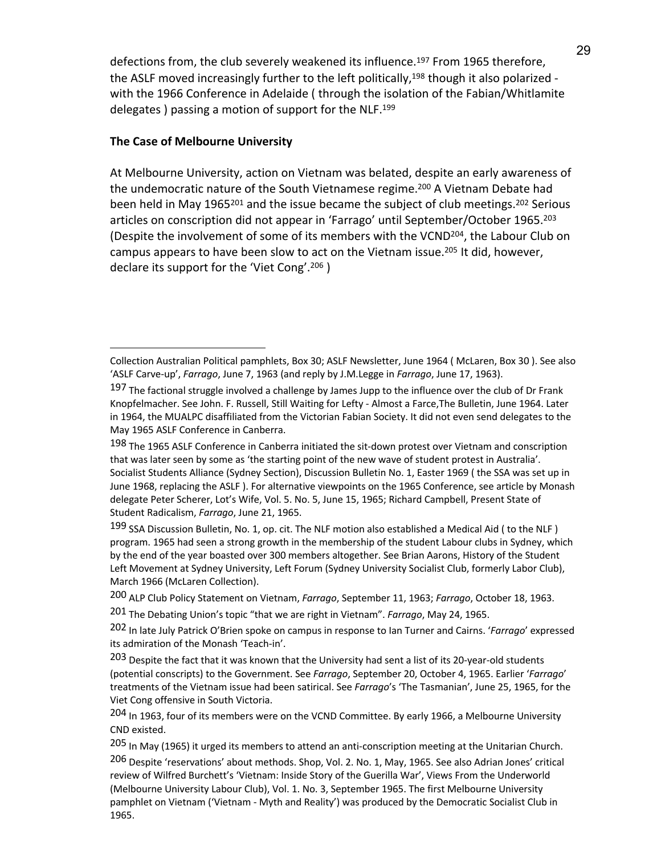defections from, the club severely weakened its influence.<sup>197</sup> From 1965 therefore, the ASLF moved increasingly further to the left politically,<sup>198</sup> though it also polarized with the 1966 Conference in Adelaide ( through the isolation of the Fabian/Whitlamite delegates ) passing a motion of support for the NLF.199

## **The Case of Melbourne University**

 $\overline{a}$ 

At Melbourne University, action on Vietnam was belated, despite an early awareness of the undemocratic nature of the South Vietnamese regime.<sup>200</sup> A Vietnam Debate had been held in May 1965<sup>201</sup> and the issue became the subject of club meetings.<sup>202</sup> Serious articles on conscription did not appear in 'Farrago' until September/October 1965.203 (Despite the involvement of some of its members with the VCND204, the Labour Club on campus appears to have been slow to act on the Vietnam issue.<sup>205</sup> It did, however, declare its support for the 'Viet Cong'. <sup>206</sup> )

Collection Australian Political pamphlets, Box 30; ASLF Newsletter, June 1964 ( McLaren, Box 30 ). See also 'ASLF Carve-up', *Farrago*, June 7, 1963 (and reply by J.M.Legge in *Farrago*, June 17, 1963).

<sup>197</sup> The factional struggle involved a challenge by James Jupp to the influence over the club of Dr Frank Knopfelmacher. See John. F. Russell, Still Waiting for Lefty - Almost a Farce,The Bulletin, June 1964. Later in 1964, the MUALPC disaffiliated from the Victorian Fabian Society. It did not even send delegates to the May 1965 ASLF Conference in Canberra.

<sup>198</sup> The 1965 ASLF Conference in Canberra initiated the sit-down protest over Vietnam and conscription that was later seen by some as 'the starting point of the new wave of student protest in Australia'. Socialist Students Alliance (Sydney Section), Discussion Bulletin No. 1, Easter 1969 ( the SSA was set up in June 1968, replacing the ASLF ). For alternative viewpoints on the 1965 Conference, see article by Monash delegate Peter Scherer, Lot's Wife, Vol. 5. No. 5, June 15, 1965; Richard Campbell, Present State of Student Radicalism, *Farrago*, June 21, 1965.

<sup>199</sup> SSA Discussion Bulletin, No. 1, op. cit. The NLF motion also established a Medical Aid (to the NLF) program. 1965 had seen a strong growth in the membership of the student Labour clubs in Sydney, which by the end of the year boasted over 300 members altogether. See Brian Aarons, History of the Student Left Movement at Sydney University, Left Forum (Sydney University Socialist Club, formerly Labor Club), March 1966 (McLaren Collection).

<sup>200</sup> ALP Club Policy Statement on Vietnam, *Farrago*, September 11, 1963; *Farrago*, October 18, 1963.

<sup>201</sup> The Debating Union's topic "that we are right in Vietnam". *Farrago*, May 24, 1965.

<sup>202</sup> In late July Patrick O'Brien spoke on campus in response to Ian Turner and Cairns. '*Farrago*' expressed its admiration of the Monash 'Teach-in'.

<sup>203</sup> Despite the fact that it was known that the University had sent a list of its 20-year-old students (potential conscripts) to the Government. See *Farrago*, September 20, October 4, 1965. Earlier '*Farrago*' treatments of the Vietnam issue had been satirical. See *Farrago*'s 'The Tasmanian', June 25, 1965, for the Viet Cong offensive in South Victoria.

<sup>204</sup> In 1963, four of its members were on the VCND Committee. By early 1966, a Melbourne University CND existed.

<sup>205</sup> In May (1965) it urged its members to attend an anti-conscription meeting at the Unitarian Church.

<sup>206</sup> Despite 'reservations' about methods. Shop, Vol. 2. No. 1, May, 1965. See also Adrian Jones' critical review of Wilfred Burchett's 'Vietnam: Inside Story of the Guerilla War', Views From the Underworld (Melbourne University Labour Club), Vol. 1. No. 3, September 1965. The first Melbourne University pamphlet on Vietnam ('Vietnam - Myth and Reality') was produced by the Democratic Socialist Club in 1965.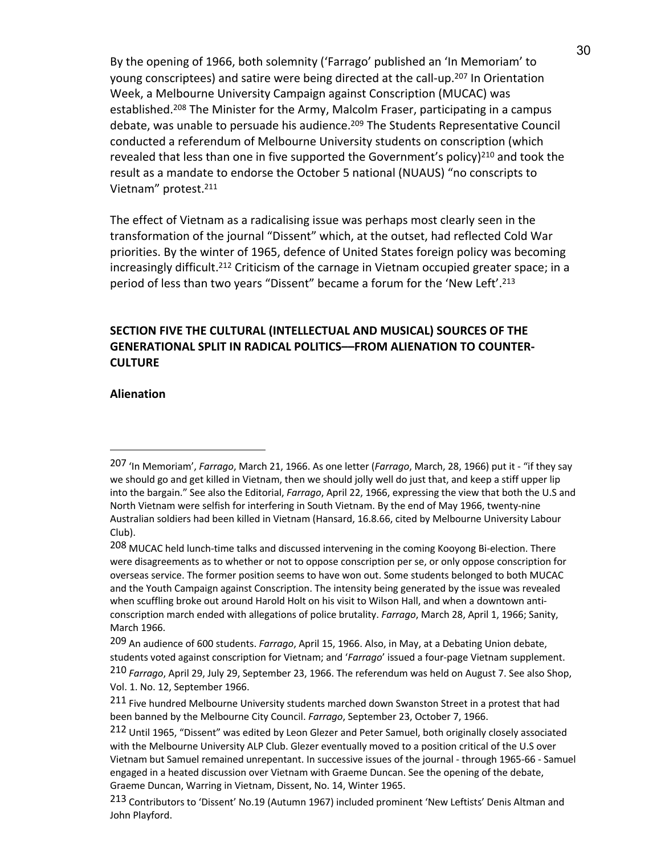By the opening of 1966, both solemnity ('Farrago' published an 'In Memoriam' to young conscriptees) and satire were being directed at the call-up.207 In Orientation Week, a Melbourne University Campaign against Conscription (MUCAC) was established.208 The Minister for the Army, Malcolm Fraser, participating in a campus debate, was unable to persuade his audience.<sup>209</sup> The Students Representative Council conducted a referendum of Melbourne University students on conscription (which revealed that less than one in five supported the Government's policy) $^{210}$  and took the result as a mandate to endorse the October 5 national (NUAUS) "no conscripts to Vietnam" protest.211

The effect of Vietnam as a radicalising issue was perhaps most clearly seen in the transformation of the journal "Dissent" which, at the outset, had reflected Cold War priorities. By the winter of 1965, defence of United States foreign policy was becoming increasingly difficult.<sup>212</sup> Criticism of the carnage in Vietnam occupied greater space; in a period of less than two years "Dissent" became a forum for the 'New Left'. 213

# **SECTION FIVE THE CULTURAL (INTELLECTUAL AND MUSICAL) SOURCES OF THE GENERATIONAL SPLIT IN RADICAL POLITICS––FROM ALIENATION TO COUNTER-CULTURE**

## **Alienation**

<sup>207</sup> 'In Memoriam', *Farrago*, March 21, 1966. As one letter (*Farrago*, March, 28, 1966) put it - "if they say we should go and get killed in Vietnam, then we should jolly well do just that, and keep a stiff upper lip into the bargain." See also the Editorial, *Farrago*, April 22, 1966, expressing the view that both the U.S and North Vietnam were selfish for interfering in South Vietnam. By the end of May 1966, twenty-nine Australian soldiers had been killed in Vietnam (Hansard, 16.8.66, cited by Melbourne University Labour Club).

<sup>208</sup> MUCAC held lunch-time talks and discussed intervening in the coming Kooyong Bi-election. There were disagreements as to whether or not to oppose conscription per se, or only oppose conscription for overseas service. The former position seems to have won out. Some students belonged to both MUCAC and the Youth Campaign against Conscription. The intensity being generated by the issue was revealed when scuffling broke out around Harold Holt on his visit to Wilson Hall, and when a downtown anticonscription march ended with allegations of police brutality. *Farrago*, March 28, April 1, 1966; Sanity, March 1966.

<sup>209</sup> An audience of 600 students. *Farrago*, April 15, 1966. Also, in May, at a Debating Union debate, students voted against conscription for Vietnam; and '*Farrago*' issued a four-page Vietnam supplement.

<sup>210</sup> *Farrago*, April 29, July 29, September 23, 1966. The referendum was held on August 7. See also Shop, Vol. 1. No. 12, September 1966.

<sup>211</sup> Five hundred Melbourne University students marched down Swanston Street in a protest that had been banned by the Melbourne City Council. *Farrago*, September 23, October 7, 1966.

<sup>212</sup> Until 1965, "Dissent" was edited by Leon Glezer and Peter Samuel, both originally closely associated with the Melbourne University ALP Club. Glezer eventually moved to a position critical of the U.S over Vietnam but Samuel remained unrepentant. In successive issues of the journal - through 1965-66 - Samuel engaged in a heated discussion over Vietnam with Graeme Duncan. See the opening of the debate, Graeme Duncan, Warring in Vietnam, Dissent, No. 14, Winter 1965.

<sup>213</sup> Contributors to 'Dissent' No.19 (Autumn 1967) included prominent 'New Leftists' Denis Altman and John Playford.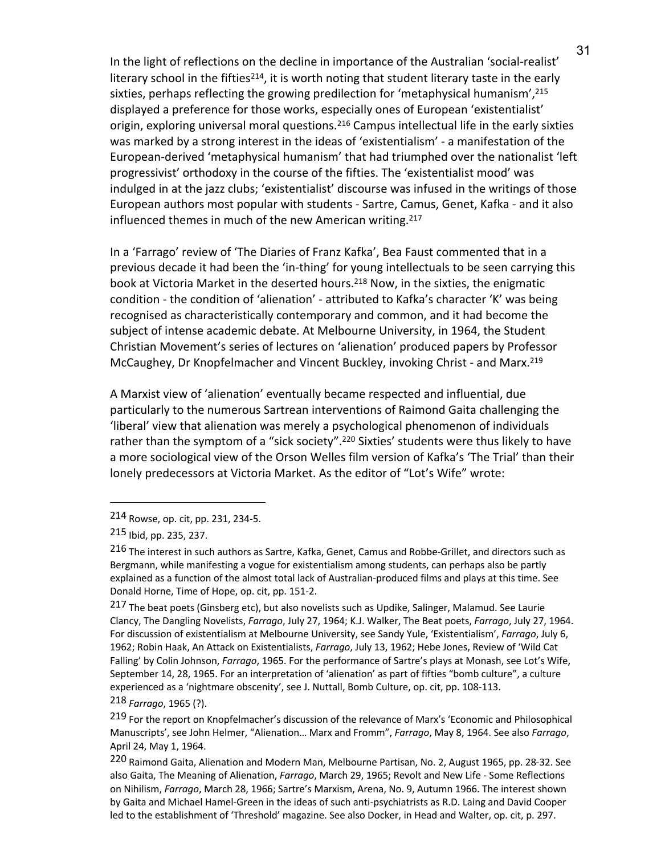In the light of reflections on the decline in importance of the Australian 'social-realist' literary school in the fifties<sup>214</sup>, it is worth noting that student literary taste in the early sixties, perhaps reflecting the growing predilection for 'metaphysical humanism', 215 displayed a preference for those works, especially ones of European 'existentialist' origin, exploring universal moral questions.216 Campus intellectual life in the early sixties was marked by a strong interest in the ideas of 'existentialism' - a manifestation of the European-derived 'metaphysical humanism' that had triumphed over the nationalist 'left progressivist' orthodoxy in the course of the fifties. The 'existentialist mood' was indulged in at the jazz clubs; 'existentialist' discourse was infused in the writings of those European authors most popular with students - Sartre, Camus, Genet, Kafka - and it also influenced themes in much of the new American writing.<sup>217</sup>

In a 'Farrago' review of 'The Diaries of Franz Kafka', Bea Faust commented that in a previous decade it had been the 'in-thing' for young intellectuals to be seen carrying this book at Victoria Market in the deserted hours.<sup>218</sup> Now, in the sixties, the enigmatic condition - the condition of 'alienation' - attributed to Kafka's character 'K' was being recognised as characteristically contemporary and common, and it had become the subject of intense academic debate. At Melbourne University, in 1964, the Student Christian Movement's series of lectures on 'alienation' produced papers by Professor McCaughey, Dr Knopfelmacher and Vincent Buckley, invoking Christ - and Marx.219

A Marxist view of 'alienation' eventually became respected and influential, due particularly to the numerous Sartrean interventions of Raimond Gaita challenging the 'liberal' view that alienation was merely a psychological phenomenon of individuals rather than the symptom of a "sick society".<sup>220</sup> Sixties' students were thus likely to have a more sociological view of the Orson Welles film version of Kafka's 'The Trial' than their lonely predecessors at Victoria Market. As the editor of "Lot's Wife" wrote:

 $\overline{a}$ 

218 *Farrago*, 1965 (?).

<sup>214</sup> Rowse, op. cit, pp. 231, 234-5.

<sup>215</sup> Ibid, pp. 235, 237.

<sup>216</sup> The interest in such authors as Sartre, Kafka, Genet, Camus and Robbe-Grillet, and directors such as Bergmann, while manifesting a vogue for existentialism among students, can perhaps also be partly explained as a function of the almost total lack of Australian-produced films and plays at this time. See Donald Horne, Time of Hope, op. cit, pp. 151-2.

<sup>217</sup> The beat poets (Ginsberg etc), but also novelists such as Updike, Salinger, Malamud. See Laurie Clancy, The Dangling Novelists, *Farrago*, July 27, 1964; K.J. Walker, The Beat poets, *Farrago*, July 27, 1964. For discussion of existentialism at Melbourne University, see Sandy Yule, 'Existentialism', *Farrago*, July 6, 1962; Robin Haak, An Attack on Existentialists, *Farrago*, July 13, 1962; Hebe Jones, Review of 'Wild Cat Falling' by Colin Johnson, *Farrago*, 1965. For the performance of Sartre's plays at Monash, see Lot's Wife, September 14, 28, 1965. For an interpretation of 'alienation' as part of fifties "bomb culture", a culture experienced as a 'nightmare obscenity', see J. Nuttall, Bomb Culture, op. cit, pp. 108-113.

<sup>219</sup> For the report on Knopfelmacher's discussion of the relevance of Marx's 'Economic and Philosophical Manuscripts', see John Helmer, "Alienation… Marx and Fromm", *Farrago*, May 8, 1964. See also *Farrago*, April 24, May 1, 1964.

<sup>220</sup> Raimond Gaita, Alienation and Modern Man, Melbourne Partisan, No. 2, August 1965, pp. 28-32. See also Gaita, The Meaning of Alienation, *Farrago*, March 29, 1965; Revolt and New Life - Some Reflections on Nihilism, *Farrago*, March 28, 1966; Sartre's Marxism, Arena, No. 9, Autumn 1966. The interest shown by Gaita and Michael Hamel-Green in the ideas of such anti-psychiatrists as R.D. Laing and David Cooper led to the establishment of 'Threshold' magazine. See also Docker, in Head and Walter, op. cit, p. 297.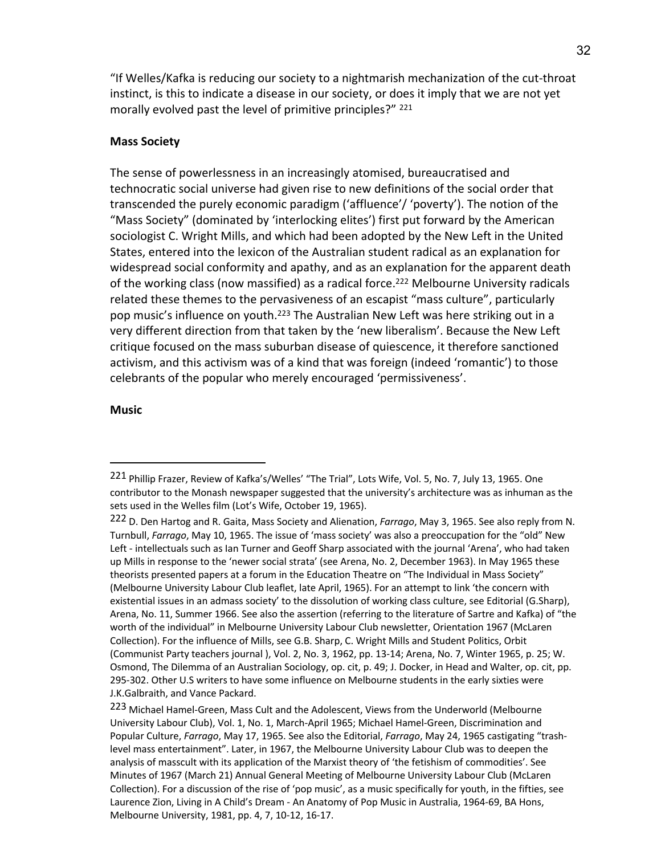"If Welles/Kafka is reducing our society to a nightmarish mechanization of the cut-throat instinct, is this to indicate a disease in our society, or does it imply that we are not yet morally evolved past the level of primitive principles?" <sup>221</sup>

## **Mass Society**

The sense of powerlessness in an increasingly atomised, bureaucratised and technocratic social universe had given rise to new definitions of the social order that transcended the purely economic paradigm ('affluence'/ 'poverty'). The notion of the "Mass Society" (dominated by 'interlocking elites') first put forward by the American sociologist C. Wright Mills, and which had been adopted by the New Left in the United States, entered into the lexicon of the Australian student radical as an explanation for widespread social conformity and apathy, and as an explanation for the apparent death of the working class (now massified) as a radical force.<sup>222</sup> Melbourne University radicals related these themes to the pervasiveness of an escapist "mass culture", particularly pop music's influence on youth.<sup>223</sup> The Australian New Left was here striking out in a very different direction from that taken by the 'new liberalism'. Because the New Left critique focused on the mass suburban disease of quiescence, it therefore sanctioned activism, and this activism was of a kind that was foreign (indeed 'romantic') to those celebrants of the popular who merely encouraged 'permissiveness'.

### **Music**

<sup>221</sup> Phillip Frazer, Review of Kafka's/Welles' "The Trial", Lots Wife, Vol. 5, No. 7, July 13, 1965. One contributor to the Monash newspaper suggested that the university's architecture was as inhuman as the sets used in the Welles film (Lot's Wife, October 19, 1965).

<sup>222</sup> D. Den Hartog and R. Gaita, Mass Society and Alienation, *Farrago*, May 3, 1965. See also reply from N. Turnbull, *Farrago*, May 10, 1965. The issue of 'mass society' was also a preoccupation for the "old" New Left - intellectuals such as Ian Turner and Geoff Sharp associated with the journal 'Arena', who had taken up Mills in response to the 'newer social strata' (see Arena, No. 2, December 1963). In May 1965 these theorists presented papers at a forum in the Education Theatre on "The Individual in Mass Society" (Melbourne University Labour Club leaflet, late April, 1965). For an attempt to link 'the concern with existential issues in an admass society' to the dissolution of working class culture, see Editorial (G.Sharp), Arena, No. 11, Summer 1966. See also the assertion (referring to the literature of Sartre and Kafka) of "the worth of the individual" in Melbourne University Labour Club newsletter, Orientation 1967 (McLaren Collection). For the influence of Mills, see G.B. Sharp, C. Wright Mills and Student Politics, Orbit (Communist Party teachers journal ), Vol. 2, No. 3, 1962, pp. 13-14; Arena, No. 7, Winter 1965, p. 25; W. Osmond, The Dilemma of an Australian Sociology, op. cit, p. 49; J. Docker, in Head and Walter, op. cit, pp. 295-302. Other U.S writers to have some influence on Melbourne students in the early sixties were J.K.Galbraith, and Vance Packard.

<sup>223</sup> Michael Hamel-Green, Mass Cult and the Adolescent, Views from the Underworld (Melbourne University Labour Club), Vol. 1, No. 1, March-April 1965; Michael Hamel-Green, Discrimination and Popular Culture, *Farrago*, May 17, 1965. See also the Editorial, *Farrago*, May 24, 1965 castigating "trashlevel mass entertainment". Later, in 1967, the Melbourne University Labour Club was to deepen the analysis of masscult with its application of the Marxist theory of 'the fetishism of commodities'. See Minutes of 1967 (March 21) Annual General Meeting of Melbourne University Labour Club (McLaren Collection). For a discussion of the rise of 'pop music', as a music specifically for youth, in the fifties, see Laurence Zion, Living in A Child's Dream - An Anatomy of Pop Music in Australia, 1964-69, BA Hons, Melbourne University, 1981, pp. 4, 7, 10-12, 16-17.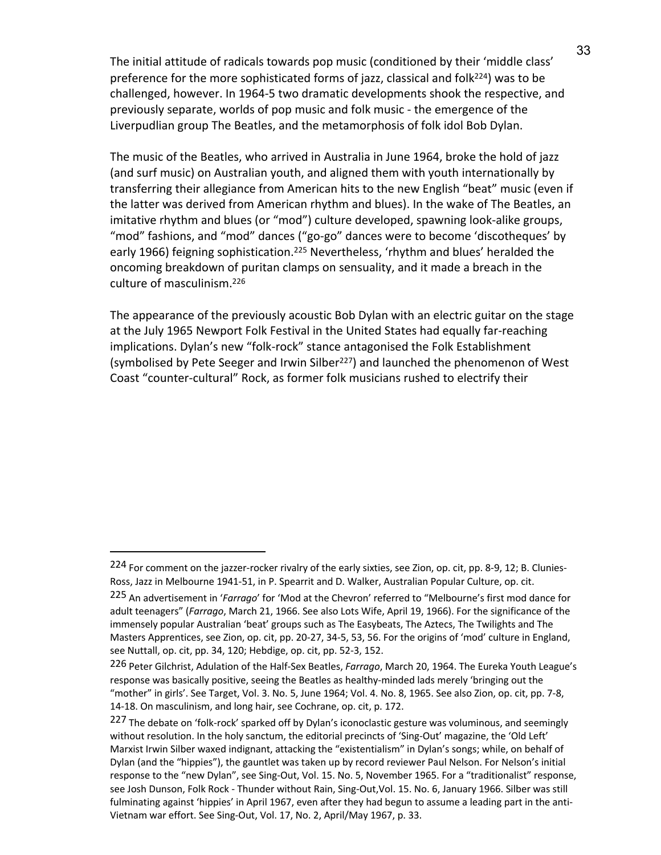The initial attitude of radicals towards pop music (conditioned by their 'middle class' preference for the more sophisticated forms of jazz, classical and folk<sup>224</sup>) was to be challenged, however. In 1964-5 two dramatic developments shook the respective, and previously separate, worlds of pop music and folk music - the emergence of the Liverpudlian group The Beatles, and the metamorphosis of folk idol Bob Dylan.

The music of the Beatles, who arrived in Australia in June 1964, broke the hold of jazz (and surf music) on Australian youth, and aligned them with youth internationally by transferring their allegiance from American hits to the new English "beat" music (even if the latter was derived from American rhythm and blues). In the wake of The Beatles, an imitative rhythm and blues (or "mod") culture developed, spawning look-alike groups, "mod" fashions, and "mod" dances ("go-go" dances were to become 'discotheques' by early 1966) feigning sophistication.<sup>225</sup> Nevertheless, 'rhythm and blues' heralded the oncoming breakdown of puritan clamps on sensuality, and it made a breach in the culture of masculinism.226

The appearance of the previously acoustic Bob Dylan with an electric guitar on the stage at the July 1965 Newport Folk Festival in the United States had equally far-reaching implications. Dylan's new "folk-rock" stance antagonised the Folk Establishment (symbolised by Pete Seeger and Irwin Silber<sup>227</sup>) and launched the phenomenon of West Coast "counter-cultural" Rock, as former folk musicians rushed to electrify their

<sup>224</sup> For comment on the jazzer-rocker rivalry of the early sixties, see Zion, op. cit, pp. 8-9, 12; B. Clunies-Ross, Jazz in Melbourne 1941-51, in P. Spearrit and D. Walker, Australian Popular Culture, op. cit.

<sup>225</sup> An advertisement in '*Farrago*' for 'Mod at the Chevron' referred to "Melbourne's first mod dance for adult teenagers" (*Farrago*, March 21, 1966. See also Lots Wife, April 19, 1966). For the significance of the immensely popular Australian 'beat' groups such as The Easybeats, The Aztecs, The Twilights and The Masters Apprentices, see Zion, op. cit, pp. 20-27, 34-5, 53, 56. For the origins of 'mod' culture in England, see Nuttall, op. cit, pp. 34, 120; Hebdige, op. cit, pp. 52-3, 152.

<sup>226</sup> Peter Gilchrist, Adulation of the Half-Sex Beatles, *Farrago*, March 20, 1964. The Eureka Youth League's response was basically positive, seeing the Beatles as healthy-minded lads merely 'bringing out the "mother" in girls'. See Target, Vol. 3. No. 5, June 1964; Vol. 4. No. 8, 1965. See also Zion, op. cit, pp. 7-8, 14-18. On masculinism, and long hair, see Cochrane, op. cit, p. 172.

<sup>&</sup>lt;sup>227</sup> The debate on 'folk-rock' sparked off by Dylan's iconoclastic gesture was voluminous, and seemingly without resolution. In the holy sanctum, the editorial precincts of 'Sing-Out' magazine, the 'Old Left' Marxist Irwin Silber waxed indignant, attacking the "existentialism" in Dylan's songs; while, on behalf of Dylan (and the "hippies"), the gauntlet was taken up by record reviewer Paul Nelson. For Nelson's initial response to the "new Dylan", see Sing-Out, Vol. 15. No. 5, November 1965. For a "traditionalist" response, see Josh Dunson, Folk Rock - Thunder without Rain, Sing-Out,Vol. 15. No. 6, January 1966. Silber was still fulminating against 'hippies' in April 1967, even after they had begun to assume a leading part in the anti-Vietnam war effort. See Sing-Out, Vol. 17, No. 2, April/May 1967, p. 33.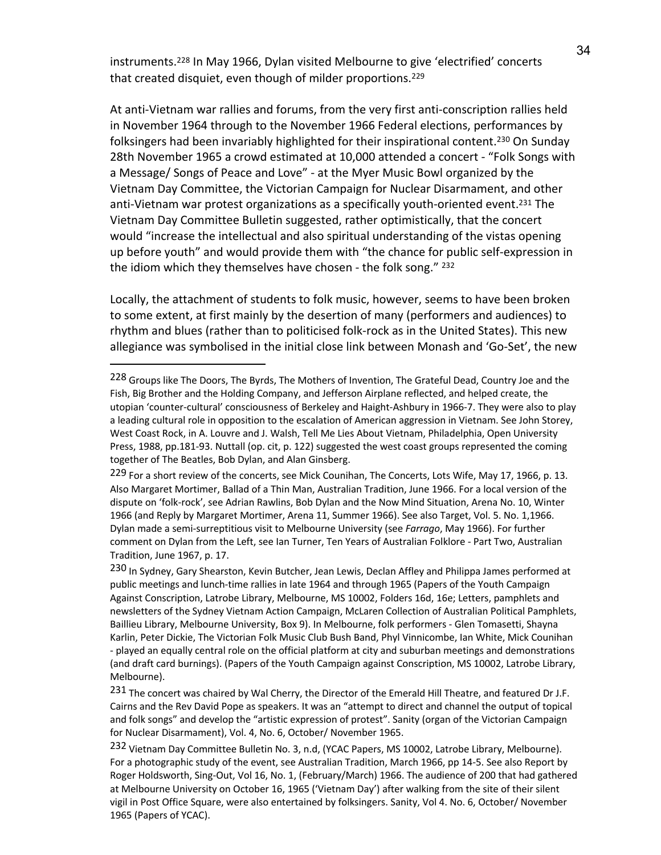instruments.228 In May 1966, Dylan visited Melbourne to give 'electrified' concerts that created disquiet, even though of milder proportions.<sup>229</sup>

At anti-Vietnam war rallies and forums, from the very first anti-conscription rallies held in November 1964 through to the November 1966 Federal elections, performances by folksingers had been invariably highlighted for their inspirational content.<sup>230</sup> On Sunday 28th November 1965 a crowd estimated at 10,000 attended a concert - "Folk Songs with a Message/ Songs of Peace and Love" - at the Myer Music Bowl organized by the Vietnam Day Committee, the Victorian Campaign for Nuclear Disarmament, and other anti-Vietnam war protest organizations as a specifically youth-oriented event.231 The Vietnam Day Committee Bulletin suggested, rather optimistically, that the concert would "increase the intellectual and also spiritual understanding of the vistas opening up before youth" and would provide them with "the chance for public self-expression in the idiom which they themselves have chosen - the folk song." 232

Locally, the attachment of students to folk music, however, seems to have been broken to some extent, at first mainly by the desertion of many (performers and audiences) to rhythm and blues (rather than to politicised folk-rock as in the United States). This new allegiance was symbolised in the initial close link between Monash and 'Go-Set', the new

 $\overline{\phantom{a}}$ 

<sup>228</sup> Groups like The Doors, The Byrds, The Mothers of Invention, The Grateful Dead, Country Joe and the Fish, Big Brother and the Holding Company, and Jefferson Airplane reflected, and helped create, the utopian 'counter-cultural' consciousness of Berkeley and Haight-Ashbury in 1966-7. They were also to play a leading cultural role in opposition to the escalation of American aggression in Vietnam. See John Storey, West Coast Rock, in A. Louvre and J. Walsh, Tell Me Lies About Vietnam, Philadelphia, Open University Press, 1988, pp.181-93. Nuttall (op. cit, p. 122) suggested the west coast groups represented the coming together of The Beatles, Bob Dylan, and Alan Ginsberg.

<sup>229</sup> For a short review of the concerts, see Mick Counihan, The Concerts, Lots Wife, May 17, 1966, p. 13. Also Margaret Mortimer, Ballad of a Thin Man, Australian Tradition, June 1966. For a local version of the dispute on 'folk-rock', see Adrian Rawlins, Bob Dylan and the Now Mind Situation, Arena No. 10, Winter 1966 (and Reply by Margaret Mortimer, Arena 11, Summer 1966). See also Target, Vol. 5. No. 1,1966. Dylan made a semi-surreptitious visit to Melbourne University (see *Farrago*, May 1966). For further comment on Dylan from the Left, see Ian Turner, Ten Years of Australian Folklore - Part Two, Australian Tradition, June 1967, p. 17.

<sup>230</sup> In Sydney, Gary Shearston, Kevin Butcher, Jean Lewis, Declan Affley and Philippa James performed at public meetings and lunch-time rallies in late 1964 and through 1965 (Papers of the Youth Campaign Against Conscription, Latrobe Library, Melbourne, MS 10002, Folders 16d, 16e; Letters, pamphlets and newsletters of the Sydney Vietnam Action Campaign, McLaren Collection of Australian Political Pamphlets, Baillieu Library, Melbourne University, Box 9). In Melbourne, folk performers - Glen Tomasetti, Shayna Karlin, Peter Dickie, The Victorian Folk Music Club Bush Band, Phyl Vinnicombe, Ian White, Mick Counihan - played an equally central role on the official platform at city and suburban meetings and demonstrations (and draft card burnings). (Papers of the Youth Campaign against Conscription, MS 10002, Latrobe Library, Melbourne).

<sup>231</sup> The concert was chaired by Wal Cherry, the Director of the Emerald Hill Theatre, and featured Dr J.F. Cairns and the Rev David Pope as speakers. It was an "attempt to direct and channel the output of topical and folk songs" and develop the "artistic expression of protest". Sanity (organ of the Victorian Campaign for Nuclear Disarmament), Vol. 4, No. 6, October/ November 1965.

<sup>232</sup> Vietnam Day Committee Bulletin No. 3, n.d, (YCAC Papers, MS 10002, Latrobe Library, Melbourne). For a photographic study of the event, see Australian Tradition, March 1966, pp 14-5. See also Report by Roger Holdsworth, Sing-Out, Vol 16, No. 1, (February/March) 1966. The audience of 200 that had gathered at Melbourne University on October 16, 1965 ('Vietnam Day') after walking from the site of their silent vigil in Post Office Square, were also entertained by folksingers. Sanity, Vol 4. No. 6, October/ November 1965 (Papers of YCAC).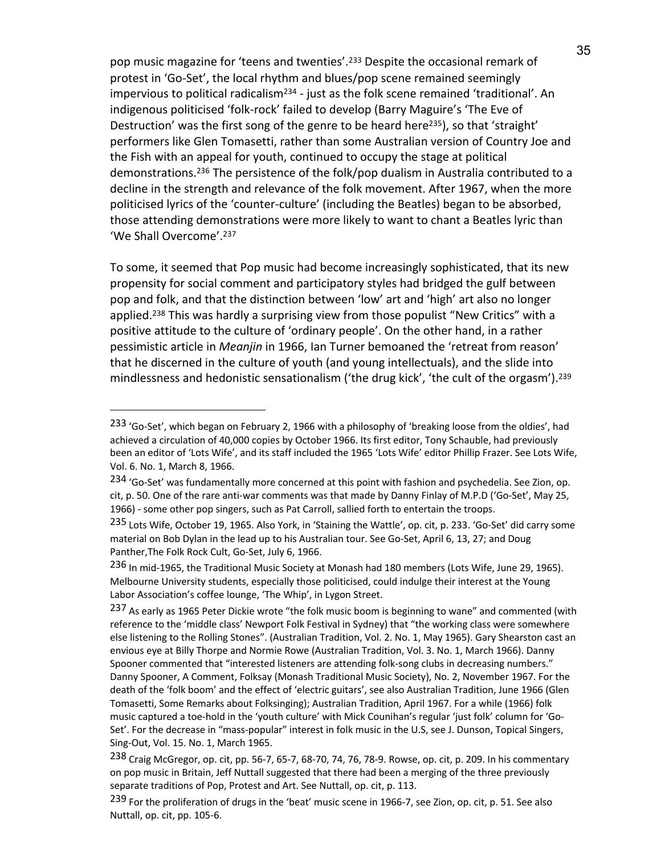pop music magazine for 'teens and twenties'.233 Despite the occasional remark of protest in 'Go-Set', the local rhythm and blues/pop scene remained seemingly impervious to political radicalism<sup>234</sup> - just as the folk scene remained 'traditional'. An indigenous politicised 'folk-rock' failed to develop (Barry Maguire's 'The Eve of Destruction' was the first song of the genre to be heard here<sup>235</sup>), so that 'straight' performers like Glen Tomasetti, rather than some Australian version of Country Joe and the Fish with an appeal for youth, continued to occupy the stage at political demonstrations.236 The persistence of the folk/pop dualism in Australia contributed to a decline in the strength and relevance of the folk movement. After 1967, when the more politicised lyrics of the 'counter-culture' (including the Beatles) began to be absorbed, those attending demonstrations were more likely to want to chant a Beatles lyric than 'We Shall Overcome'. 237

To some, it seemed that Pop music had become increasingly sophisticated, that its new propensity for social comment and participatory styles had bridged the gulf between pop and folk, and that the distinction between 'low' art and 'high' art also no longer applied.<sup>238</sup> This was hardly a surprising view from those populist "New Critics" with a positive attitude to the culture of 'ordinary people'. On the other hand, in a rather pessimistic article in *Meanjin* in 1966, Ian Turner bemoaned the 'retreat from reason' that he discerned in the culture of youth (and young intellectuals), and the slide into mindlessness and hedonistic sensationalism ('the drug kick', 'the cult of the orgasm').<sup>239</sup>

<sup>&</sup>lt;sup>233</sup> 'Go-Set', which began on February 2, 1966 with a philosophy of 'breaking loose from the oldies', had achieved a circulation of 40,000 copies by October 1966. Its first editor, Tony Schauble, had previously been an editor of 'Lots Wife', and its staff included the 1965 'Lots Wife' editor Phillip Frazer. See Lots Wife, Vol. 6. No. 1, March 8, 1966.

<sup>234 &#</sup>x27;Go-Set' was fundamentally more concerned at this point with fashion and psychedelia. See Zion, op. cit, p. 50. One of the rare anti-war comments was that made by Danny Finlay of M.P.D ('Go-Set', May 25, 1966) - some other pop singers, such as Pat Carroll, sallied forth to entertain the troops.

<sup>235</sup> Lots Wife, October 19, 1965. Also York, in 'Staining the Wattle', op. cit, p. 233. 'Go-Set' did carry some material on Bob Dylan in the lead up to his Australian tour. See Go-Set, April 6, 13, 27; and Doug Panther,The Folk Rock Cult, Go-Set, July 6, 1966.

<sup>236</sup> In mid-1965, the Traditional Music Society at Monash had 180 members (Lots Wife, June 29, 1965). Melbourne University students, especially those politicised, could indulge their interest at the Young Labor Association's coffee lounge, 'The Whip', in Lygon Street.

<sup>237</sup> As early as 1965 Peter Dickie wrote "the folk music boom is beginning to wane" and commented (with reference to the 'middle class' Newport Folk Festival in Sydney) that "the working class were somewhere else listening to the Rolling Stones". (Australian Tradition, Vol. 2. No. 1, May 1965). Gary Shearston cast an envious eye at Billy Thorpe and Normie Rowe (Australian Tradition, Vol. 3. No. 1, March 1966). Danny Spooner commented that "interested listeners are attending folk-song clubs in decreasing numbers." Danny Spooner, A Comment, Folksay (Monash Traditional Music Society), No. 2, November 1967. For the death of the 'folk boom' and the effect of 'electric guitars', see also Australian Tradition, June 1966 (Glen Tomasetti, Some Remarks about Folksinging); Australian Tradition, April 1967. For a while (1966) folk music captured a toe-hold in the 'youth culture' with Mick Counihan's regular 'just folk' column for 'Go-Set'. For the decrease in "mass-popular" interest in folk music in the U.S, see J. Dunson, Topical Singers, Sing-Out, Vol. 15. No. 1, March 1965.

<sup>238</sup> Craig McGregor, op. cit, pp. 56-7, 65-7, 68-70, 74, 76, 78-9. Rowse, op. cit, p. 209. In his commentary on pop music in Britain, Jeff Nuttall suggested that there had been a merging of the three previously separate traditions of Pop, Protest and Art. See Nuttall, op. cit, p. 113.

<sup>239</sup> For the proliferation of drugs in the 'beat' music scene in 1966-7, see Zion, op. cit, p. 51. See also Nuttall, op. cit, pp. 105-6.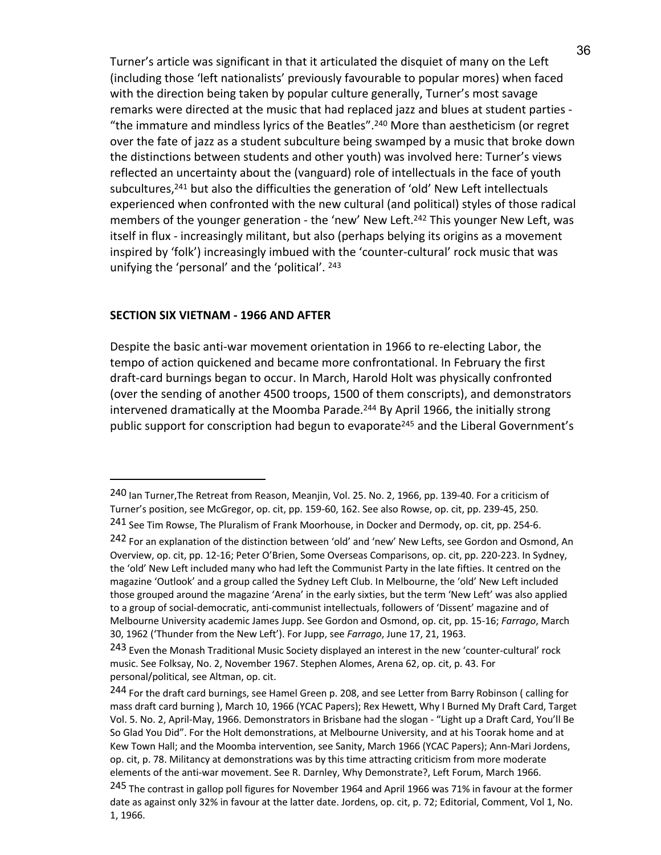Turner's article was significant in that it articulated the disquiet of many on the Left (including those 'left nationalists' previously favourable to popular mores) when faced with the direction being taken by popular culture generally, Turner's most savage remarks were directed at the music that had replaced jazz and blues at student parties - "the immature and mindless lyrics of the Beatles". <sup>240</sup> More than aestheticism (or regret over the fate of jazz as a student subculture being swamped by a music that broke down the distinctions between students and other youth) was involved here: Turner's views reflected an uncertainty about the (vanguard) role of intellectuals in the face of youth subcultures,<sup>241</sup> but also the difficulties the generation of 'old' New Left intellectuals experienced when confronted with the new cultural (and political) styles of those radical members of the younger generation - the 'new' New Left.242 This younger New Left, was itself in flux - increasingly militant, but also (perhaps belying its origins as a movement inspired by 'folk') increasingly imbued with the 'counter-cultural' rock music that was unifying the 'personal' and the 'political'. <sup>243</sup>

### **SECTION SIX VIETNAM - 1966 AND AFTER**

 $\overline{a}$ 

Despite the basic anti-war movement orientation in 1966 to re-electing Labor, the tempo of action quickened and became more confrontational. In February the first draft-card burnings began to occur. In March, Harold Holt was physically confronted (over the sending of another 4500 troops, 1500 of them conscripts), and demonstrators intervened dramatically at the Moomba Parade.<sup>244</sup> By April 1966, the initially strong public support for conscription had begun to evaporate<sup>245</sup> and the Liberal Government's

<sup>240</sup> Ian Turner,The Retreat from Reason, Meanjin, Vol. 25. No. 2, 1966, pp. 139-40. For a criticism of Turner's position, see McGregor, op. cit, pp. 159-60, 162. See also Rowse, op. cit, pp. 239-45, 250.

<sup>241</sup> See Tim Rowse, The Pluralism of Frank Moorhouse, in Docker and Dermody, op. cit, pp. 254-6.

<sup>242</sup> For an explanation of the distinction between 'old' and 'new' New Lefts, see Gordon and Osmond, An Overview, op. cit, pp. 12-16; Peter O'Brien, Some Overseas Comparisons, op. cit, pp. 220-223. In Sydney, the 'old' New Left included many who had left the Communist Party in the late fifties. It centred on the magazine 'Outlook' and a group called the Sydney Left Club. In Melbourne, the 'old' New Left included those grouped around the magazine 'Arena' in the early sixties, but the term 'New Left' was also applied to a group of social-democratic, anti-communist intellectuals, followers of 'Dissent' magazine and of Melbourne University academic James Jupp. See Gordon and Osmond, op. cit, pp. 15-16; *Farrago*, March 30, 1962 ('Thunder from the New Left'). For Jupp, see *Farrago*, June 17, 21, 1963.

<sup>243</sup> Even the Monash Traditional Music Society displayed an interest in the new 'counter-cultural' rock music. See Folksay, No. 2, November 1967. Stephen Alomes, Arena 62, op. cit, p. 43. For personal/political, see Altman, op. cit.

<sup>244</sup> For the draft card burnings, see Hamel Green p. 208, and see Letter from Barry Robinson ( calling for mass draft card burning ), March 10, 1966 (YCAC Papers); Rex Hewett, Why I Burned My Draft Card, Target Vol. 5. No. 2, April-May, 1966. Demonstrators in Brisbane had the slogan - "Light up a Draft Card, You'll Be So Glad You Did". For the Holt demonstrations, at Melbourne University, and at his Toorak home and at Kew Town Hall; and the Moomba intervention, see Sanity, March 1966 (YCAC Papers); Ann-Mari Jordens, op. cit, p. 78. Militancy at demonstrations was by this time attracting criticism from more moderate elements of the anti-war movement. See R. Darnley, Why Demonstrate?, Left Forum, March 1966.

<sup>&</sup>lt;sup>245</sup> The contrast in gallop poll figures for November 1964 and April 1966 was 71% in favour at the former date as against only 32% in favour at the latter date. Jordens, op. cit, p. 72; Editorial, Comment, Vol 1, No. 1, 1966.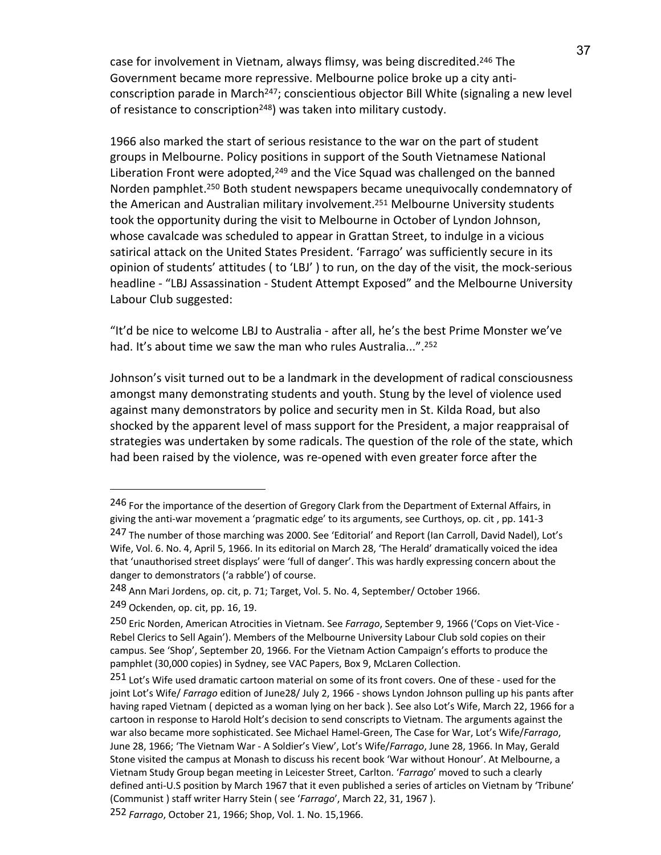case for involvement in Vietnam, always flimsy, was being discredited.<sup>246</sup> The Government became more repressive. Melbourne police broke up a city anticonscription parade in March<sup>247</sup>; conscientious objector Bill White (signaling a new level of resistance to conscription<sup>248</sup>) was taken into military custody.

1966 also marked the start of serious resistance to the war on the part of student groups in Melbourne. Policy positions in support of the South Vietnamese National Liberation Front were adopted,<sup>249</sup> and the Vice Squad was challenged on the banned Norden pamphlet.250 Both student newspapers became unequivocally condemnatory of the American and Australian military involvement.<sup>251</sup> Melbourne University students took the opportunity during the visit to Melbourne in October of Lyndon Johnson, whose cavalcade was scheduled to appear in Grattan Street, to indulge in a vicious satirical attack on the United States President. 'Farrago' was sufficiently secure in its opinion of students' attitudes ( to 'LBJ' ) to run, on the day of the visit, the mock-serious headline - "LBJ Assassination - Student Attempt Exposed" and the Melbourne University Labour Club suggested:

"It'd be nice to welcome LBJ to Australia - after all, he's the best Prime Monster we've had. It's about time we saw the man who rules Australia...".<sup>252</sup>

Johnson's visit turned out to be a landmark in the development of radical consciousness amongst many demonstrating students and youth. Stung by the level of violence used against many demonstrators by police and security men in St. Kilda Road, but also shocked by the apparent level of mass support for the President, a major reappraisal of strategies was undertaken by some radicals. The question of the role of the state, which had been raised by the violence, was re-opened with even greater force after the

<sup>246</sup> For the importance of the desertion of Gregory Clark from the Department of External Affairs, in giving the anti-war movement a 'pragmatic edge' to its arguments, see Curthoys, op. cit , pp. 141-3

<sup>247</sup> The number of those marching was 2000. See 'Editorial' and Report (Ian Carroll, David Nadel), Lot's Wife, Vol. 6. No. 4, April 5, 1966. In its editorial on March 28, 'The Herald' dramatically voiced the idea that 'unauthorised street displays' were 'full of danger'. This was hardly expressing concern about the danger to demonstrators ('a rabble') of course.

<sup>248</sup> Ann Mari Jordens, op. cit, p. 71; Target, Vol. 5. No. 4, September/ October 1966.

<sup>249</sup> Ockenden, op. cit, pp. 16, 19.

<sup>250</sup> Eric Norden, American Atrocities in Vietnam. See *Farrago*, September 9, 1966 ('Cops on Viet-Vice - Rebel Clerics to Sell Again'). Members of the Melbourne University Labour Club sold copies on their campus. See 'Shop', September 20, 1966. For the Vietnam Action Campaign's efforts to produce the pamphlet (30,000 copies) in Sydney, see VAC Papers, Box 9, McLaren Collection.

<sup>251</sup> Lot's Wife used dramatic cartoon material on some of its front covers. One of these - used for the joint Lot's Wife/ *Farrago* edition of June28/ July 2, 1966 - shows Lyndon Johnson pulling up his pants after having raped Vietnam ( depicted as a woman lying on her back ). See also Lot's Wife, March 22, 1966 for a cartoon in response to Harold Holt's decision to send conscripts to Vietnam. The arguments against the war also became more sophisticated. See Michael Hamel-Green, The Case for War, Lot's Wife/*Farrago*, June 28, 1966; 'The Vietnam War - A Soldier's View', Lot's Wife/*Farrago*, June 28, 1966. In May, Gerald Stone visited the campus at Monash to discuss his recent book 'War without Honour'. At Melbourne, a Vietnam Study Group began meeting in Leicester Street, Carlton. '*Farrago*' moved to such a clearly defined anti-U.S position by March 1967 that it even published a series of articles on Vietnam by 'Tribune' (Communist ) staff writer Harry Stein ( see '*Farrago*', March 22, 31, 1967 ).

<sup>252</sup> *Farrago*, October 21, 1966; Shop, Vol. 1. No. 15,1966.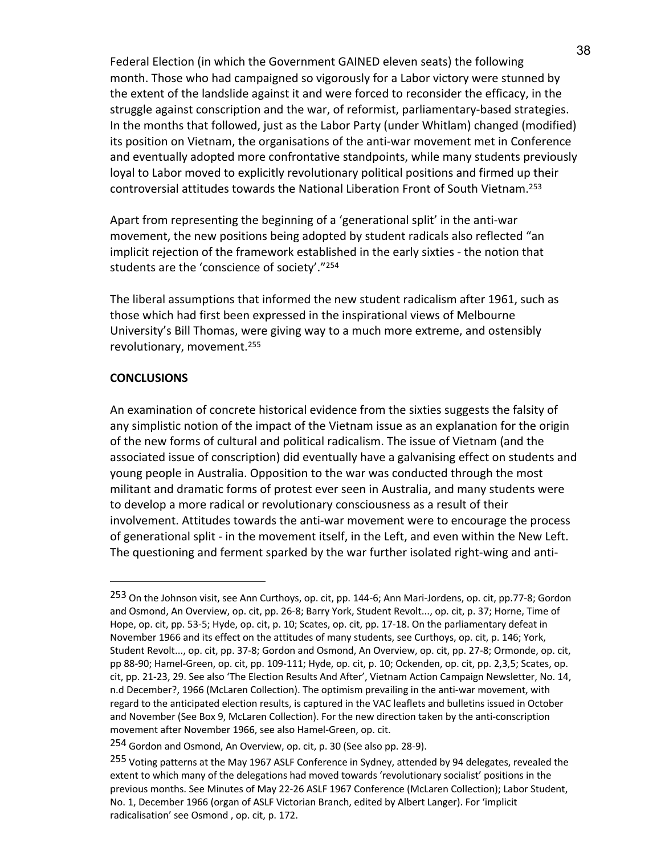Federal Election (in which the Government GAINED eleven seats) the following month. Those who had campaigned so vigorously for a Labor victory were stunned by the extent of the landslide against it and were forced to reconsider the efficacy, in the struggle against conscription and the war, of reformist, parliamentary-based strategies. In the months that followed, just as the Labor Party (under Whitlam) changed (modified) its position on Vietnam, the organisations of the anti-war movement met in Conference and eventually adopted more confrontative standpoints, while many students previously loyal to Labor moved to explicitly revolutionary political positions and firmed up their controversial attitudes towards the National Liberation Front of South Vietnam.253

Apart from representing the beginning of a 'generational split' in the anti-war movement, the new positions being adopted by student radicals also reflected "an implicit rejection of the framework established in the early sixties - the notion that students are the 'conscience of society'."254

The liberal assumptions that informed the new student radicalism after 1961, such as those which had first been expressed in the inspirational views of Melbourne University's Bill Thomas, were giving way to a much more extreme, and ostensibly revolutionary, movement.255

## **CONCLUSIONS**

 $\overline{a}$ 

An examination of concrete historical evidence from the sixties suggests the falsity of any simplistic notion of the impact of the Vietnam issue as an explanation for the origin of the new forms of cultural and political radicalism. The issue of Vietnam (and the associated issue of conscription) did eventually have a galvanising effect on students and young people in Australia. Opposition to the war was conducted through the most militant and dramatic forms of protest ever seen in Australia, and many students were to develop a more radical or revolutionary consciousness as a result of their involvement. Attitudes towards the anti-war movement were to encourage the process of generational split - in the movement itself, in the Left, and even within the New Left. The questioning and ferment sparked by the war further isolated right-wing and anti-

<sup>253</sup> On the Johnson visit, see Ann Curthoys, op. cit, pp. 144-6; Ann Mari-Jordens, op. cit, pp.77-8; Gordon and Osmond, An Overview, op. cit, pp. 26-8; Barry York, Student Revolt..., op. cit, p. 37; Horne, Time of Hope, op. cit, pp. 53-5; Hyde, op. cit, p. 10; Scates, op. cit, pp. 17-18. On the parliamentary defeat in November 1966 and its effect on the attitudes of many students, see Curthoys, op. cit, p. 146; York, Student Revolt..., op. cit, pp. 37-8; Gordon and Osmond, An Overview, op. cit, pp. 27-8; Ormonde, op. cit, pp 88-90; Hamel-Green, op. cit, pp. 109-111; Hyde, op. cit, p. 10; Ockenden, op. cit, pp. 2,3,5; Scates, op. cit, pp. 21-23, 29. See also 'The Election Results And After', Vietnam Action Campaign Newsletter, No. 14, n.d December?, 1966 (McLaren Collection). The optimism prevailing in the anti-war movement, with regard to the anticipated election results, is captured in the VAC leaflets and bulletins issued in October and November (See Box 9, McLaren Collection). For the new direction taken by the anti-conscription movement after November 1966, see also Hamel-Green, op. cit.

<sup>254</sup> Gordon and Osmond, An Overview, op. cit, p. 30 (See also pp. 28-9).

<sup>255</sup> Voting patterns at the May 1967 ASLF Conference in Sydney, attended by 94 delegates, revealed the extent to which many of the delegations had moved towards 'revolutionary socialist' positions in the previous months. See Minutes of May 22-26 ASLF 1967 Conference (McLaren Collection); Labor Student, No. 1, December 1966 (organ of ASLF Victorian Branch, edited by Albert Langer). For 'implicit radicalisation' see Osmond , op. cit, p. 172.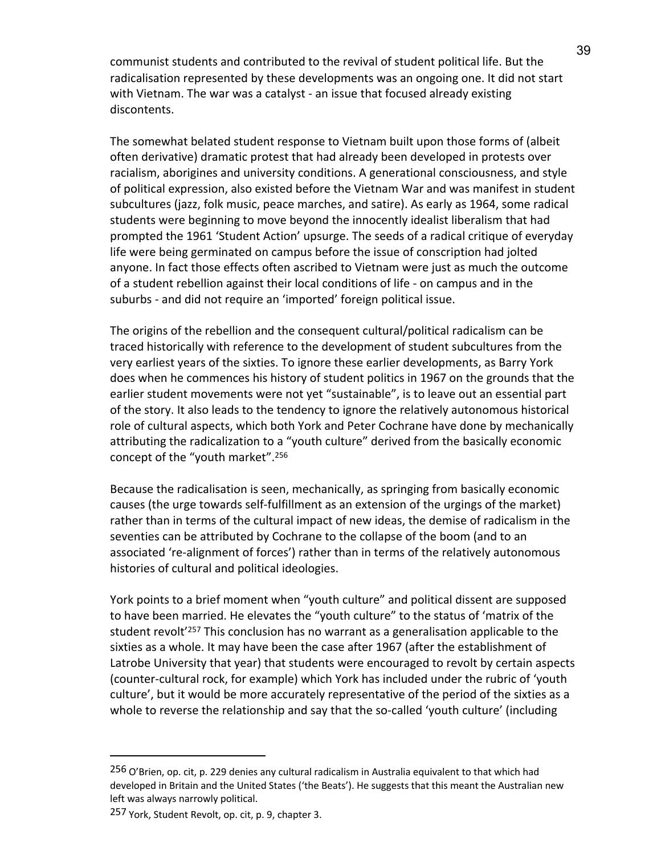communist students and contributed to the revival of student political life. But the radicalisation represented by these developments was an ongoing one. It did not start with Vietnam. The war was a catalyst - an issue that focused already existing discontents.

The somewhat belated student response to Vietnam built upon those forms of (albeit often derivative) dramatic protest that had already been developed in protests over racialism, aborigines and university conditions. A generational consciousness, and style of political expression, also existed before the Vietnam War and was manifest in student subcultures (jazz, folk music, peace marches, and satire). As early as 1964, some radical students were beginning to move beyond the innocently idealist liberalism that had prompted the 1961 'Student Action' upsurge. The seeds of a radical critique of everyday life were being germinated on campus before the issue of conscription had jolted anyone. In fact those effects often ascribed to Vietnam were just as much the outcome of a student rebellion against their local conditions of life - on campus and in the suburbs - and did not require an 'imported' foreign political issue.

The origins of the rebellion and the consequent cultural/political radicalism can be traced historically with reference to the development of student subcultures from the very earliest years of the sixties. To ignore these earlier developments, as Barry York does when he commences his history of student politics in 1967 on the grounds that the earlier student movements were not yet "sustainable", is to leave out an essential part of the story. It also leads to the tendency to ignore the relatively autonomous historical role of cultural aspects, which both York and Peter Cochrane have done by mechanically attributing the radicalization to a "youth culture" derived from the basically economic concept of the "youth market". 256

Because the radicalisation is seen, mechanically, as springing from basically economic causes (the urge towards self-fulfillment as an extension of the urgings of the market) rather than in terms of the cultural impact of new ideas, the demise of radicalism in the seventies can be attributed by Cochrane to the collapse of the boom (and to an associated 're-alignment of forces') rather than in terms of the relatively autonomous histories of cultural and political ideologies.

York points to a brief moment when "youth culture" and political dissent are supposed to have been married. He elevates the "youth culture" to the status of 'matrix of the student revolt<sup>'257</sup> This conclusion has no warrant as a generalisation applicable to the sixties as a whole. It may have been the case after 1967 (after the establishment of Latrobe University that year) that students were encouraged to revolt by certain aspects (counter-cultural rock, for example) which York has included under the rubric of 'youth culture', but it would be more accurately representative of the period of the sixties as a whole to reverse the relationship and say that the so-called 'youth culture' (including

<sup>256</sup> O'Brien, op. cit, p. 229 denies any cultural radicalism in Australia equivalent to that which had developed in Britain and the United States ('the Beats'). He suggests that this meant the Australian new left was always narrowly political.

<sup>257</sup> York, Student Revolt, op. cit, p. 9, chapter 3.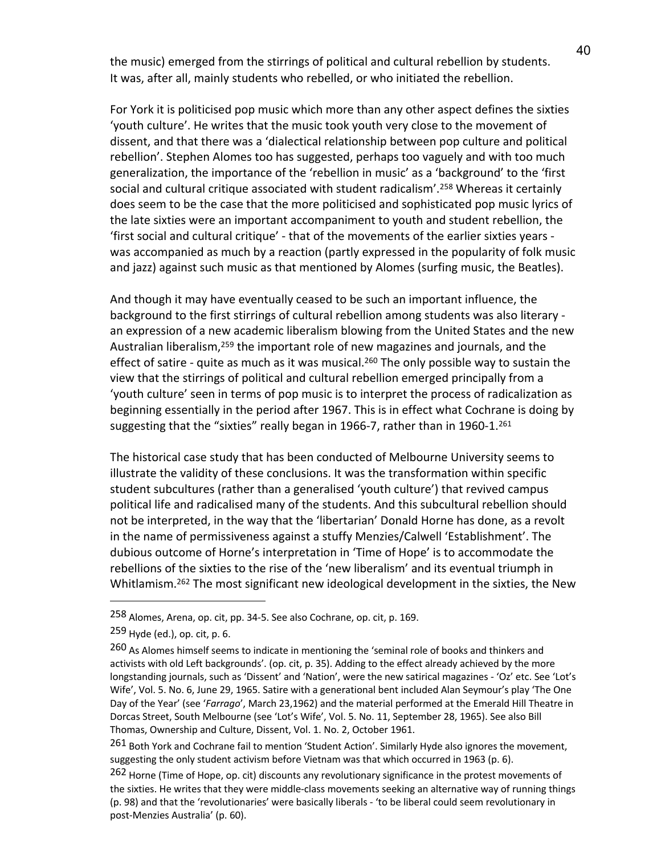the music) emerged from the stirrings of political and cultural rebellion by students. It was, after all, mainly students who rebelled, or who initiated the rebellion.

For York it is politicised pop music which more than any other aspect defines the sixties 'youth culture'. He writes that the music took youth very close to the movement of dissent, and that there was a 'dialectical relationship between pop culture and political rebellion'. Stephen Alomes too has suggested, perhaps too vaguely and with too much generalization, the importance of the 'rebellion in music' as a 'background' to the 'first social and cultural critique associated with student radicalism'. <sup>258</sup> Whereas it certainly does seem to be the case that the more politicised and sophisticated pop music lyrics of the late sixties were an important accompaniment to youth and student rebellion, the 'first social and cultural critique' - that of the movements of the earlier sixties years was accompanied as much by a reaction (partly expressed in the popularity of folk music and jazz) against such music as that mentioned by Alomes (surfing music, the Beatles).

And though it may have eventually ceased to be such an important influence, the background to the first stirrings of cultural rebellion among students was also literary an expression of a new academic liberalism blowing from the United States and the new Australian liberalism,259 the important role of new magazines and journals, and the effect of satire - quite as much as it was musical.<sup>260</sup> The only possible way to sustain the view that the stirrings of political and cultural rebellion emerged principally from a 'youth culture' seen in terms of pop music is to interpret the process of radicalization as beginning essentially in the period after 1967. This is in effect what Cochrane is doing by suggesting that the "sixties" really began in 1966-7, rather than in 1960-1.<sup>261</sup>

The historical case study that has been conducted of Melbourne University seems to illustrate the validity of these conclusions. It was the transformation within specific student subcultures (rather than a generalised 'youth culture') that revived campus political life and radicalised many of the students. And this subcultural rebellion should not be interpreted, in the way that the 'libertarian' Donald Horne has done, as a revolt in the name of permissiveness against a stuffy Menzies/Calwell 'Establishment'. The dubious outcome of Horne's interpretation in 'Time of Hope' is to accommodate the rebellions of the sixties to the rise of the 'new liberalism' and its eventual triumph in Whitlamism.<sup>262</sup> The most significant new ideological development in the sixties, the New

<sup>258</sup> Alomes, Arena, op. cit, pp. 34-5. See also Cochrane, op. cit, p. 169.

<sup>259</sup> Hyde (ed.), op. cit, p. 6.

<sup>260</sup> As Alomes himself seems to indicate in mentioning the 'seminal role of books and thinkers and activists with old Left backgrounds'. (op. cit, p. 35). Adding to the effect already achieved by the more longstanding journals, such as 'Dissent' and 'Nation', were the new satirical magazines - 'Oz' etc. See 'Lot's Wife', Vol. 5. No. 6, June 29, 1965. Satire with a generational bent included Alan Seymour's play 'The One Day of the Year' (see '*Farrago*', March 23,1962) and the material performed at the Emerald Hill Theatre in Dorcas Street, South Melbourne (see 'Lot's Wife', Vol. 5. No. 11, September 28, 1965). See also Bill Thomas, Ownership and Culture, Dissent, Vol. 1. No. 2, October 1961.

<sup>261</sup> Both York and Cochrane fail to mention 'Student Action'. Similarly Hyde also ignores the movement, suggesting the only student activism before Vietnam was that which occurred in 1963 (p. 6).

<sup>262</sup> Horne (Time of Hope, op. cit) discounts any revolutionary significance in the protest movements of the sixties. He writes that they were middle-class movements seeking an alternative way of running things (p. 98) and that the 'revolutionaries' were basically liberals - 'to be liberal could seem revolutionary in post-Menzies Australia' (p. 60).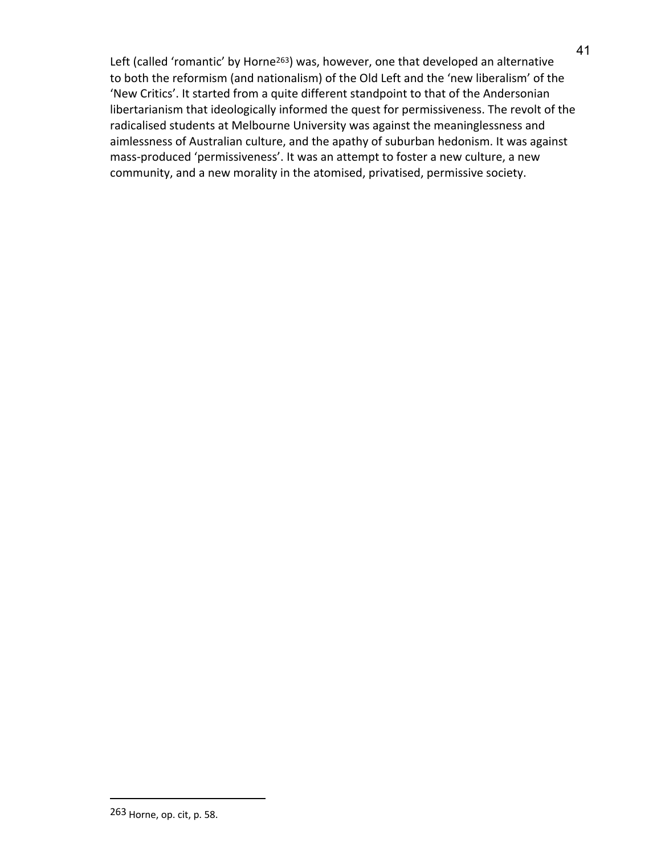Left (called 'romantic' by Horne<sup>263</sup>) was, however, one that developed an alternative to both the reformism (and nationalism) of the Old Left and the 'new liberalism' of the 'New Critics'. It started from a quite different standpoint to that of the Andersonian libertarianism that ideologically informed the quest for permissiveness. The revolt of the radicalised students at Melbourne University was against the meaninglessness and aimlessness of Australian culture, and the apathy of suburban hedonism. It was against mass-produced 'permissiveness'. It was an attempt to foster a new culture, a new community, and a new morality in the atomised, privatised, permissive society.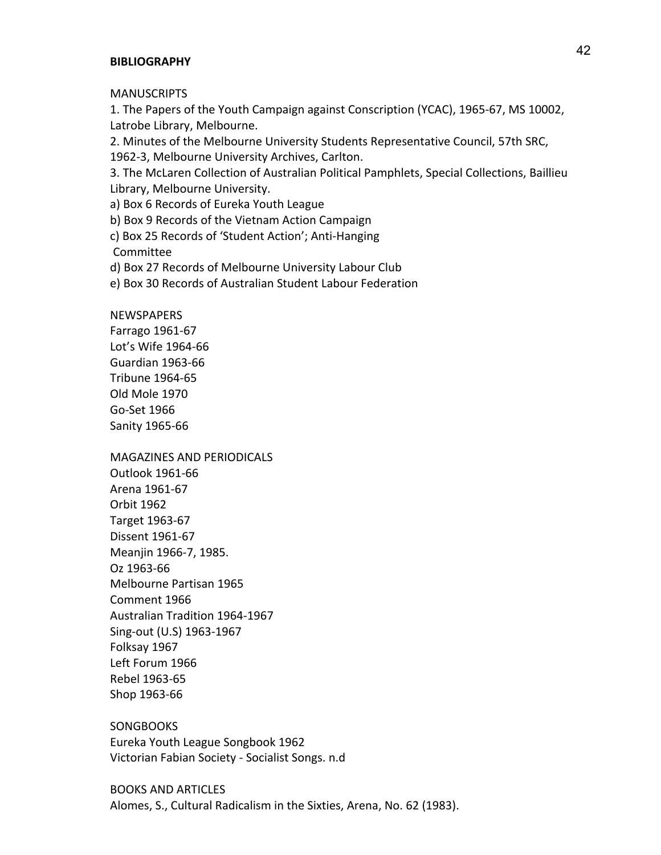#### **BIBLIOGRAPHY**

**MANUSCRIPTS** 

1. The Papers of the Youth Campaign against Conscription (YCAC), 1965-67, MS 10002, Latrobe Library, Melbourne.

2. Minutes of the Melbourne University Students Representative Council, 57th SRC, 1962-3, Melbourne University Archives, Carlton.

3. The McLaren Collection of Australian Political Pamphlets, Special Collections, Baillieu Library, Melbourne University.

a) Box 6 Records of Eureka Youth League

b) Box 9 Records of the Vietnam Action Campaign

c) Box 25 Records of 'Student Action'; Anti-Hanging

Committee

d) Box 27 Records of Melbourne University Labour Club

e) Box 30 Records of Australian Student Labour Federation

#### NEWSPAPERS

Farrago 1961-67 Lot's Wife 1964-66 Guardian 1963-66 Tribune 1964-65 Old Mole 1970 Go-Set 1966 Sanity 1965-66

MAGAZINES AND PERIODICALS Outlook 1961-66 Arena 1961-67 Orbit 1962 Target 1963-67 Dissent 1961-67 Meanjin 1966-7, 1985. Oz 1963-66 Melbourne Partisan 1965 Comment 1966 Australian Tradition 1964-1967 Sing-out (U.S) 1963-1967 Folksay 1967 Left Forum 1966 Rebel 1963-65 Shop 1963-66

**SONGBOOKS** Eureka Youth League Songbook 1962 Victorian Fabian Society - Socialist Songs. n.d

BOOKS AND ARTICLES Alomes, S., Cultural Radicalism in the Sixties, Arena, No. 62 (1983).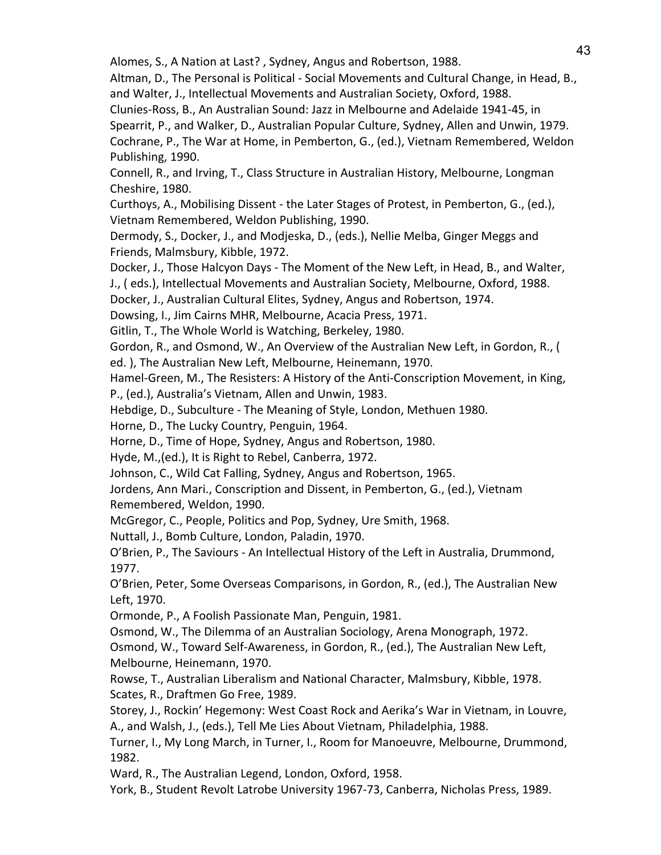Alomes, S., A Nation at Last? , Sydney, Angus and Robertson, 1988.

Altman, D., The Personal is Political - Social Movements and Cultural Change, in Head, B., and Walter, J., Intellectual Movements and Australian Society, Oxford, 1988.

Clunies-Ross, B., An Australian Sound: Jazz in Melbourne and Adelaide 1941-45, in Spearrit, P., and Walker, D., Australian Popular Culture, Sydney, Allen and Unwin, 1979. Cochrane, P., The War at Home, in Pemberton, G., (ed.), Vietnam Remembered, Weldon

Publishing, 1990.

Connell, R., and Irving, T., Class Structure in Australian History, Melbourne, Longman Cheshire, 1980.

Curthoys, A., Mobilising Dissent - the Later Stages of Protest, in Pemberton, G., (ed.), Vietnam Remembered, Weldon Publishing, 1990.

Dermody, S., Docker, J., and Modjeska, D., (eds.), Nellie Melba, Ginger Meggs and Friends, Malmsbury, Kibble, 1972.

Docker, J., Those Halcyon Days - The Moment of the New Left, in Head, B., and Walter, J., ( eds.), Intellectual Movements and Australian Society, Melbourne, Oxford, 1988.

Docker, J., Australian Cultural Elites, Sydney, Angus and Robertson, 1974.

Dowsing, I., Jim Cairns MHR, Melbourne, Acacia Press, 1971.

Gitlin, T., The Whole World is Watching, Berkeley, 1980.

Gordon, R., and Osmond, W., An Overview of the Australian New Left, in Gordon, R., (

ed. ), The Australian New Left, Melbourne, Heinemann, 1970.

Hamel-Green, M., The Resisters: A History of the Anti-Conscription Movement, in King,

P., (ed.), Australia's Vietnam, Allen and Unwin, 1983.

Hebdige, D., Subculture - The Meaning of Style, London, Methuen 1980.

Horne, D., The Lucky Country, Penguin, 1964.

Horne, D., Time of Hope, Sydney, Angus and Robertson, 1980.

Hyde, M.,(ed.), It is Right to Rebel, Canberra, 1972.

Johnson, C., Wild Cat Falling, Sydney, Angus and Robertson, 1965.

Jordens, Ann Mari., Conscription and Dissent, in Pemberton, G., (ed.), Vietnam Remembered, Weldon, 1990.

McGregor, C., People, Politics and Pop, Sydney, Ure Smith, 1968.

Nuttall, J., Bomb Culture, London, Paladin, 1970.

O'Brien, P., The Saviours - An Intellectual History of the Left in Australia, Drummond, 1977.

O'Brien, Peter, Some Overseas Comparisons, in Gordon, R., (ed.), The Australian New Left, 1970.

Ormonde, P., A Foolish Passionate Man, Penguin, 1981.

Osmond, W., The Dilemma of an Australian Sociology, Arena Monograph, 1972.

Osmond, W., Toward Self-Awareness, in Gordon, R., (ed.), The Australian New Left, Melbourne, Heinemann, 1970.

Rowse, T., Australian Liberalism and National Character, Malmsbury, Kibble, 1978. Scates, R., Draftmen Go Free, 1989.

Storey, J., Rockin' Hegemony: West Coast Rock and Aerika's War in Vietnam, in Louvre, A., and Walsh, J., (eds.), Tell Me Lies About Vietnam, Philadelphia, 1988.

Turner, I., My Long March, in Turner, I., Room for Manoeuvre, Melbourne, Drummond, 1982.

Ward, R., The Australian Legend, London, Oxford, 1958.

York, B., Student Revolt Latrobe University 1967-73, Canberra, Nicholas Press, 1989.